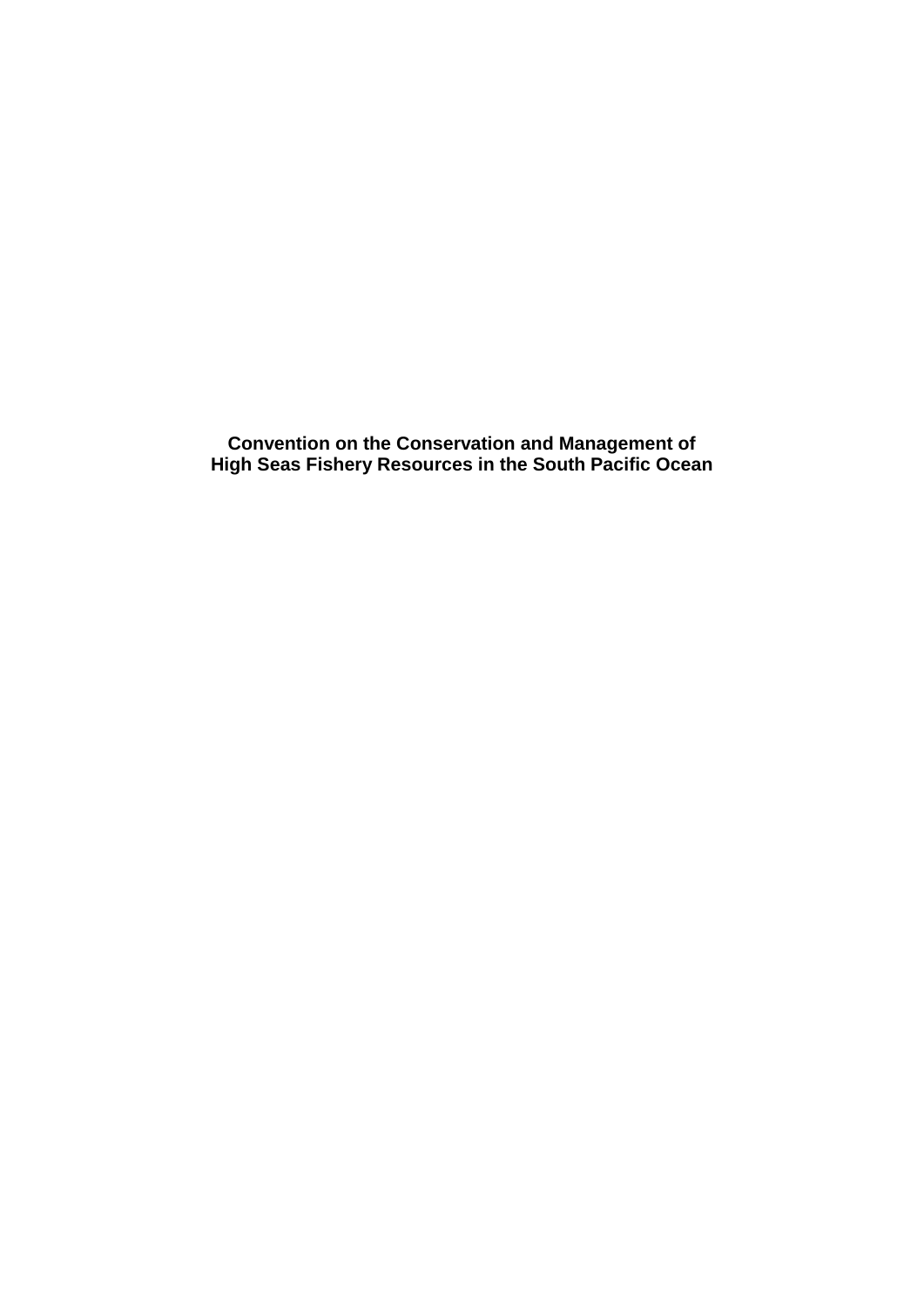**Convention on the Conservation and Management of High Seas Fishery Resources in the South Pacific Ocean**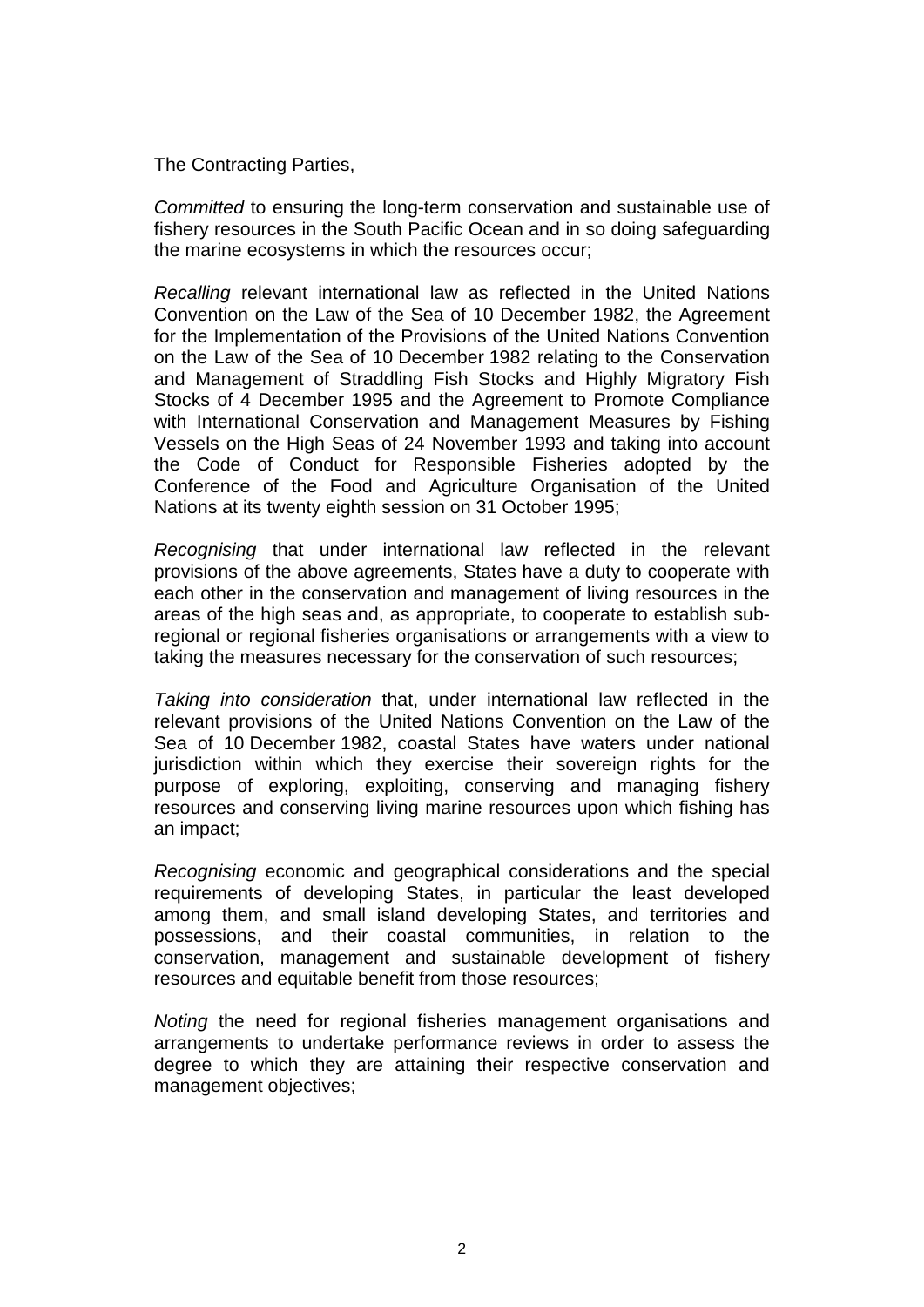The Contracting Parties,

*Committed* to ensuring the long-term conservation and sustainable use of fishery resources in the South Pacific Ocean and in so doing safeguarding the marine ecosystems in which the resources occur;

*Recalling* relevant international law as reflected in the United Nations Convention on the Law of the Sea of 10 December 1982, the Agreement for the Implementation of the Provisions of the United Nations Convention on the Law of the Sea of 10 December 1982 relating to the Conservation and Management of Straddling Fish Stocks and Highly Migratory Fish Stocks of 4 December 1995 and the Agreement to Promote Compliance with International Conservation and Management Measures by Fishing Vessels on the High Seas of 24 November 1993 and taking into account the Code of Conduct for Responsible Fisheries adopted by the Conference of the Food and Agriculture Organisation of the United Nations at its twenty eighth session on 31 October 1995;

*Recognising* that under international law reflected in the relevant provisions of the above agreements, States have a duty to cooperate with each other in the conservation and management of living resources in the areas of the high seas and, as appropriate, to cooperate to establish subregional or regional fisheries organisations or arrangements with a view to taking the measures necessary for the conservation of such resources;

*Taking into consideration* that, under international law reflected in the relevant provisions of the United Nations Convention on the Law of the Sea of 10 December 1982, coastal States have waters under national jurisdiction within which they exercise their sovereign rights for the purpose of exploring, exploiting, conserving and managing fishery resources and conserving living marine resources upon which fishing has an impact;

*Recognising* economic and geographical considerations and the special requirements of developing States, in particular the least developed among them, and small island developing States, and territories and possessions, and their coastal communities, in relation to the conservation, management and sustainable development of fishery resources and equitable benefit from those resources;

*Noting* the need for regional fisheries management organisations and arrangements to undertake performance reviews in order to assess the degree to which they are attaining their respective conservation and management objectives;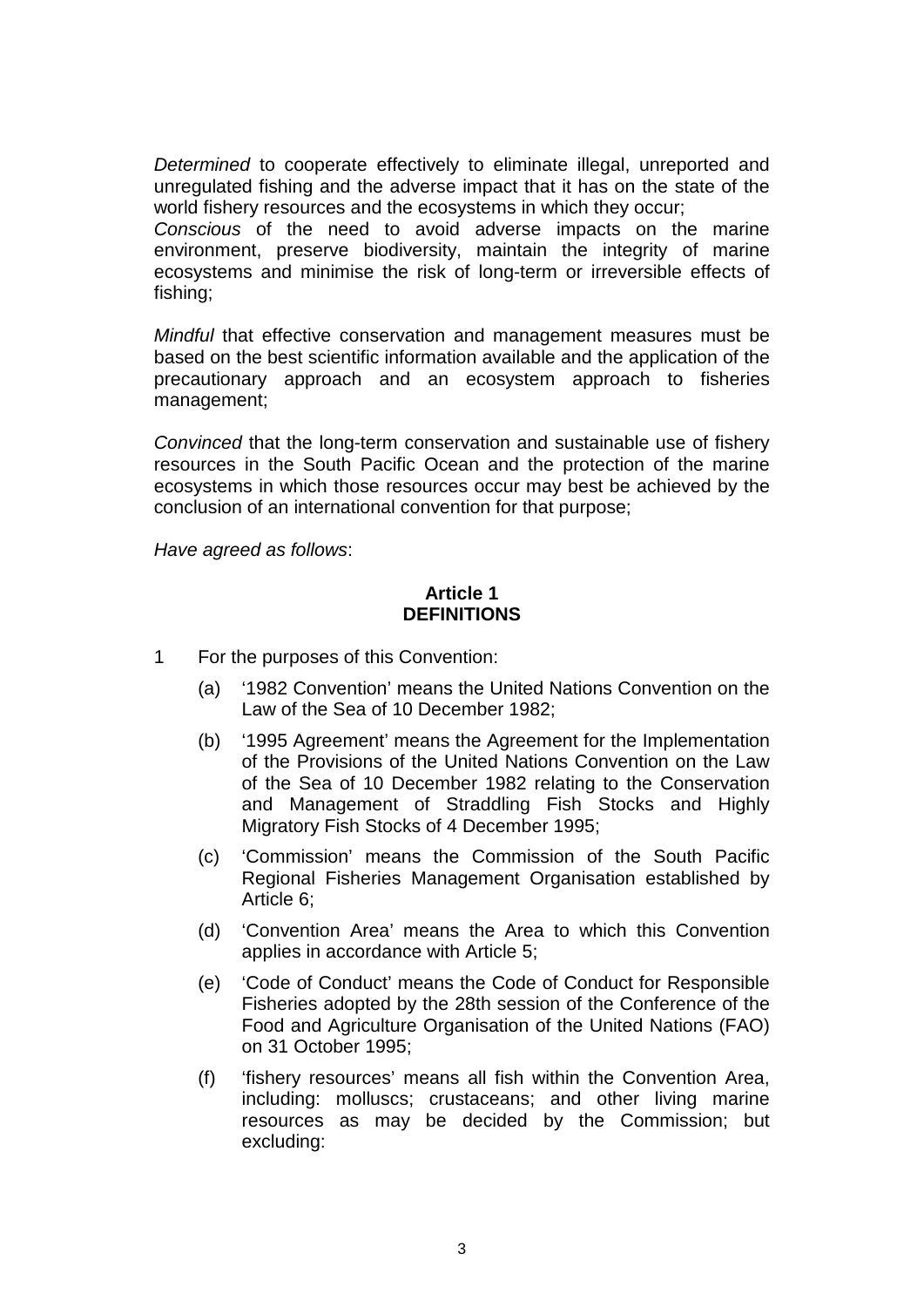*Determined* to cooperate effectively to eliminate illegal, unreported and unregulated fishing and the adverse impact that it has on the state of the world fishery resources and the ecosystems in which they occur;

*Conscious* of the need to avoid adverse impacts on the marine environment, preserve biodiversity, maintain the integrity of marine ecosystems and minimise the risk of long-term or irreversible effects of fishing;

*Mindful* that effective conservation and management measures must be based on the best scientific information available and the application of the precautionary approach and an ecosystem approach to fisheries management;

*Convinced* that the long-term conservation and sustainable use of fishery resources in the South Pacific Ocean and the protection of the marine ecosystems in which those resources occur may best be achieved by the conclusion of an international convention for that purpose;

*Have agreed as follows*:

## **Article 1 DEFINITIONS**

- 1 For the purposes of this Convention:
	- (a) '1982 Convention' means the United Nations Convention on the Law of the Sea of 10 December 1982;
	- (b) '1995 Agreement' means the Agreement for the Implementation of the Provisions of the United Nations Convention on the Law of the Sea of 10 December 1982 relating to the Conservation and Management of Straddling Fish Stocks and Highly Migratory Fish Stocks of 4 December 1995;
	- (c) 'Commission' means the Commission of the South Pacific Regional Fisheries Management Organisation established by Article 6;
	- (d) 'Convention Area' means the Area to which this Convention applies in accordance with Article 5;
	- (e) 'Code of Conduct' means the Code of Conduct for Responsible Fisheries adopted by the 28th session of the Conference of the Food and Agriculture Organisation of the United Nations (FAO) on 31 October 1995;
	- (f) 'fishery resources' means all fish within the Convention Area, including: molluscs; crustaceans; and other living marine resources as may be decided by the Commission; but excluding: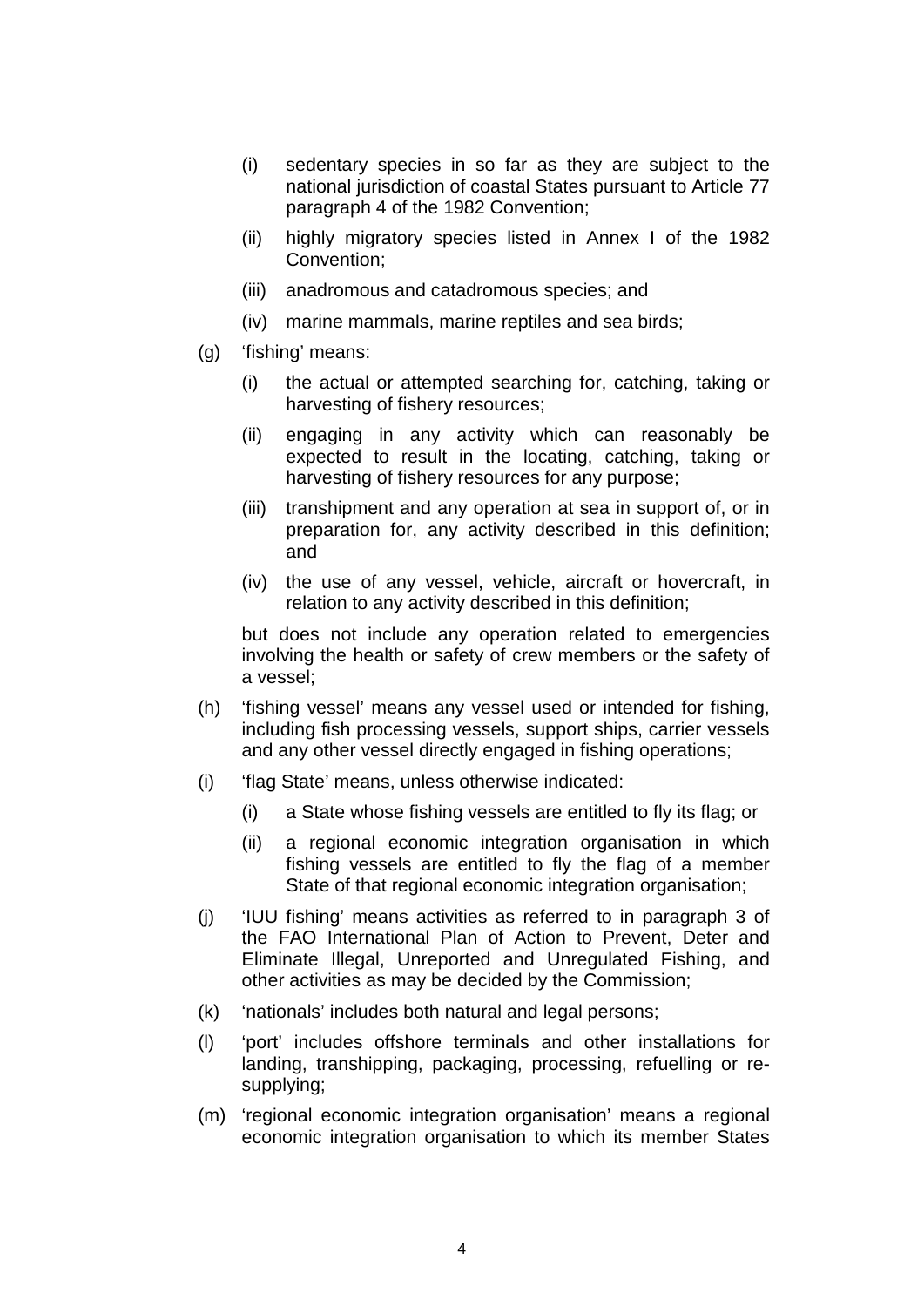- (i) sedentary species in so far as they are subject to the national jurisdiction of coastal States pursuant to Article 77 paragraph 4 of the 1982 Convention;
- (ii) highly migratory species listed in Annex I of the 1982 Convention;
- (iii) anadromous and catadromous species; and
- (iv) marine mammals, marine reptiles and sea birds;
- (g) 'fishing' means:
	- (i) the actual or attempted searching for, catching, taking or harvesting of fishery resources;
	- (ii) engaging in any activity which can reasonably be expected to result in the locating, catching, taking or harvesting of fishery resources for any purpose;
	- (iii) transhipment and any operation at sea in support of, or in preparation for, any activity described in this definition; and
	- (iv) the use of any vessel, vehicle, aircraft or hovercraft, in relation to any activity described in this definition;

but does not include any operation related to emergencies involving the health or safety of crew members or the safety of a vessel;

- (h) 'fishing vessel' means any vessel used or intended for fishing, including fish processing vessels, support ships, carrier vessels and any other vessel directly engaged in fishing operations;
- (i) 'flag State' means, unless otherwise indicated:
	- (i) a State whose fishing vessels are entitled to fly its flag; or
	- (ii) a regional economic integration organisation in which fishing vessels are entitled to fly the flag of a member State of that regional economic integration organisation;
- (j) 'IUU fishing' means activities as referred to in paragraph 3 of the FAO International Plan of Action to Prevent, Deter and Eliminate Illegal, Unreported and Unregulated Fishing, and other activities as may be decided by the Commission;
- (k) 'nationals' includes both natural and legal persons;
- (l) 'port' includes offshore terminals and other installations for landing, transhipping, packaging, processing, refuelling or resupplying;
- (m) 'regional economic integration organisation' means a regional economic integration organisation to which its member States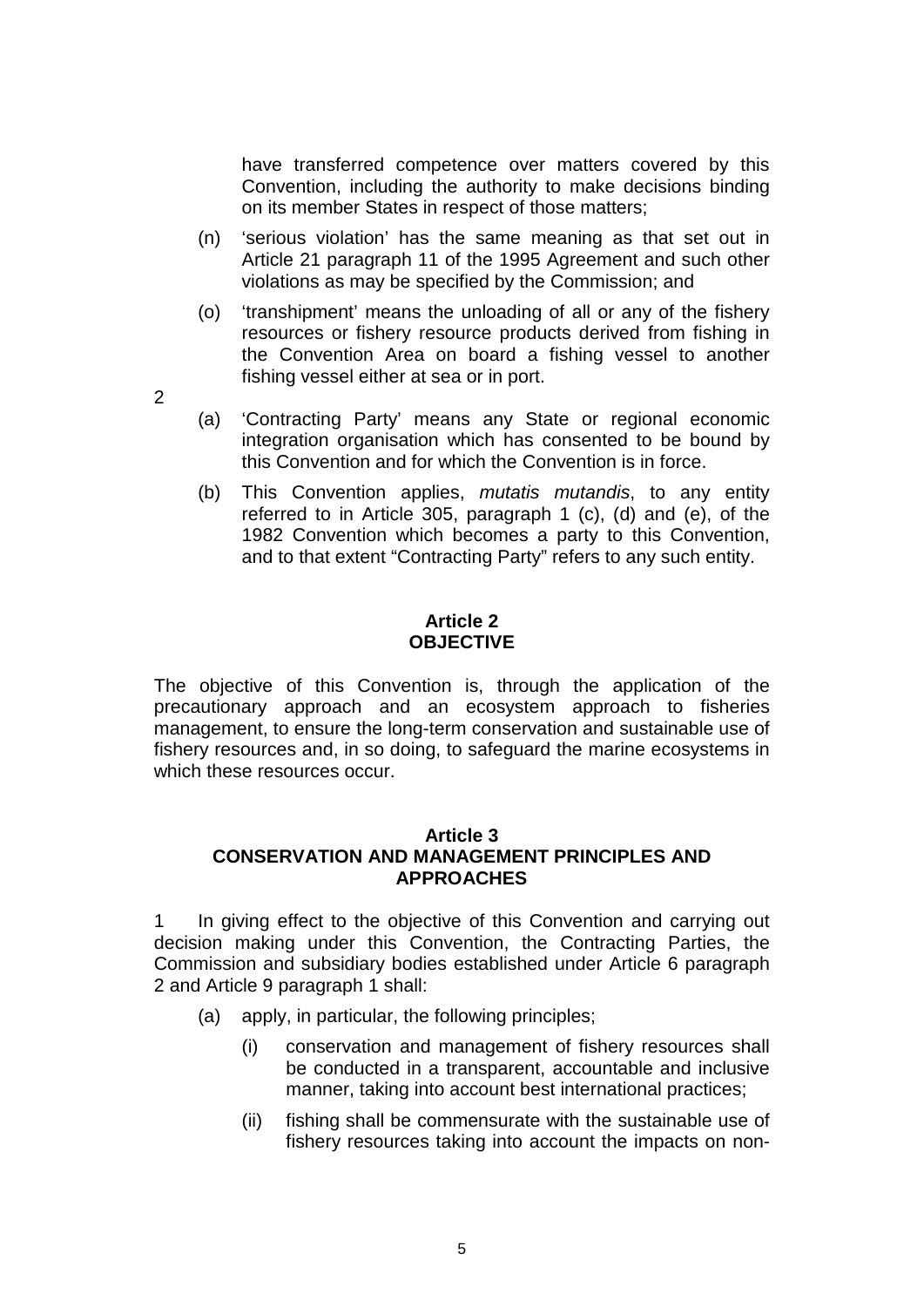have transferred competence over matters covered by this Convention, including the authority to make decisions binding on its member States in respect of those matters;

- (n) 'serious violation' has the same meaning as that set out in Article 21 paragraph 11 of the 1995 Agreement and such other violations as may be specified by the Commission; and
- (o) 'transhipment' means the unloading of all or any of the fishery resources or fishery resource products derived from fishing in the Convention Area on board a fishing vessel to another fishing vessel either at sea or in port.

2

- (a) 'Contracting Party' means any State or regional economic integration organisation which has consented to be bound by this Convention and for which the Convention is in force.
- (b) This Convention applies, *mutatis mutandis*, to any entity referred to in Article 305, paragraph 1 (c), (d) and (e), of the 1982 Convention which becomes a party to this Convention, and to that extent "Contracting Party" refers to any such entity.

# **Article 2 OBJECTIVE**

The objective of this Convention is, through the application of the precautionary approach and an ecosystem approach to fisheries management, to ensure the long-term conservation and sustainable use of fishery resources and, in so doing, to safeguard the marine ecosystems in which these resources occur.

## **Article 3 CONSERVATION AND MANAGEMENT PRINCIPLES AND APPROACHES**

1 In giving effect to the objective of this Convention and carrying out decision making under this Convention, the Contracting Parties, the Commission and subsidiary bodies established under Article 6 paragraph 2 and Article 9 paragraph 1 shall:

- (a) apply, in particular, the following principles;
	- (i) conservation and management of fishery resources shall be conducted in a transparent, accountable and inclusive manner, taking into account best international practices;
	- (ii) fishing shall be commensurate with the sustainable use of fishery resources taking into account the impacts on non-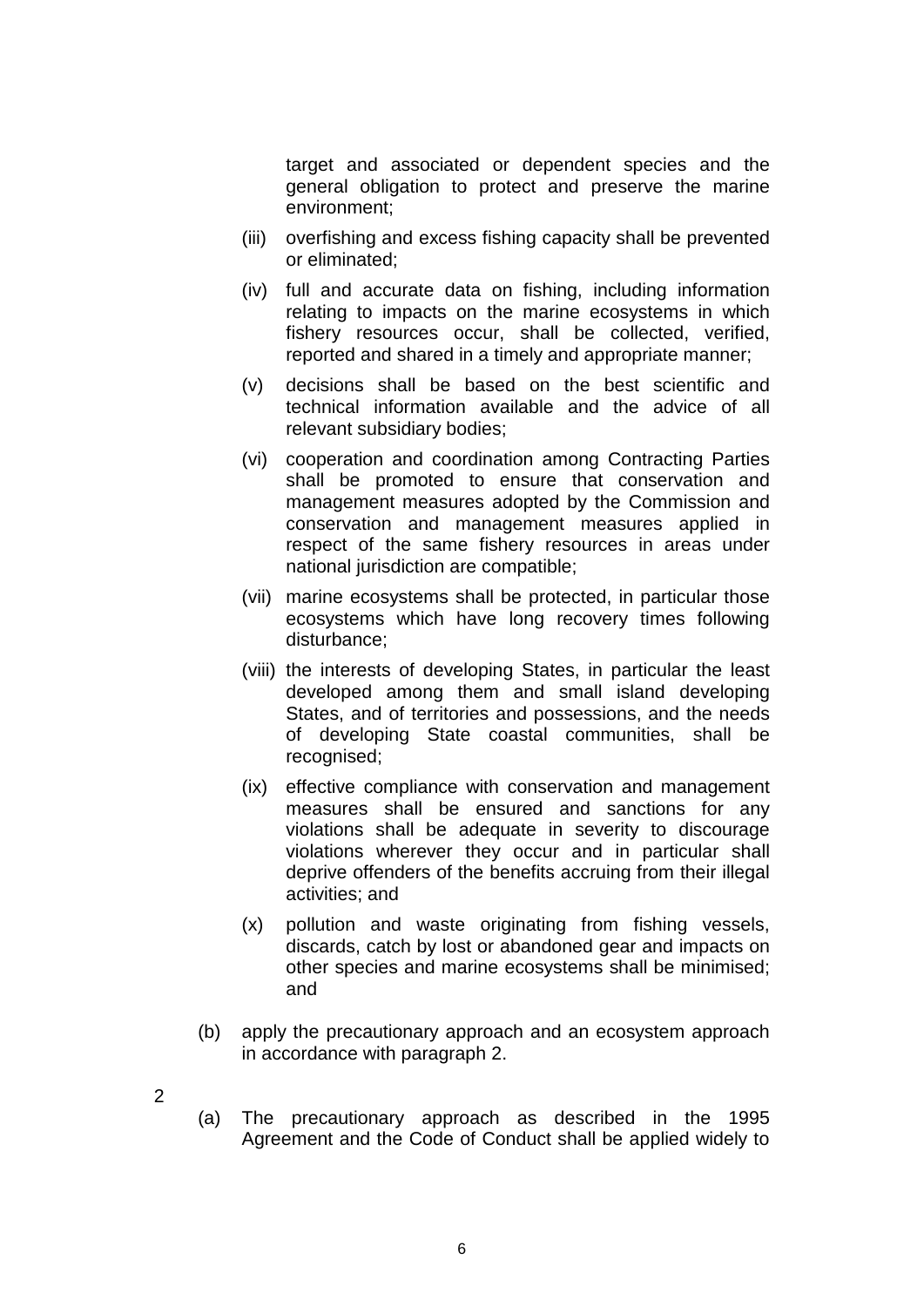target and associated or dependent species and the general obligation to protect and preserve the marine environment;

- (iii) overfishing and excess fishing capacity shall be prevented or eliminated;
- (iv) full and accurate data on fishing, including information relating to impacts on the marine ecosystems in which fishery resources occur, shall be collected, verified, reported and shared in a timely and appropriate manner;
- (v) decisions shall be based on the best scientific and technical information available and the advice of all relevant subsidiary bodies;
- (vi) cooperation and coordination among Contracting Parties shall be promoted to ensure that conservation and management measures adopted by the Commission and conservation and management measures applied in respect of the same fishery resources in areas under national jurisdiction are compatible;
- (vii) marine ecosystems shall be protected, in particular those ecosystems which have long recovery times following disturbance;
- (viii) the interests of developing States, in particular the least developed among them and small island developing States, and of territories and possessions, and the needs of developing State coastal communities, shall be recognised:
- (ix) effective compliance with conservation and management measures shall be ensured and sanctions for any violations shall be adequate in severity to discourage violations wherever they occur and in particular shall deprive offenders of the benefits accruing from their illegal activities; and
- (x) pollution and waste originating from fishing vessels, discards, catch by lost or abandoned gear and impacts on other species and marine ecosystems shall be minimised; and
- (b) apply the precautionary approach and an ecosystem approach in accordance with paragraph 2.
- 2
- (a) The precautionary approach as described in the 1995 Agreement and the Code of Conduct shall be applied widely to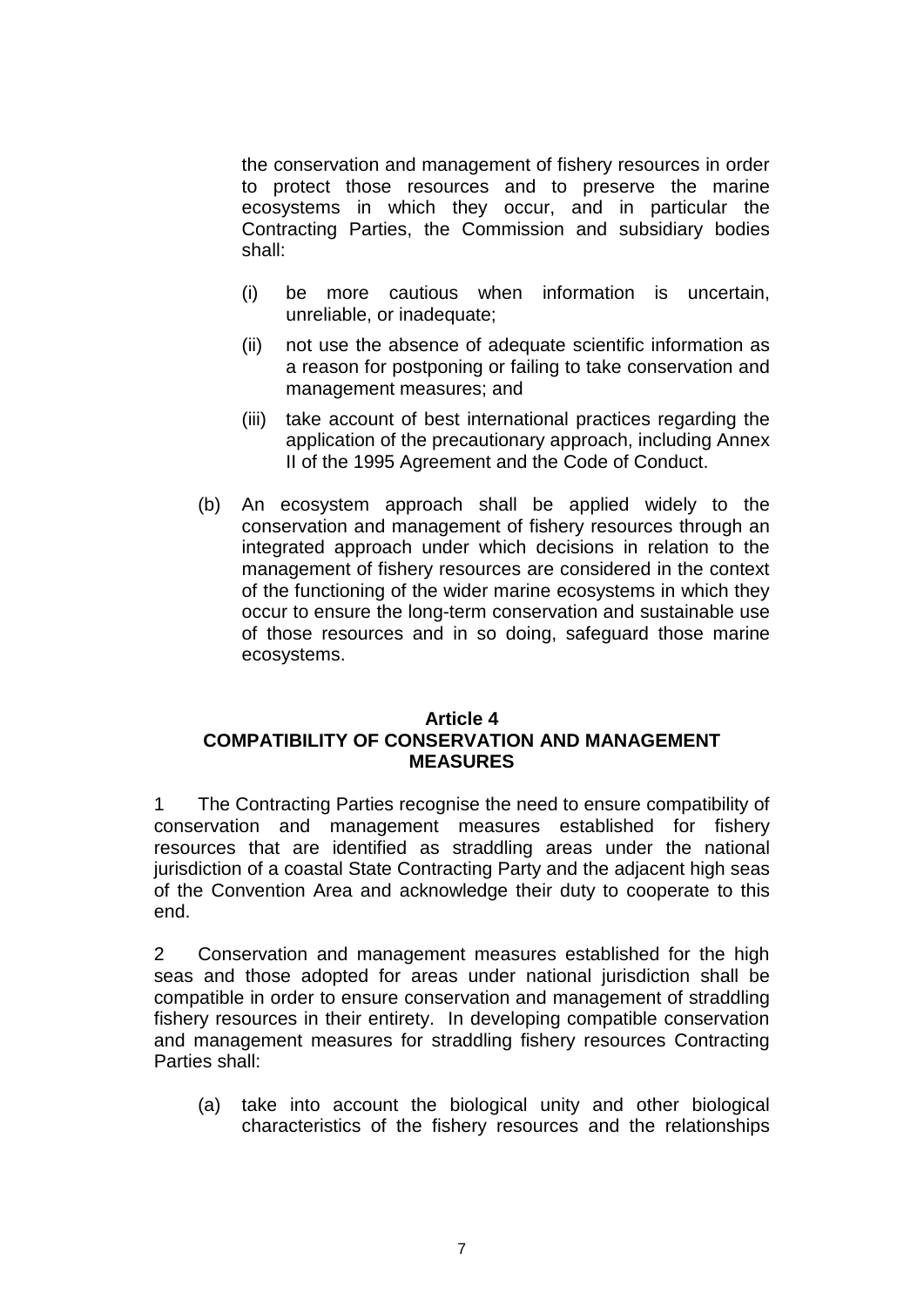the conservation and management of fishery resources in order to protect those resources and to preserve the marine ecosystems in which they occur, and in particular the Contracting Parties, the Commission and subsidiary bodies shall:

- (i) be more cautious when information is uncertain, unreliable, or inadequate;
- (ii) not use the absence of adequate scientific information as a reason for postponing or failing to take conservation and management measures; and
- (iii) take account of best international practices regarding the application of the precautionary approach, including Annex II of the 1995 Agreement and the Code of Conduct.
- (b) An ecosystem approach shall be applied widely to the conservation and management of fishery resources through an integrated approach under which decisions in relation to the management of fishery resources are considered in the context of the functioning of the wider marine ecosystems in which they occur to ensure the long-term conservation and sustainable use of those resources and in so doing, safeguard those marine ecosystems.

## **Article 4 COMPATIBILITY OF CONSERVATION AND MANAGEMENT MEASURES**

1 The Contracting Parties recognise the need to ensure compatibility of conservation and management measures established for fishery resources that are identified as straddling areas under the national jurisdiction of a coastal State Contracting Party and the adjacent high seas of the Convention Area and acknowledge their duty to cooperate to this end.

2 Conservation and management measures established for the high seas and those adopted for areas under national jurisdiction shall be compatible in order to ensure conservation and management of straddling fishery resources in their entirety. In developing compatible conservation and management measures for straddling fishery resources Contracting Parties shall:

(a) take into account the biological unity and other biological characteristics of the fishery resources and the relationships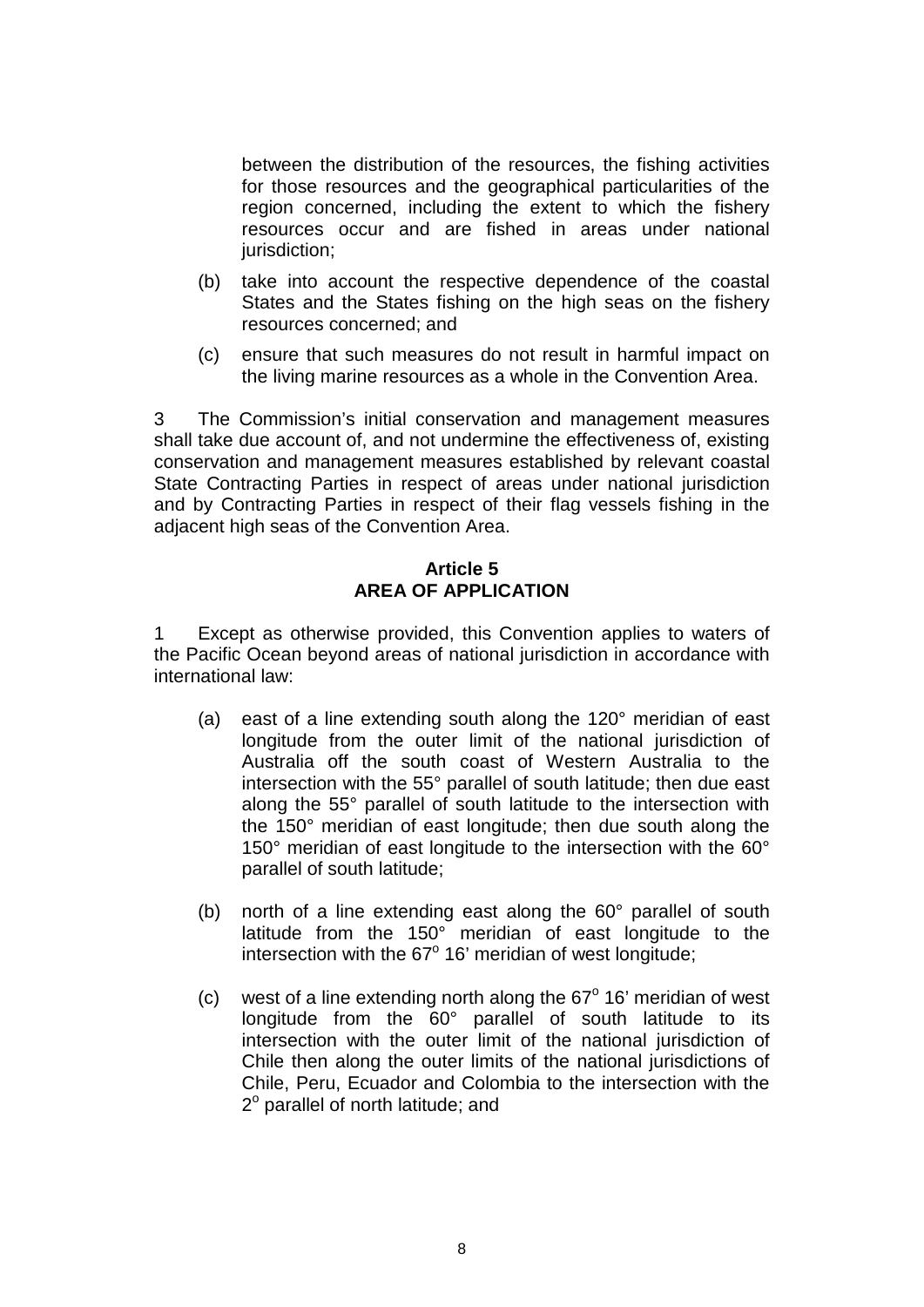between the distribution of the resources, the fishing activities for those resources and the geographical particularities of the region concerned, including the extent to which the fishery resources occur and are fished in areas under national jurisdiction;

- (b) take into account the respective dependence of the coastal States and the States fishing on the high seas on the fishery resources concerned; and
- (c) ensure that such measures do not result in harmful impact on the living marine resources as a whole in the Convention Area.

3 The Commission's initial conservation and management measures shall take due account of, and not undermine the effectiveness of, existing conservation and management measures established by relevant coastal State Contracting Parties in respect of areas under national jurisdiction and by Contracting Parties in respect of their flag vessels fishing in the adjacent high seas of the Convention Area.

# **Article 5 AREA OF APPLICATION**

Except as otherwise provided, this Convention applies to waters of the Pacific Ocean beyond areas of national jurisdiction in accordance with international law:

- (a) east of a line extending south along the 120° meridian of east longitude from the outer limit of the national jurisdiction of Australia off the south coast of Western Australia to the intersection with the 55° parallel of south latitude; then due east along the 55° parallel of south latitude to the intersection with the 150° meridian of east longitude; then due south along the 150° meridian of east longitude to the intersection with the 60° parallel of south latitude;
- (b) north of a line extending east along the 60° parallel of south latitude from the 150° meridian of east longitude to the intersection with the  $67^\circ$  16' meridian of west longitude;
- (c) west of a line extending north along the  $67^\circ$  16' meridian of west longitude from the 60° parallel of south latitude to its intersection with the outer limit of the national jurisdiction of Chile then along the outer limits of the national jurisdictions of Chile, Peru, Ecuador and Colombia to the intersection with the 2<sup>o</sup> parallel of north latitude; and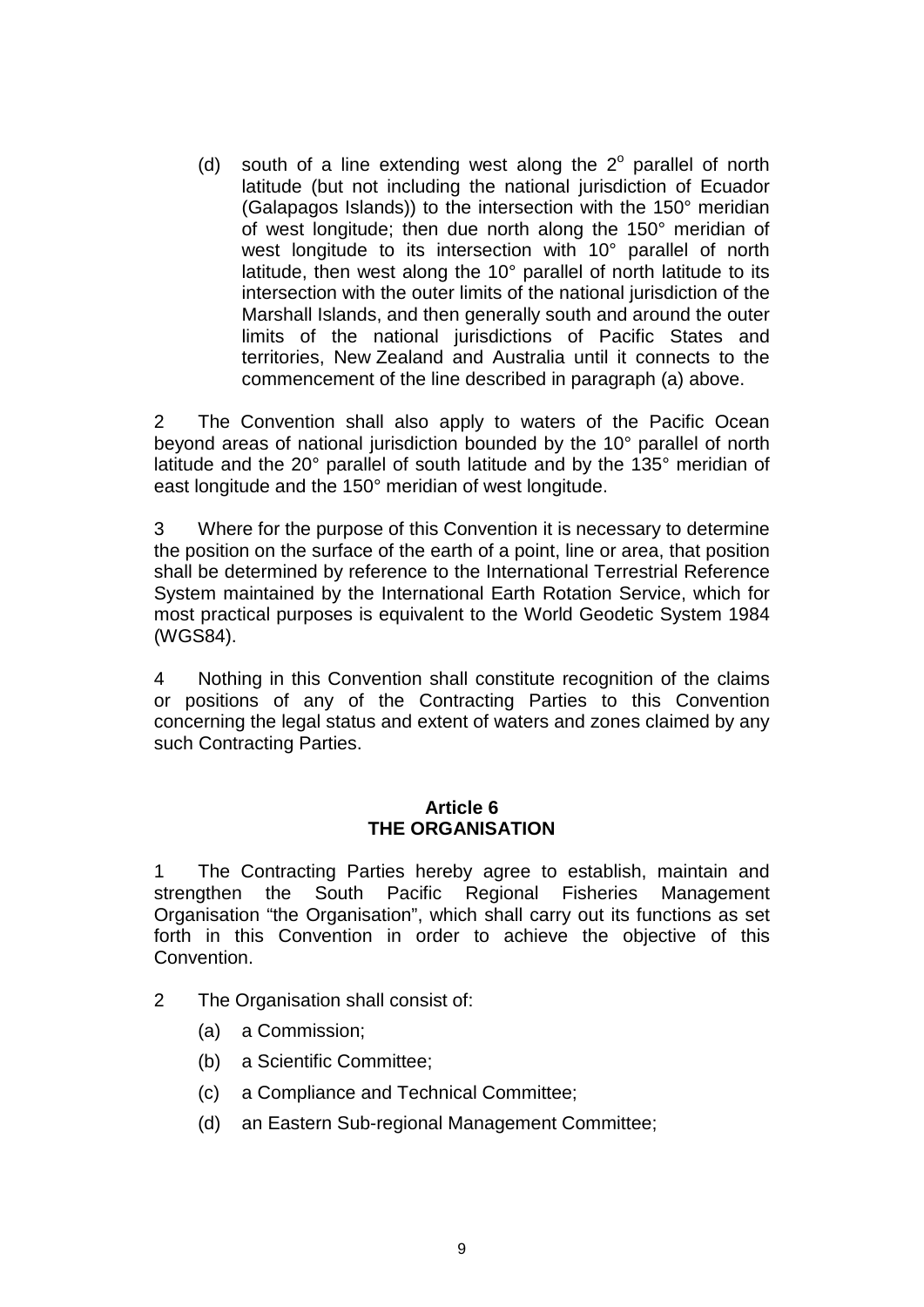(d) south of a line extending west along the  $2^{\circ}$  parallel of north latitude (but not including the national jurisdiction of Ecuador (Galapagos Islands)) to the intersection with the 150° meridian of west longitude; then due north along the 150° meridian of west longitude to its intersection with 10° parallel of north latitude, then west along the 10° parallel of north latitude to its intersection with the outer limits of the national jurisdiction of the Marshall Islands, and then generally south and around the outer limits of the national jurisdictions of Pacific States and territories, New Zealand and Australia until it connects to the commencement of the line described in paragraph (a) above.

2 The Convention shall also apply to waters of the Pacific Ocean beyond areas of national jurisdiction bounded by the 10° parallel of north latitude and the 20° parallel of south latitude and by the 135° meridian of east longitude and the 150° meridian of west longitude.

3 Where for the purpose of this Convention it is necessary to determine the position on the surface of the earth of a point, line or area, that position shall be determined by reference to the International Terrestrial Reference System maintained by the International Earth Rotation Service, which for most practical purposes is equivalent to the World Geodetic System 1984 (WGS84).

4 Nothing in this Convention shall constitute recognition of the claims or positions of any of the Contracting Parties to this Convention concerning the legal status and extent of waters and zones claimed by any such Contracting Parties.

## **Article 6 THE ORGANISATION**

1 The Contracting Parties hereby agree to establish, maintain and strengthen the South Pacific Regional Fisheries Management Organisation "the Organisation", which shall carry out its functions as set forth in this Convention in order to achieve the objective of this Convention.

- 2 The Organisation shall consist of:
	- (a) a Commission;
	- (b) a Scientific Committee;
	- (c) a Compliance and Technical Committee;
	- (d) an Eastern Sub-regional Management Committee;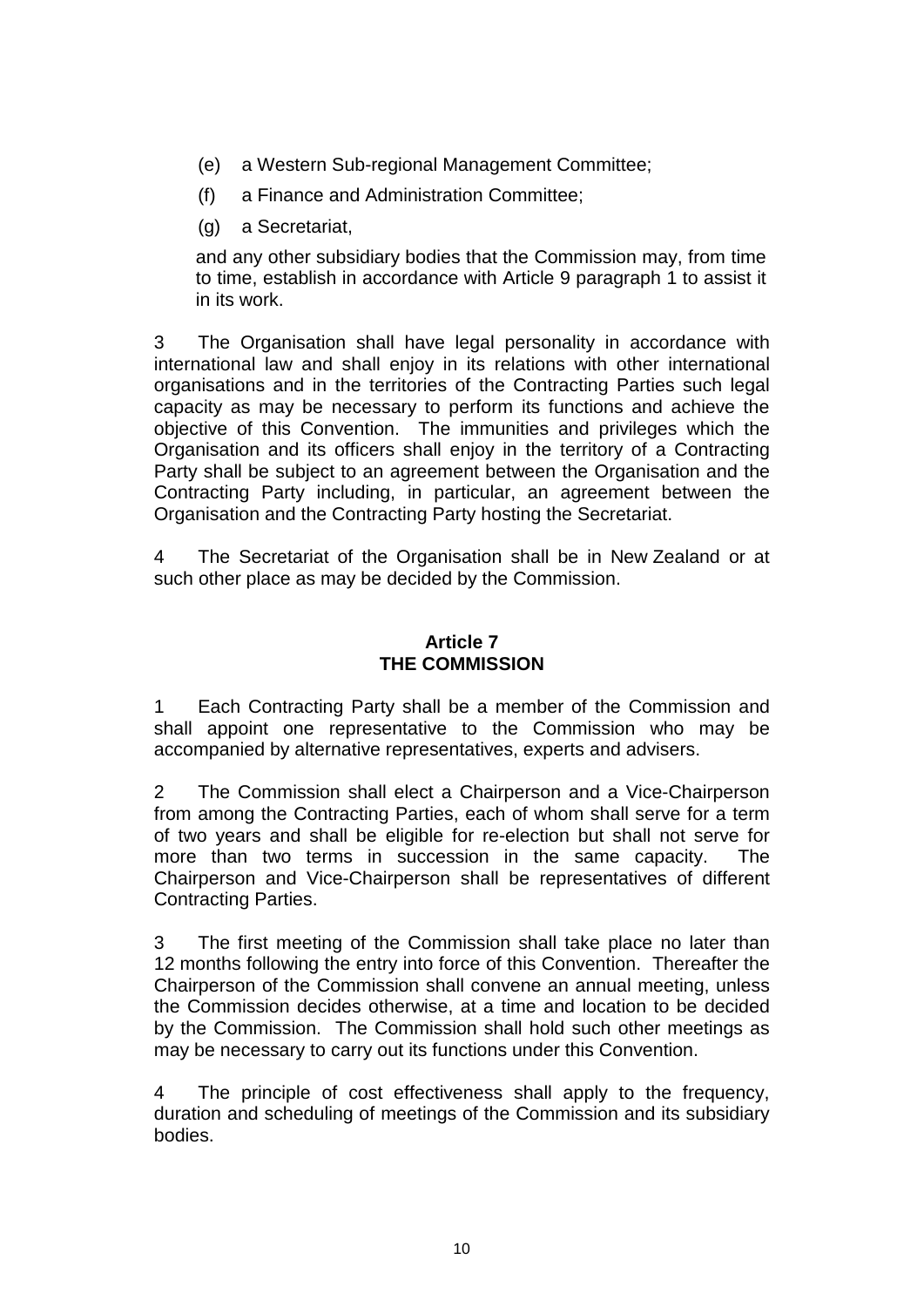- (e) a Western Sub-regional Management Committee;
- (f) a Finance and Administration Committee;
- (g) a Secretariat,

and any other subsidiary bodies that the Commission may, from time to time, establish in accordance with Article 9 paragraph 1 to assist it in its work.

3 The Organisation shall have legal personality in accordance with international law and shall enjoy in its relations with other international organisations and in the territories of the Contracting Parties such legal capacity as may be necessary to perform its functions and achieve the objective of this Convention. The immunities and privileges which the Organisation and its officers shall enjoy in the territory of a Contracting Party shall be subject to an agreement between the Organisation and the Contracting Party including, in particular, an agreement between the Organisation and the Contracting Party hosting the Secretariat.

4 The Secretariat of the Organisation shall be in New Zealand or at such other place as may be decided by the Commission.

# **Article 7 THE COMMISSION**

1 Each Contracting Party shall be a member of the Commission and shall appoint one representative to the Commission who may be accompanied by alternative representatives, experts and advisers.

2 The Commission shall elect a Chairperson and a Vice-Chairperson from among the Contracting Parties, each of whom shall serve for a term of two years and shall be eligible for re-election but shall not serve for more than two terms in succession in the same capacity. The Chairperson and Vice-Chairperson shall be representatives of different Contracting Parties.

3 The first meeting of the Commission shall take place no later than 12 months following the entry into force of this Convention. Thereafter the Chairperson of the Commission shall convene an annual meeting, unless the Commission decides otherwise, at a time and location to be decided by the Commission. The Commission shall hold such other meetings as may be necessary to carry out its functions under this Convention.

4 The principle of cost effectiveness shall apply to the frequency, duration and scheduling of meetings of the Commission and its subsidiary bodies.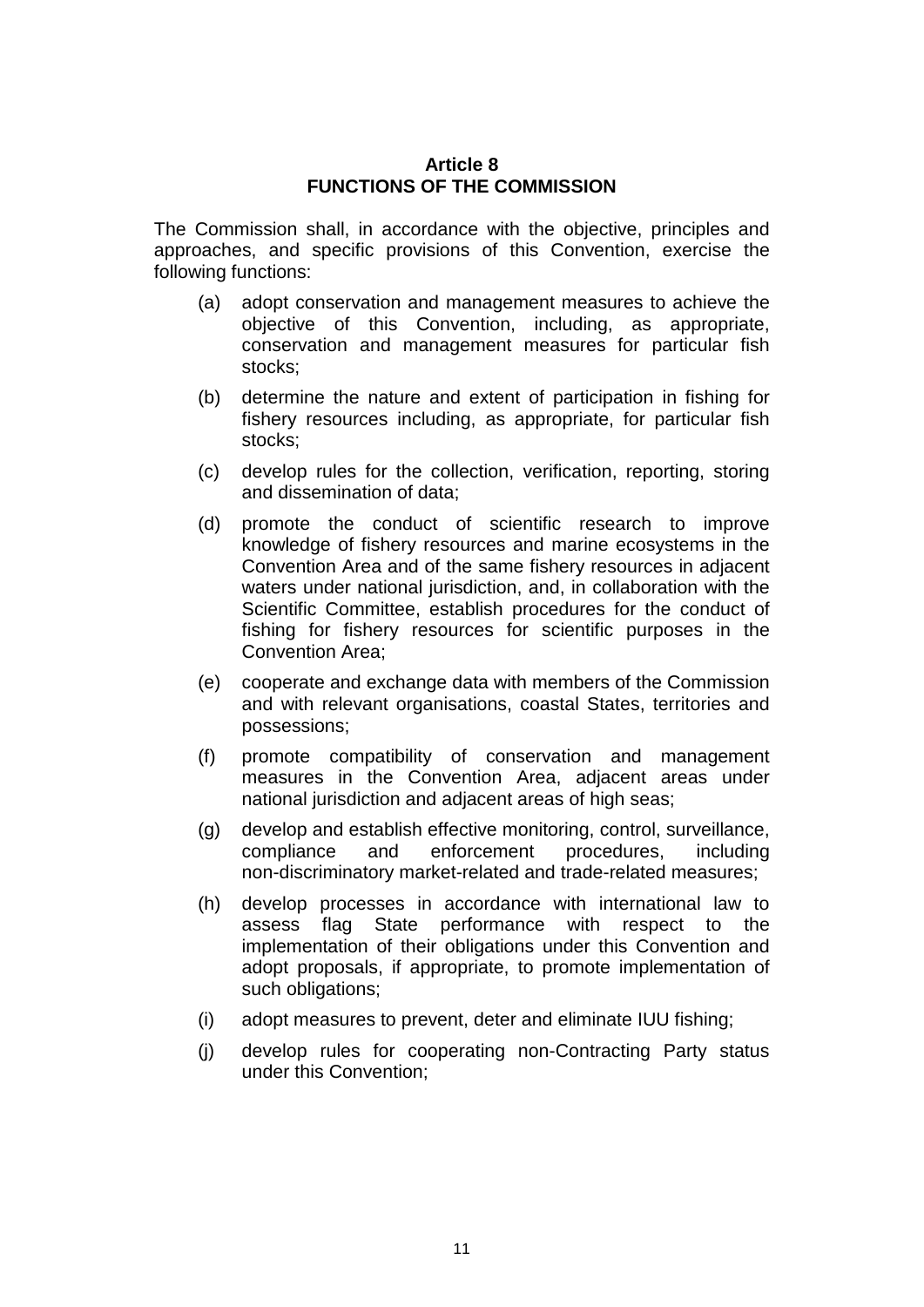# **Article 8 FUNCTIONS OF THE COMMISSION**

The Commission shall, in accordance with the objective, principles and approaches, and specific provisions of this Convention, exercise the following functions:

- (a) adopt conservation and management measures to achieve the objective of this Convention, including, as appropriate, conservation and management measures for particular fish stocks;
- (b) determine the nature and extent of participation in fishing for fishery resources including, as appropriate, for particular fish stocks;
- (c) develop rules for the collection, verification, reporting, storing and dissemination of data;
- (d) promote the conduct of scientific research to improve knowledge of fishery resources and marine ecosystems in the Convention Area and of the same fishery resources in adjacent waters under national jurisdiction, and, in collaboration with the Scientific Committee, establish procedures for the conduct of fishing for fishery resources for scientific purposes in the Convention Area;
- (e) cooperate and exchange data with members of the Commission and with relevant organisations, coastal States, territories and possessions;
- (f) promote compatibility of conservation and management measures in the Convention Area, adjacent areas under national jurisdiction and adjacent areas of high seas;
- (g) develop and establish effective monitoring, control, surveillance, compliance and enforcement procedures, including non-discriminatory market-related and trade-related measures;
- (h) develop processes in accordance with international law to assess flag State performance with respect to the implementation of their obligations under this Convention and adopt proposals, if appropriate, to promote implementation of such obligations;
- (i) adopt measures to prevent, deter and eliminate IUU fishing;
- (j) develop rules for cooperating non-Contracting Party status under this Convention;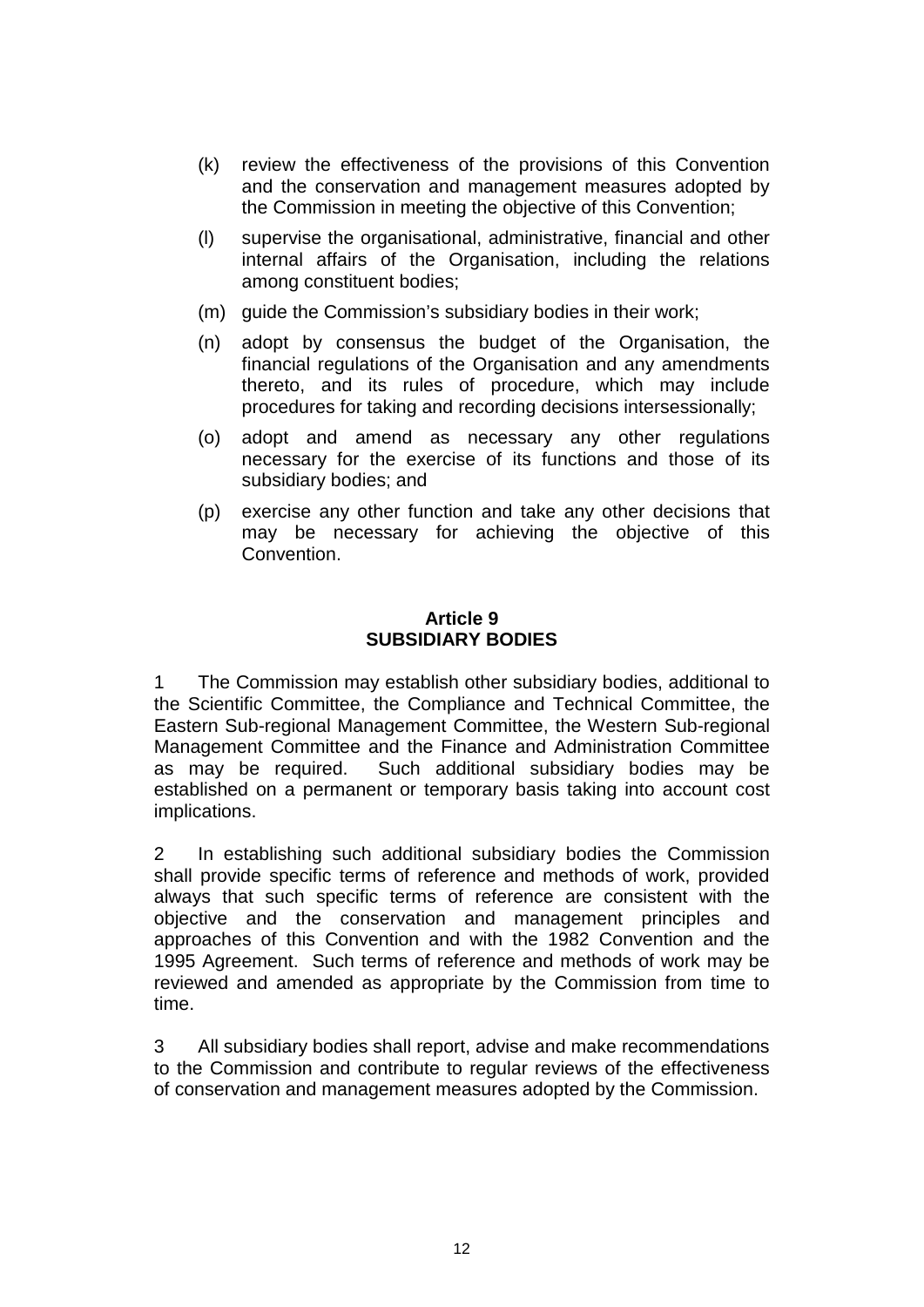- (k) review the effectiveness of the provisions of this Convention and the conservation and management measures adopted by the Commission in meeting the objective of this Convention;
- (l) supervise the organisational, administrative, financial and other internal affairs of the Organisation, including the relations among constituent bodies;
- (m) guide the Commission's subsidiary bodies in their work;
- (n) adopt by consensus the budget of the Organisation, the financial regulations of the Organisation and any amendments thereto, and its rules of procedure, which may include procedures for taking and recording decisions intersessionally;
- (o) adopt and amend as necessary any other regulations necessary for the exercise of its functions and those of its subsidiary bodies; and
- (p) exercise any other function and take any other decisions that may be necessary for achieving the objective of this Convention.

## **Article 9 SUBSIDIARY BODIES**

1 The Commission may establish other subsidiary bodies, additional to the Scientific Committee, the Compliance and Technical Committee, the Eastern Sub-regional Management Committee, the Western Sub-regional Management Committee and the Finance and Administration Committee as may be required. Such additional subsidiary bodies may be established on a permanent or temporary basis taking into account cost implications.

2 In establishing such additional subsidiary bodies the Commission shall provide specific terms of reference and methods of work, provided always that such specific terms of reference are consistent with the objective and the conservation and management principles and approaches of this Convention and with the 1982 Convention and the 1995 Agreement. Such terms of reference and methods of work may be reviewed and amended as appropriate by the Commission from time to time.

3 All subsidiary bodies shall report, advise and make recommendations to the Commission and contribute to regular reviews of the effectiveness of conservation and management measures adopted by the Commission.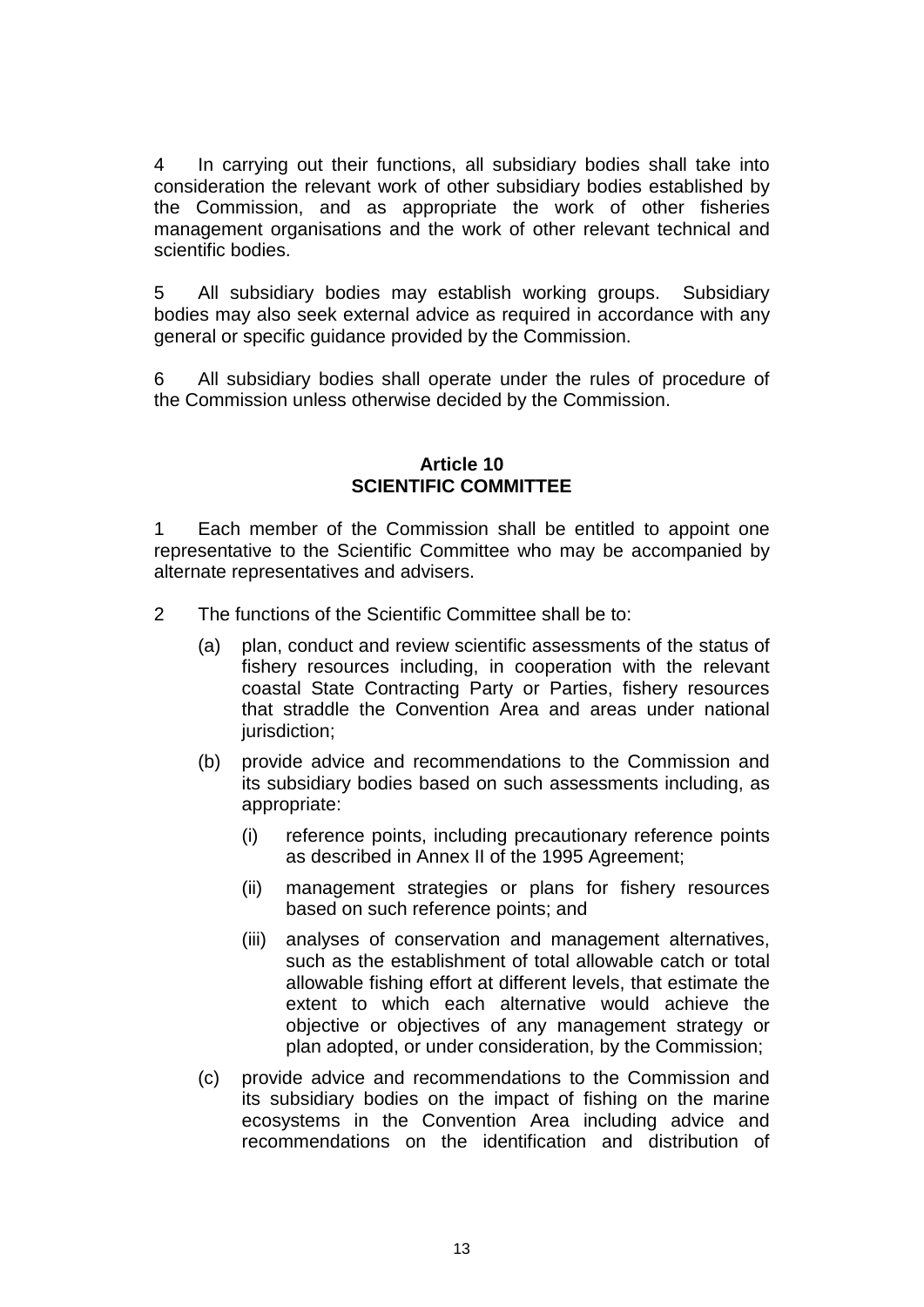4 In carrying out their functions, all subsidiary bodies shall take into consideration the relevant work of other subsidiary bodies established by the Commission, and as appropriate the work of other fisheries management organisations and the work of other relevant technical and scientific bodies.

5 All subsidiary bodies may establish working groups. Subsidiary bodies may also seek external advice as required in accordance with any general or specific guidance provided by the Commission.

6 All subsidiary bodies shall operate under the rules of procedure of the Commission unless otherwise decided by the Commission.

# **Article 10 SCIENTIFIC COMMITTEE**

1 Each member of the Commission shall be entitled to appoint one representative to the Scientific Committee who may be accompanied by alternate representatives and advisers.

- 2 The functions of the Scientific Committee shall be to:
	- (a) plan, conduct and review scientific assessments of the status of fishery resources including, in cooperation with the relevant coastal State Contracting Party or Parties, fishery resources that straddle the Convention Area and areas under national jurisdiction;
	- (b) provide advice and recommendations to the Commission and its subsidiary bodies based on such assessments including, as appropriate:
		- (i) reference points, including precautionary reference points as described in Annex II of the 1995 Agreement;
		- (ii) management strategies or plans for fishery resources based on such reference points; and
		- (iii) analyses of conservation and management alternatives, such as the establishment of total allowable catch or total allowable fishing effort at different levels, that estimate the extent to which each alternative would achieve the objective or objectives of any management strategy or plan adopted, or under consideration, by the Commission;
	- (c) provide advice and recommendations to the Commission and its subsidiary bodies on the impact of fishing on the marine ecosystems in the Convention Area including advice and recommendations on the identification and distribution of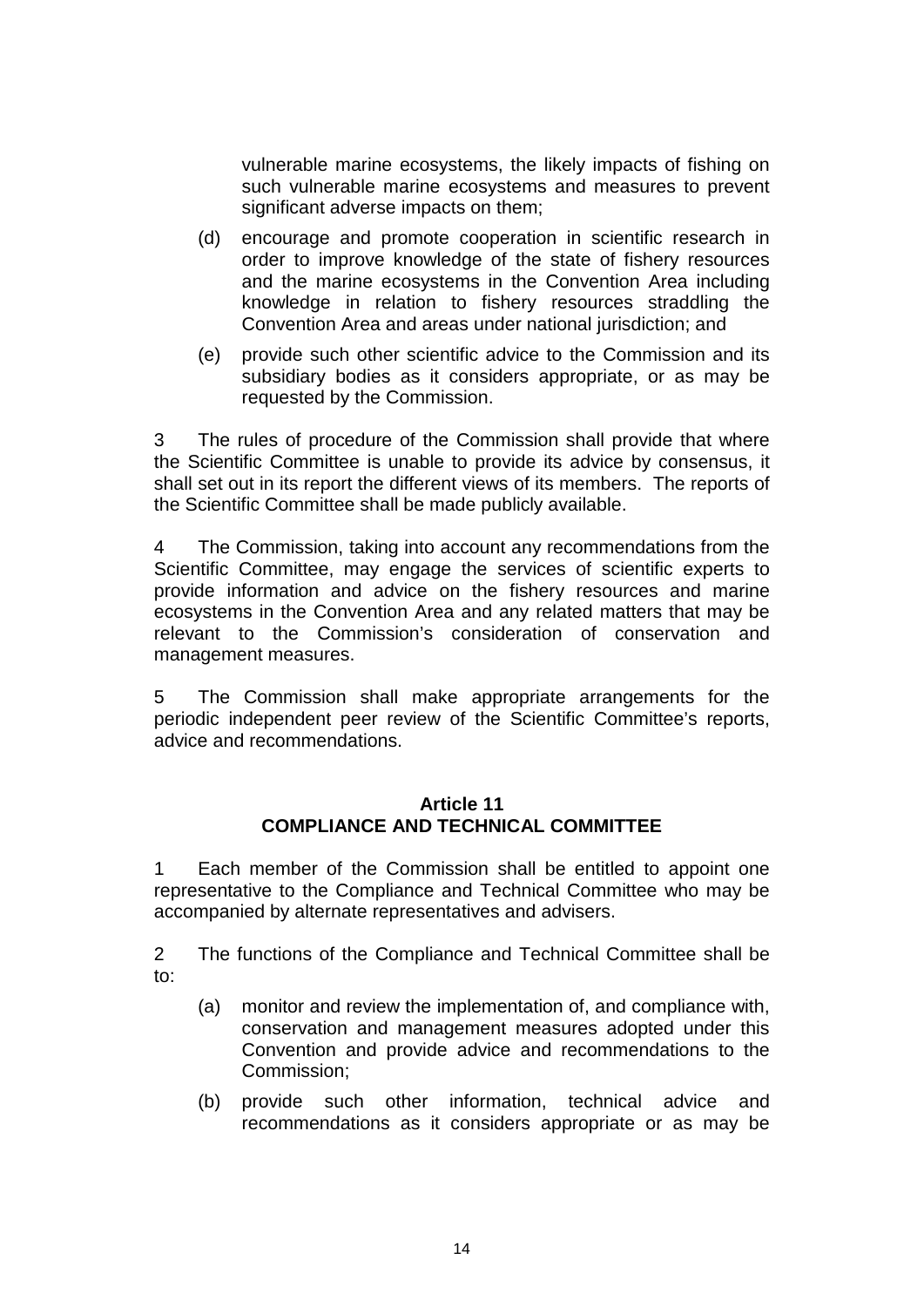vulnerable marine ecosystems, the likely impacts of fishing on such vulnerable marine ecosystems and measures to prevent significant adverse impacts on them;

- (d) encourage and promote cooperation in scientific research in order to improve knowledge of the state of fishery resources and the marine ecosystems in the Convention Area including knowledge in relation to fishery resources straddling the Convention Area and areas under national jurisdiction; and
- (e) provide such other scientific advice to the Commission and its subsidiary bodies as it considers appropriate, or as may be requested by the Commission.

3 The rules of procedure of the Commission shall provide that where the Scientific Committee is unable to provide its advice by consensus, it shall set out in its report the different views of its members. The reports of the Scientific Committee shall be made publicly available.

4 The Commission, taking into account any recommendations from the Scientific Committee, may engage the services of scientific experts to provide information and advice on the fishery resources and marine ecosystems in the Convention Area and any related matters that may be relevant to the Commission's consideration of conservation and management measures.

5 The Commission shall make appropriate arrangements for the periodic independent peer review of the Scientific Committee's reports, advice and recommendations.

## **Article 11 COMPLIANCE AND TECHNICAL COMMITTEE**

1 Each member of the Commission shall be entitled to appoint one representative to the Compliance and Technical Committee who may be accompanied by alternate representatives and advisers.

2 The functions of the Compliance and Technical Committee shall be to:

- (a) monitor and review the implementation of, and compliance with, conservation and management measures adopted under this Convention and provide advice and recommendations to the Commission;
- (b) provide such other information, technical advice and recommendations as it considers appropriate or as may be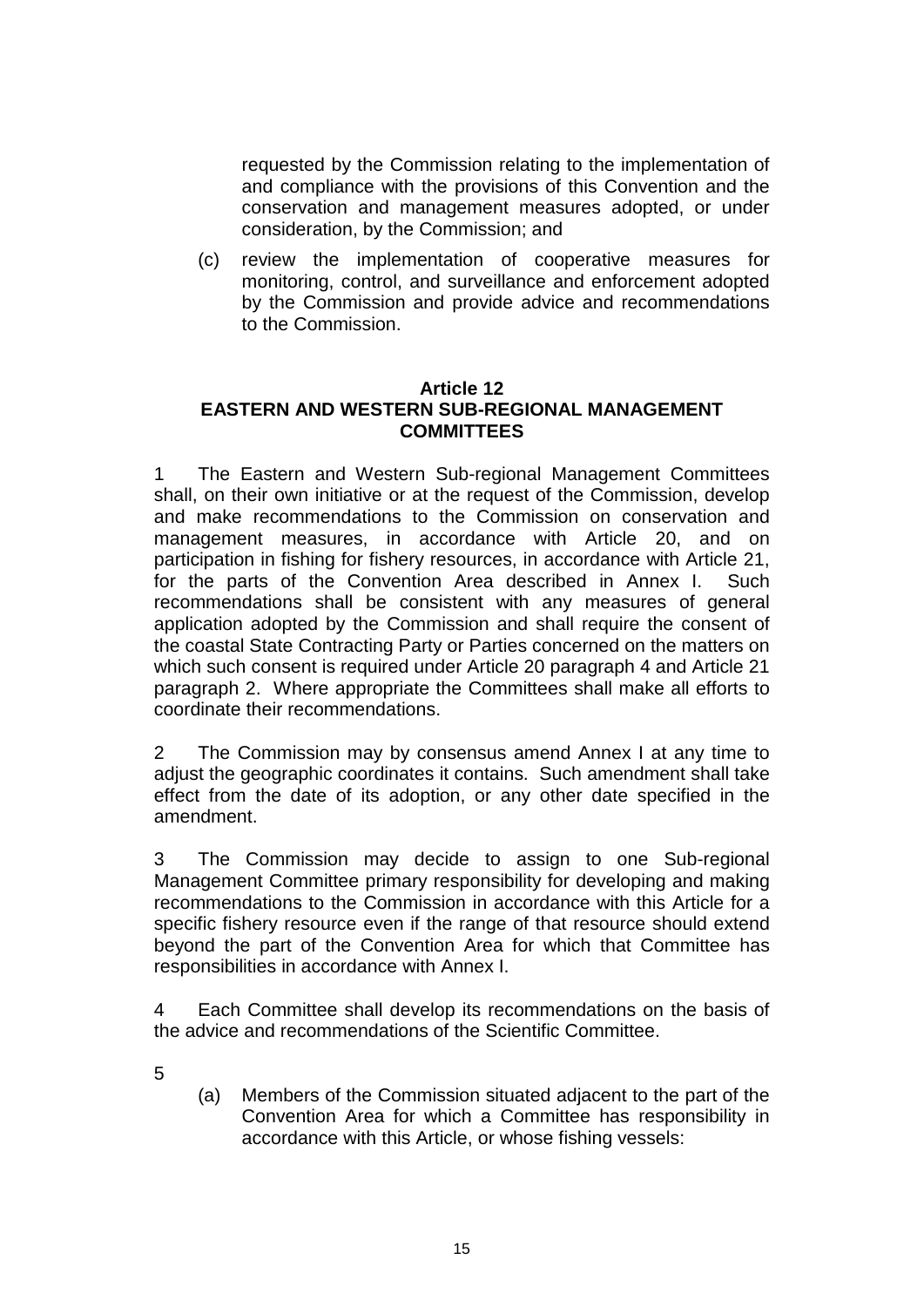requested by the Commission relating to the implementation of and compliance with the provisions of this Convention and the conservation and management measures adopted, or under consideration, by the Commission; and

(c) review the implementation of cooperative measures for monitoring, control, and surveillance and enforcement adopted by the Commission and provide advice and recommendations to the Commission.

# **Article 12 EASTERN AND WESTERN SUB-REGIONAL MANAGEMENT COMMITTEES**

1 The Eastern and Western Sub-regional Management Committees shall, on their own initiative or at the request of the Commission, develop and make recommendations to the Commission on conservation and management measures, in accordance with Article 20, and on participation in fishing for fishery resources, in accordance with Article 21, for the parts of the Convention Area described in Annex I. Such recommendations shall be consistent with any measures of general application adopted by the Commission and shall require the consent of the coastal State Contracting Party or Parties concerned on the matters on which such consent is required under Article 20 paragraph 4 and Article 21 paragraph 2. Where appropriate the Committees shall make all efforts to coordinate their recommendations.

2 The Commission may by consensus amend Annex I at any time to adjust the geographic coordinates it contains. Such amendment shall take effect from the date of its adoption, or any other date specified in the amendment.

3 The Commission may decide to assign to one Sub-regional Management Committee primary responsibility for developing and making recommendations to the Commission in accordance with this Article for a specific fishery resource even if the range of that resource should extend beyond the part of the Convention Area for which that Committee has responsibilities in accordance with Annex I.

4 Each Committee shall develop its recommendations on the basis of the advice and recommendations of the Scientific Committee.

- 5
- (a) Members of the Commission situated adjacent to the part of the Convention Area for which a Committee has responsibility in accordance with this Article, or whose fishing vessels: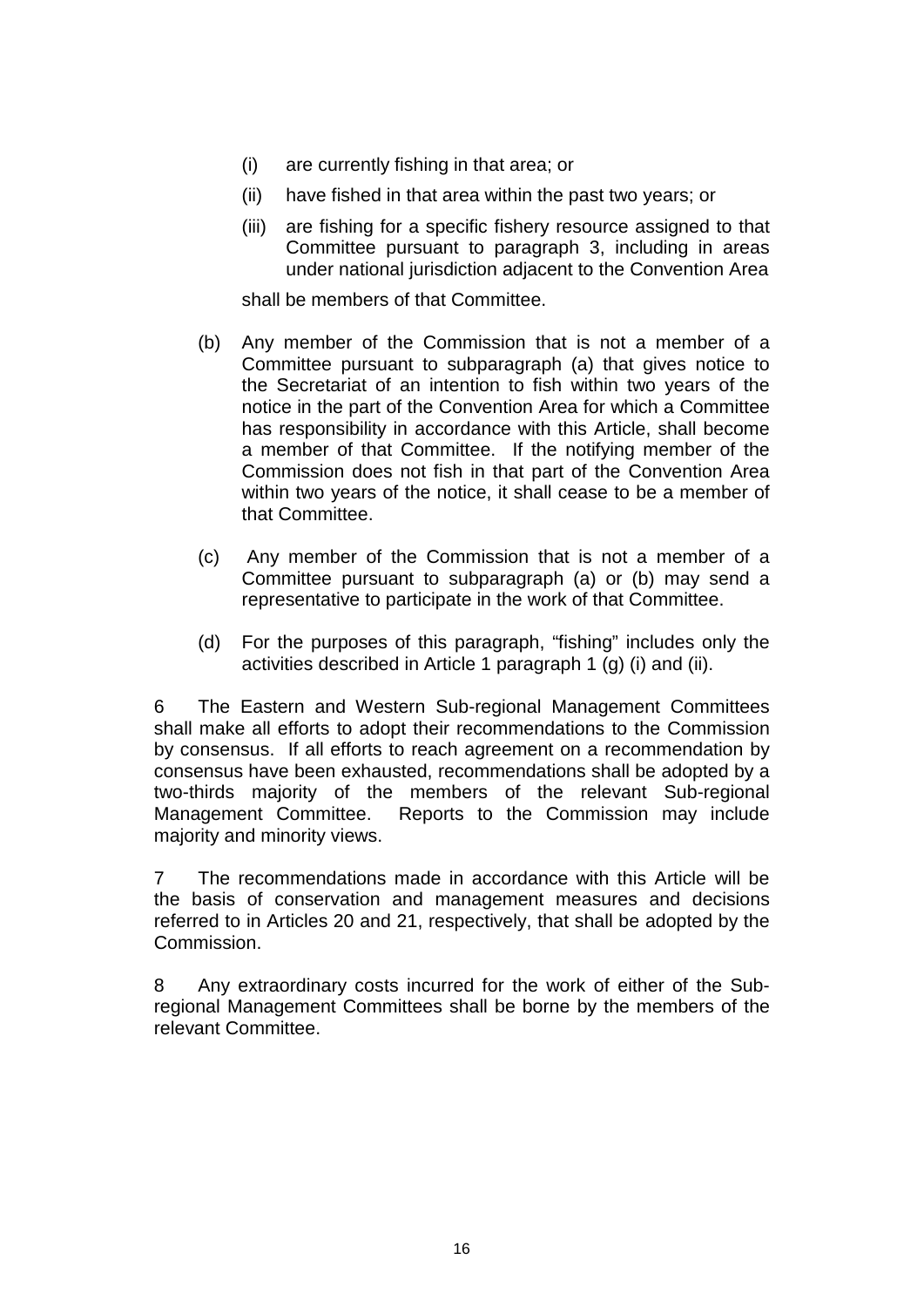- (i) are currently fishing in that area; or
- (ii) have fished in that area within the past two years; or
- (iii) are fishing for a specific fishery resource assigned to that Committee pursuant to paragraph 3, including in areas under national jurisdiction adjacent to the Convention Area

shall be members of that Committee.

- (b) Any member of the Commission that is not a member of a Committee pursuant to subparagraph (a) that gives notice to the Secretariat of an intention to fish within two years of the notice in the part of the Convention Area for which a Committee has responsibility in accordance with this Article, shall become a member of that Committee. If the notifying member of the Commission does not fish in that part of the Convention Area within two years of the notice, it shall cease to be a member of that Committee.
- (c) Any member of the Commission that is not a member of a Committee pursuant to subparagraph (a) or (b) may send a representative to participate in the work of that Committee.
- (d) For the purposes of this paragraph, "fishing" includes only the activities described in Article 1 paragraph 1 (g) (i) and (ii).

6 The Eastern and Western Sub-regional Management Committees shall make all efforts to adopt their recommendations to the Commission by consensus. If all efforts to reach agreement on a recommendation by consensus have been exhausted, recommendations shall be adopted by a two-thirds majority of the members of the relevant Sub-regional Management Committee. Reports to the Commission may include majority and minority views.

7 The recommendations made in accordance with this Article will be the basis of conservation and management measures and decisions referred to in Articles 20 and 21, respectively, that shall be adopted by the Commission.

8 Any extraordinary costs incurred for the work of either of the Subregional Management Committees shall be borne by the members of the relevant Committee.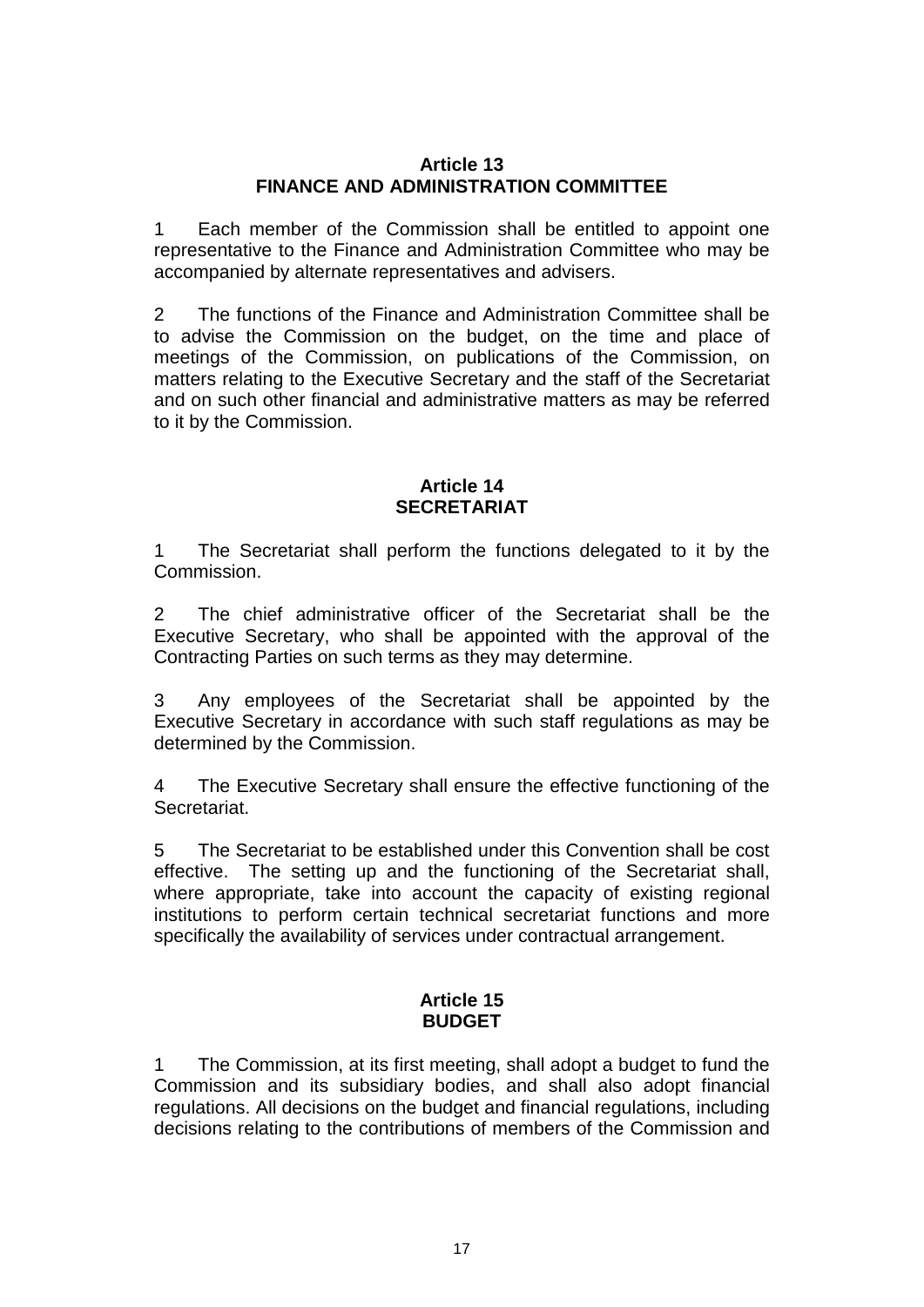# **Article 13 FINANCE AND ADMINISTRATION COMMITTEE**

1 Each member of the Commission shall be entitled to appoint one representative to the Finance and Administration Committee who may be accompanied by alternate representatives and advisers.

2 The functions of the Finance and Administration Committee shall be to advise the Commission on the budget, on the time and place of meetings of the Commission, on publications of the Commission, on matters relating to the Executive Secretary and the staff of the Secretariat and on such other financial and administrative matters as may be referred to it by the Commission.

# **Article 14 SECRETARIAT**

1 The Secretariat shall perform the functions delegated to it by the Commission.

2 The chief administrative officer of the Secretariat shall be the Executive Secretary, who shall be appointed with the approval of the Contracting Parties on such terms as they may determine.

3 Any employees of the Secretariat shall be appointed by the Executive Secretary in accordance with such staff regulations as may be determined by the Commission.

4 The Executive Secretary shall ensure the effective functioning of the **Secretariat.** 

5 The Secretariat to be established under this Convention shall be cost effective. The setting up and the functioning of the Secretariat shall, where appropriate, take into account the capacity of existing regional institutions to perform certain technical secretariat functions and more specifically the availability of services under contractual arrangement.

# **Article 15 BUDGET**

1 The Commission, at its first meeting, shall adopt a budget to fund the Commission and its subsidiary bodies, and shall also adopt financial regulations. All decisions on the budget and financial regulations, including decisions relating to the contributions of members of the Commission and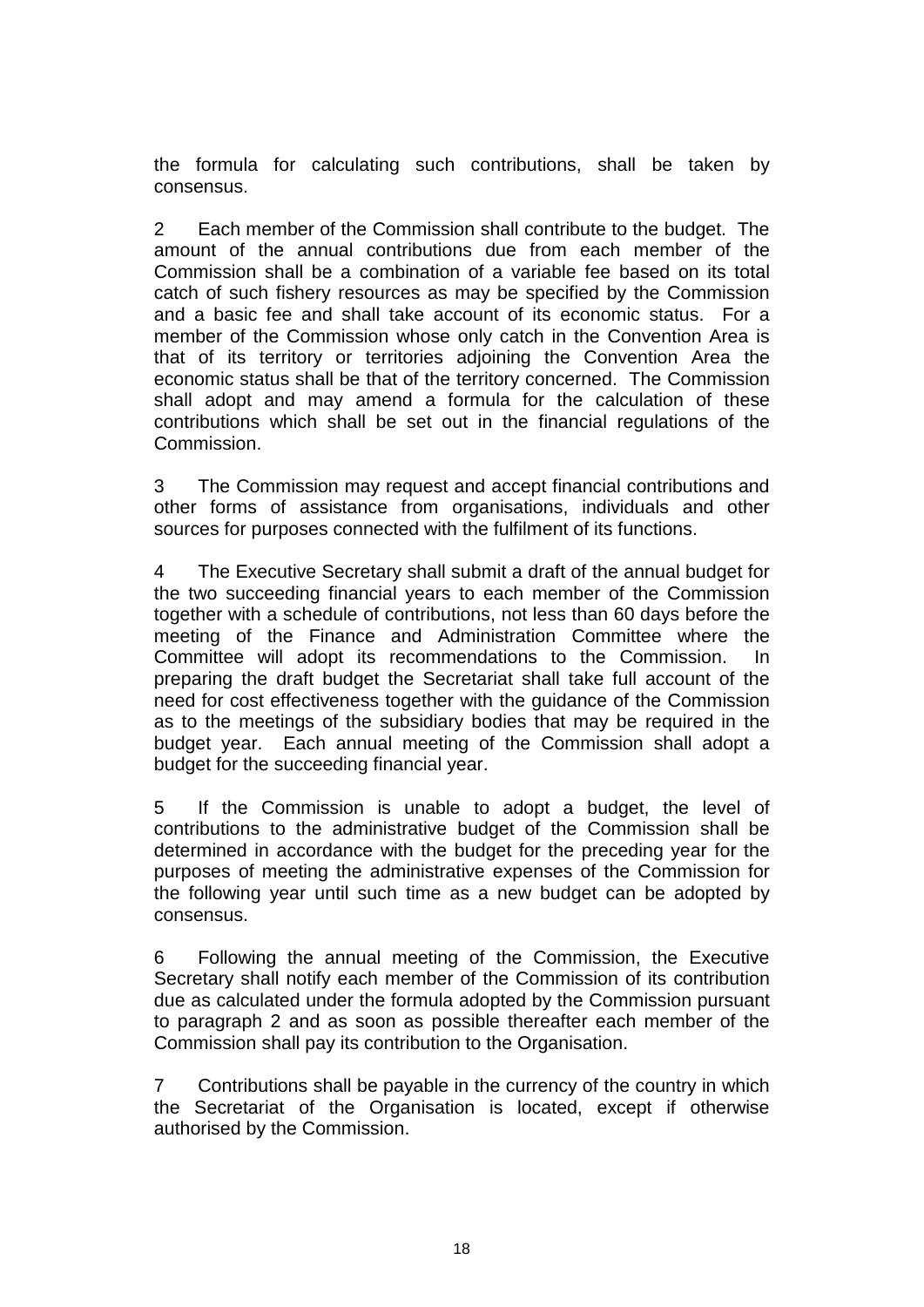the formula for calculating such contributions, shall be taken by consensus.

2 Each member of the Commission shall contribute to the budget. The amount of the annual contributions due from each member of the Commission shall be a combination of a variable fee based on its total catch of such fishery resources as may be specified by the Commission and a basic fee and shall take account of its economic status. For a member of the Commission whose only catch in the Convention Area is that of its territory or territories adjoining the Convention Area the economic status shall be that of the territory concerned. The Commission shall adopt and may amend a formula for the calculation of these contributions which shall be set out in the financial regulations of the Commission.

3 The Commission may request and accept financial contributions and other forms of assistance from organisations, individuals and other sources for purposes connected with the fulfilment of its functions.

4 The Executive Secretary shall submit a draft of the annual budget for the two succeeding financial years to each member of the Commission together with a schedule of contributions, not less than 60 days before the meeting of the Finance and Administration Committee where the Committee will adopt its recommendations to the Commission. In preparing the draft budget the Secretariat shall take full account of the need for cost effectiveness together with the guidance of the Commission as to the meetings of the subsidiary bodies that may be required in the budget year. Each annual meeting of the Commission shall adopt a budget for the succeeding financial year.

5 If the Commission is unable to adopt a budget, the level of contributions to the administrative budget of the Commission shall be determined in accordance with the budget for the preceding year for the purposes of meeting the administrative expenses of the Commission for the following year until such time as a new budget can be adopted by consensus.

6 Following the annual meeting of the Commission, the Executive Secretary shall notify each member of the Commission of its contribution due as calculated under the formula adopted by the Commission pursuant to paragraph 2 and as soon as possible thereafter each member of the Commission shall pay its contribution to the Organisation.

7 Contributions shall be payable in the currency of the country in which the Secretariat of the Organisation is located, except if otherwise authorised by the Commission.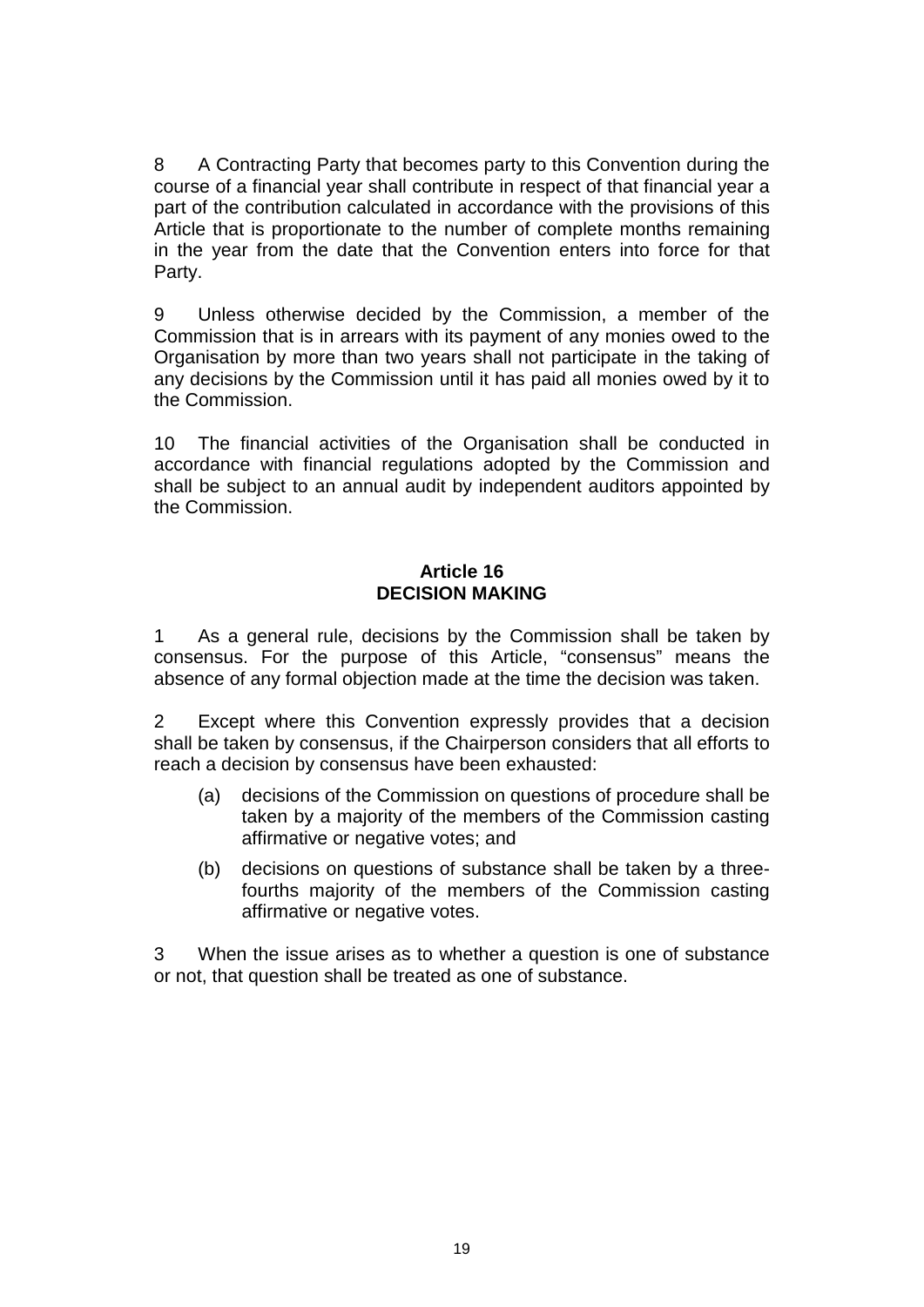8 A Contracting Party that becomes party to this Convention during the course of a financial year shall contribute in respect of that financial year a part of the contribution calculated in accordance with the provisions of this Article that is proportionate to the number of complete months remaining in the year from the date that the Convention enters into force for that Party.

9 Unless otherwise decided by the Commission, a member of the Commission that is in arrears with its payment of any monies owed to the Organisation by more than two years shall not participate in the taking of any decisions by the Commission until it has paid all monies owed by it to the Commission.

10 The financial activities of the Organisation shall be conducted in accordance with financial regulations adopted by the Commission and shall be subject to an annual audit by independent auditors appointed by the Commission.

# **Article 16 DECISION MAKING**

1 As a general rule, decisions by the Commission shall be taken by consensus. For the purpose of this Article, "consensus" means the absence of any formal objection made at the time the decision was taken.

2 Except where this Convention expressly provides that a decision shall be taken by consensus, if the Chairperson considers that all efforts to reach a decision by consensus have been exhausted:

- (a) decisions of the Commission on questions of procedure shall be taken by a majority of the members of the Commission casting affirmative or negative votes; and
- (b) decisions on questions of substance shall be taken by a threefourths majority of the members of the Commission casting affirmative or negative votes.

3 When the issue arises as to whether a question is one of substance or not, that question shall be treated as one of substance.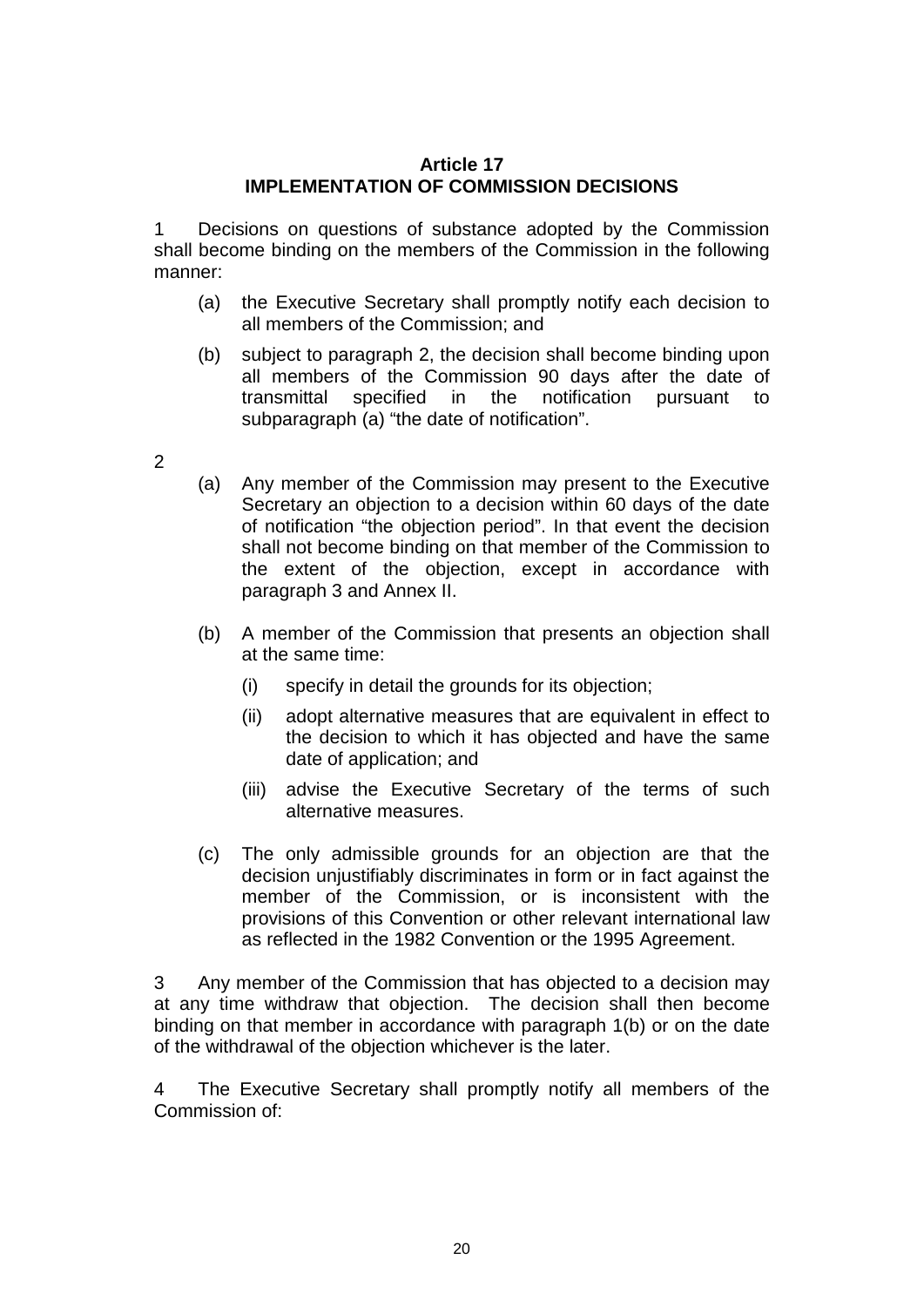# **Article 17 IMPLEMENTATION OF COMMISSION DECISIONS**

1 Decisions on questions of substance adopted by the Commission shall become binding on the members of the Commission in the following manner:

- (a) the Executive Secretary shall promptly notify each decision to all members of the Commission; and
- (b) subject to paragraph 2, the decision shall become binding upon all members of the Commission 90 days after the date of transmittal specified in the notification pursuant to subparagraph (a) "the date of notification".
- $\mathfrak{D}$
- (a) Any member of the Commission may present to the Executive Secretary an objection to a decision within 60 days of the date of notification "the objection period". In that event the decision shall not become binding on that member of the Commission to the extent of the objection, except in accordance with paragraph 3 and Annex II.
- (b) A member of the Commission that presents an objection shall at the same time:
	- (i) specify in detail the grounds for its objection;
	- (ii) adopt alternative measures that are equivalent in effect to the decision to which it has objected and have the same date of application; and
	- (iii) advise the Executive Secretary of the terms of such alternative measures.
- (c) The only admissible grounds for an objection are that the decision unjustifiably discriminates in form or in fact against the member of the Commission, or is inconsistent with the provisions of this Convention or other relevant international law as reflected in the 1982 Convention or the 1995 Agreement.

3 Any member of the Commission that has objected to a decision may at any time withdraw that objection. The decision shall then become binding on that member in accordance with paragraph 1(b) or on the date of the withdrawal of the objection whichever is the later.

4 The Executive Secretary shall promptly notify all members of the Commission of: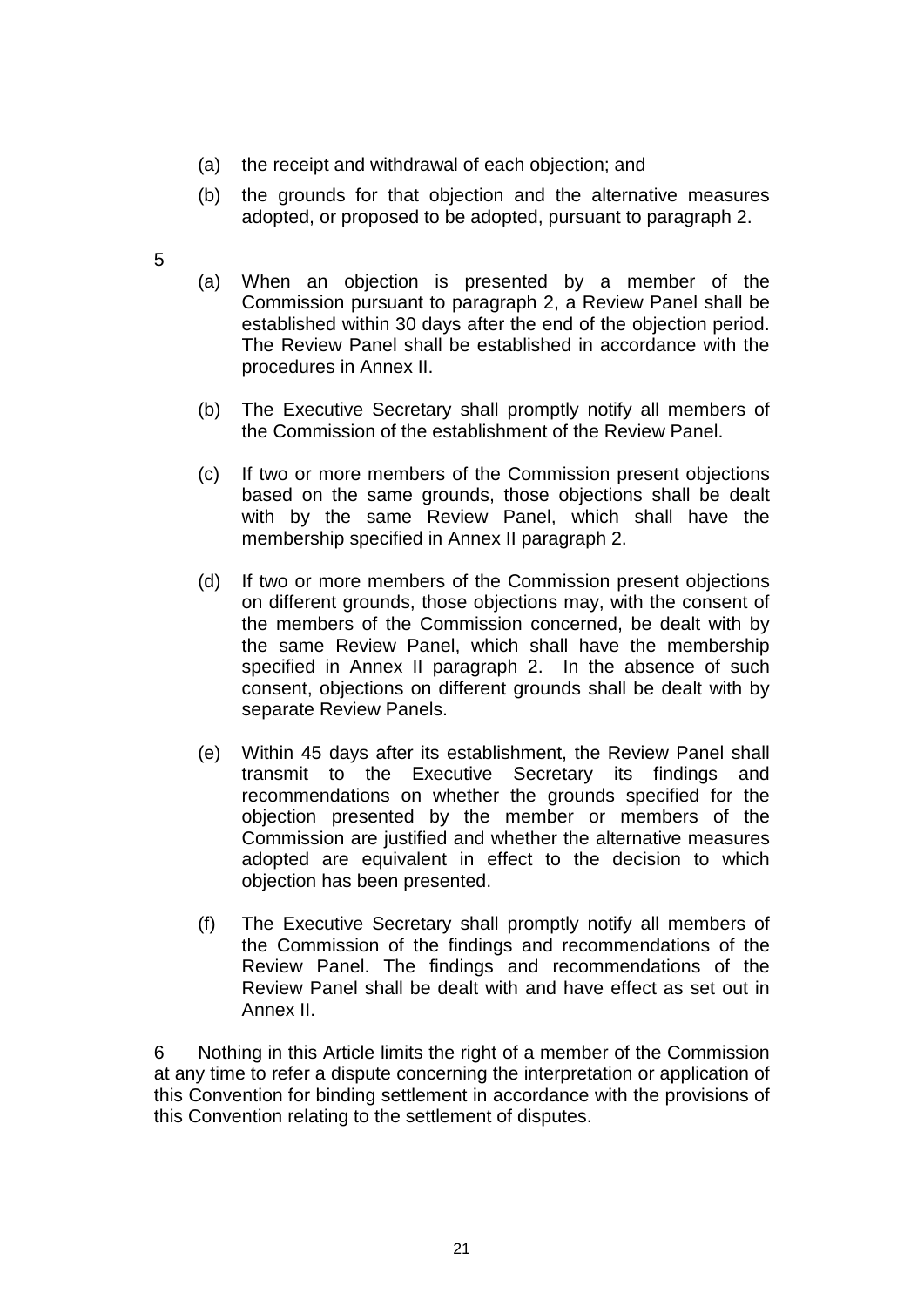- (a) the receipt and withdrawal of each objection; and
- (b) the grounds for that objection and the alternative measures adopted, or proposed to be adopted, pursuant to paragraph 2.
- 5
- (a) When an objection is presented by a member of the Commission pursuant to paragraph 2, a Review Panel shall be established within 30 days after the end of the objection period. The Review Panel shall be established in accordance with the procedures in Annex II.
- (b) The Executive Secretary shall promptly notify all members of the Commission of the establishment of the Review Panel.
- (c) If two or more members of the Commission present objections based on the same grounds, those objections shall be dealt with by the same Review Panel, which shall have the membership specified in Annex II paragraph 2.
- (d) If two or more members of the Commission present objections on different grounds, those objections may, with the consent of the members of the Commission concerned, be dealt with by the same Review Panel, which shall have the membership specified in Annex II paragraph 2. In the absence of such consent, objections on different grounds shall be dealt with by separate Review Panels.
- (e) Within 45 days after its establishment, the Review Panel shall transmit to the Executive Secretary its findings and recommendations on whether the grounds specified for the objection presented by the member or members of the Commission are justified and whether the alternative measures adopted are equivalent in effect to the decision to which objection has been presented.
- (f) The Executive Secretary shall promptly notify all members of the Commission of the findings and recommendations of the Review Panel. The findings and recommendations of the Review Panel shall be dealt with and have effect as set out in Annex II.

6 Nothing in this Article limits the right of a member of the Commission at any time to refer a dispute concerning the interpretation or application of this Convention for binding settlement in accordance with the provisions of this Convention relating to the settlement of disputes.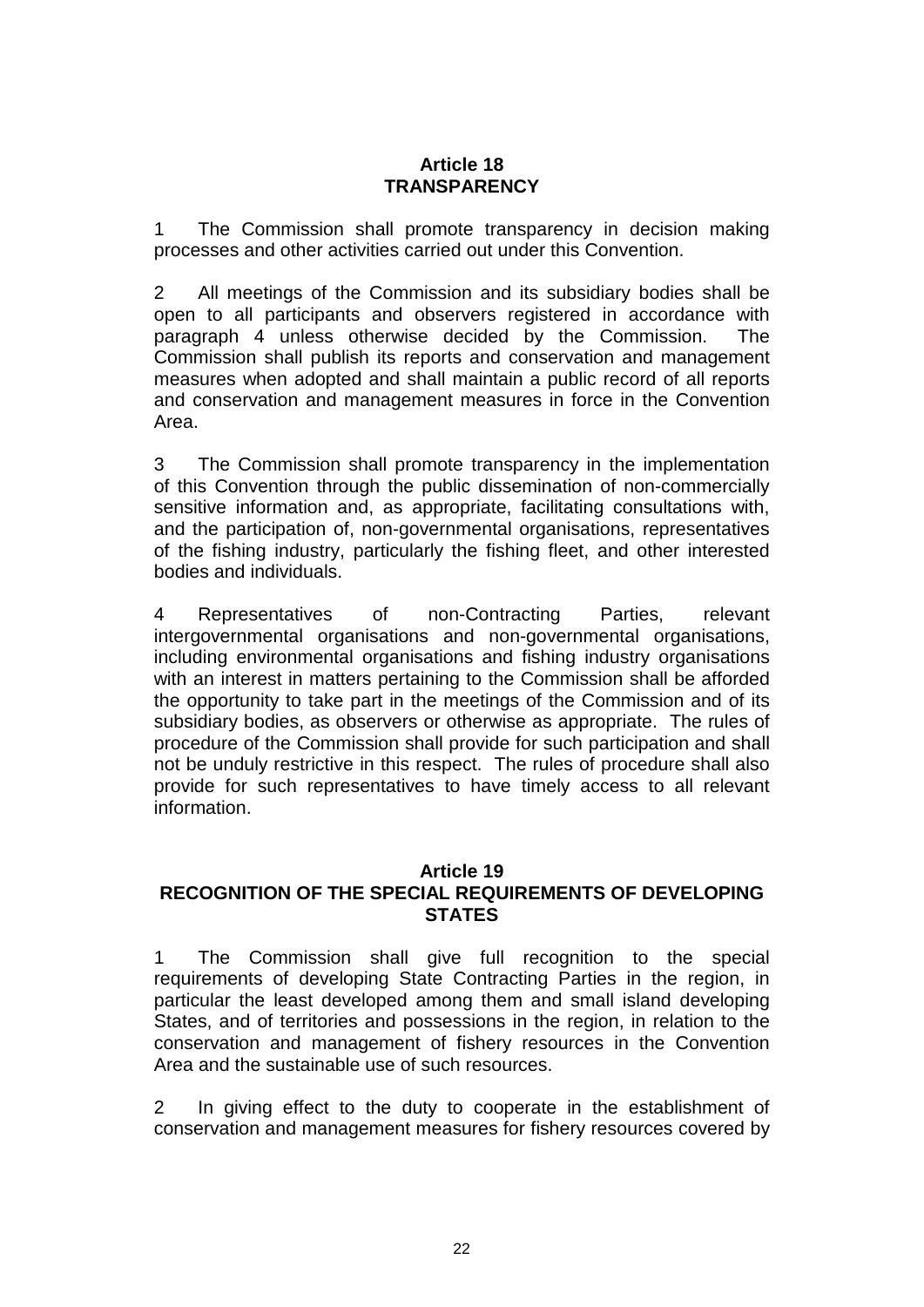# **Article 18 TRANSPARENCY**

1 The Commission shall promote transparency in decision making processes and other activities carried out under this Convention.

2 All meetings of the Commission and its subsidiary bodies shall be open to all participants and observers registered in accordance with paragraph 4 unless otherwise decided by the Commission. The Commission shall publish its reports and conservation and management measures when adopted and shall maintain a public record of all reports and conservation and management measures in force in the Convention Area.

3 The Commission shall promote transparency in the implementation of this Convention through the public dissemination of non-commercially sensitive information and, as appropriate, facilitating consultations with, and the participation of, non-governmental organisations, representatives of the fishing industry, particularly the fishing fleet, and other interested bodies and individuals.

4 Representatives of non-Contracting Parties, relevant intergovernmental organisations and non-governmental organisations, including environmental organisations and fishing industry organisations with an interest in matters pertaining to the Commission shall be afforded the opportunity to take part in the meetings of the Commission and of its subsidiary bodies, as observers or otherwise as appropriate. The rules of procedure of the Commission shall provide for such participation and shall not be unduly restrictive in this respect. The rules of procedure shall also provide for such representatives to have timely access to all relevant information.

#### **Article 19 RECOGNITION OF THE SPECIAL REQUIREMENTS OF DEVELOPING STATES**

1 The Commission shall give full recognition to the special requirements of developing State Contracting Parties in the region, in particular the least developed among them and small island developing States, and of territories and possessions in the region, in relation to the conservation and management of fishery resources in the Convention Area and the sustainable use of such resources.

2 In giving effect to the duty to cooperate in the establishment of conservation and management measures for fishery resources covered by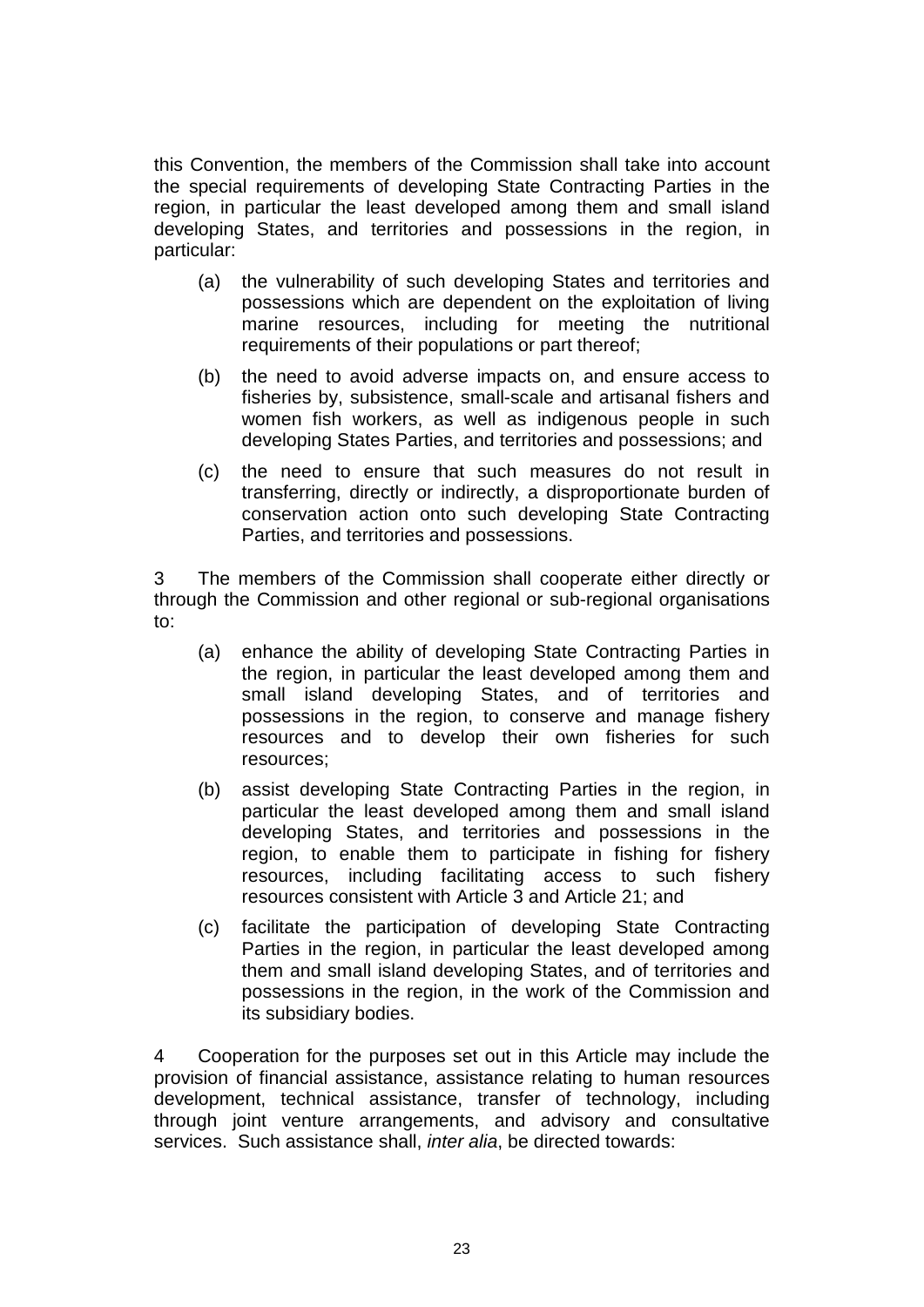this Convention, the members of the Commission shall take into account the special requirements of developing State Contracting Parties in the region, in particular the least developed among them and small island developing States, and territories and possessions in the region, in particular:

- (a) the vulnerability of such developing States and territories and possessions which are dependent on the exploitation of living marine resources, including for meeting the nutritional requirements of their populations or part thereof;
- (b) the need to avoid adverse impacts on, and ensure access to fisheries by, subsistence, small-scale and artisanal fishers and women fish workers, as well as indigenous people in such developing States Parties, and territories and possessions; and
- (c) the need to ensure that such measures do not result in transferring, directly or indirectly, a disproportionate burden of conservation action onto such developing State Contracting Parties, and territories and possessions.

3 The members of the Commission shall cooperate either directly or through the Commission and other regional or sub-regional organisations to:

- (a) enhance the ability of developing State Contracting Parties in the region, in particular the least developed among them and small island developing States, and of territories and possessions in the region, to conserve and manage fishery resources and to develop their own fisheries for such resources;
- (b) assist developing State Contracting Parties in the region, in particular the least developed among them and small island developing States, and territories and possessions in the region, to enable them to participate in fishing for fishery resources, including facilitating access to such fishery resources consistent with Article 3 and Article 21; and
- (c) facilitate the participation of developing State Contracting Parties in the region, in particular the least developed among them and small island developing States, and of territories and possessions in the region, in the work of the Commission and its subsidiary bodies.

4 Cooperation for the purposes set out in this Article may include the provision of financial assistance, assistance relating to human resources development, technical assistance, transfer of technology, including through joint venture arrangements, and advisory and consultative services. Such assistance shall, *inter alia*, be directed towards: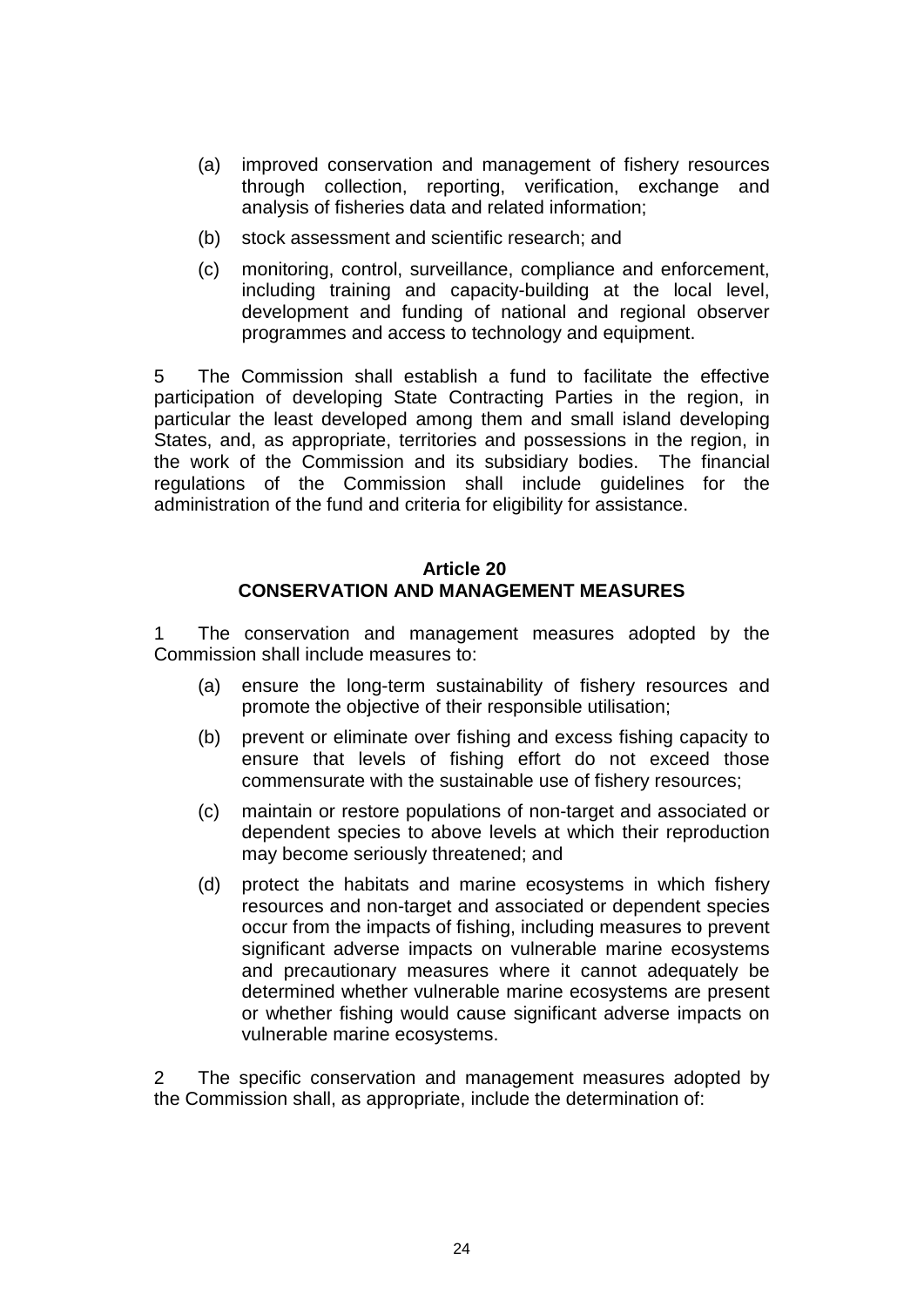- (a) improved conservation and management of fishery resources through collection, reporting, verification, exchange and analysis of fisheries data and related information;
- (b) stock assessment and scientific research; and
- (c) monitoring, control, surveillance, compliance and enforcement, including training and capacity-building at the local level, development and funding of national and regional observer programmes and access to technology and equipment.

5 The Commission shall establish a fund to facilitate the effective participation of developing State Contracting Parties in the region, in particular the least developed among them and small island developing States, and, as appropriate, territories and possessions in the region, in the work of the Commission and its subsidiary bodies. The financial regulations of the Commission shall include guidelines for the administration of the fund and criteria for eligibility for assistance.

# **Article 20 CONSERVATION AND MANAGEMENT MEASURES**

1 The conservation and management measures adopted by the Commission shall include measures to:

- (a) ensure the long-term sustainability of fishery resources and promote the objective of their responsible utilisation;
- (b) prevent or eliminate over fishing and excess fishing capacity to ensure that levels of fishing effort do not exceed those commensurate with the sustainable use of fishery resources;
- (c) maintain or restore populations of non-target and associated or dependent species to above levels at which their reproduction may become seriously threatened; and
- (d) protect the habitats and marine ecosystems in which fishery resources and non-target and associated or dependent species occur from the impacts of fishing, including measures to prevent significant adverse impacts on vulnerable marine ecosystems and precautionary measures where it cannot adequately be determined whether vulnerable marine ecosystems are present or whether fishing would cause significant adverse impacts on vulnerable marine ecosystems.

2 The specific conservation and management measures adopted by the Commission shall, as appropriate, include the determination of: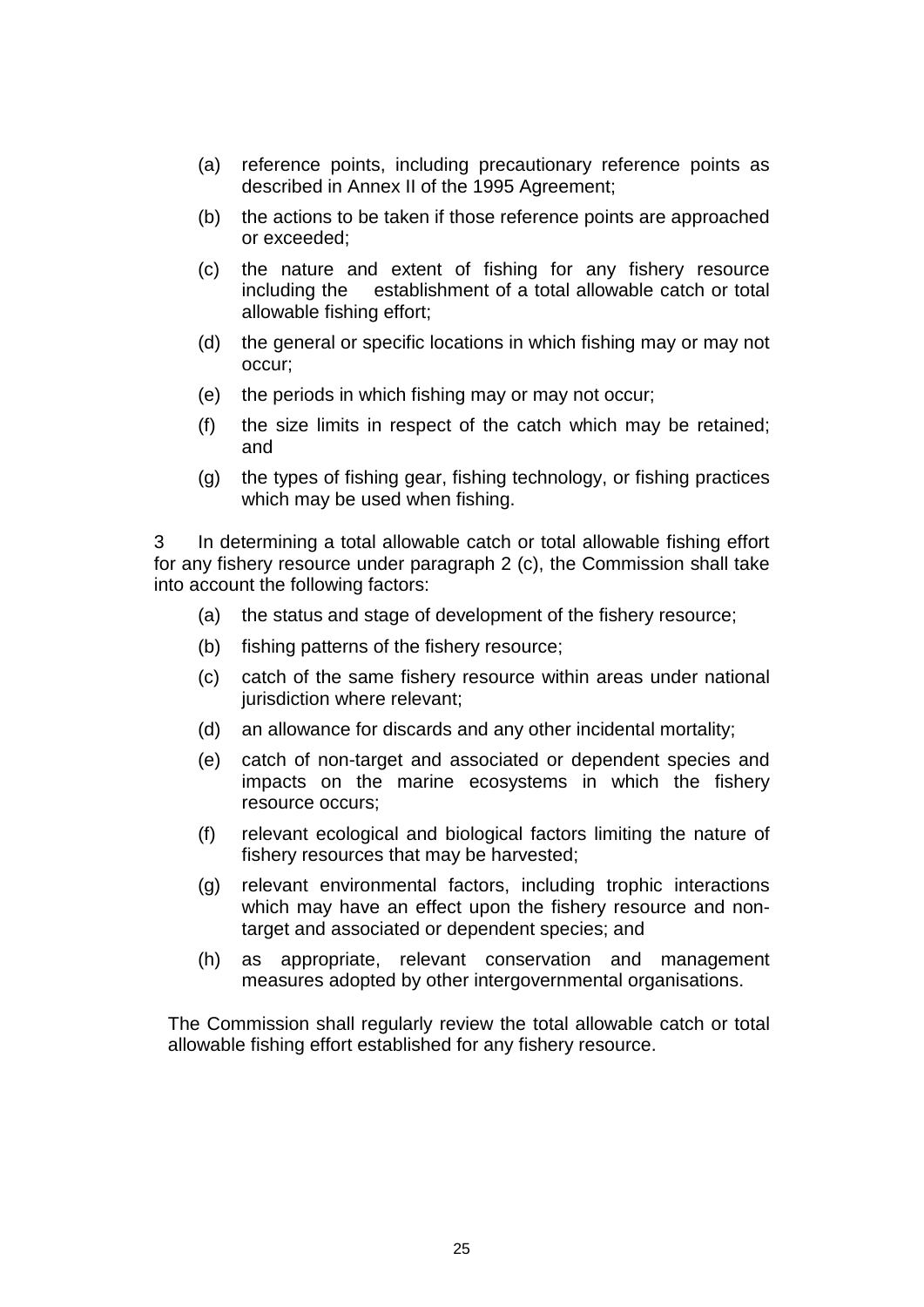- (a) reference points, including precautionary reference points as described in Annex II of the 1995 Agreement;
- (b) the actions to be taken if those reference points are approached or exceeded;
- (c) the nature and extent of fishing for any fishery resource including the establishment of a total allowable catch or total allowable fishing effort;
- (d) the general or specific locations in which fishing may or may not occur;
- (e) the periods in which fishing may or may not occur;
- (f) the size limits in respect of the catch which may be retained; and
- (g) the types of fishing gear, fishing technology, or fishing practices which may be used when fishing.

3 In determining a total allowable catch or total allowable fishing effort for any fishery resource under paragraph 2 (c), the Commission shall take into account the following factors:

- (a) the status and stage of development of the fishery resource;
- (b) fishing patterns of the fishery resource;
- (c) catch of the same fishery resource within areas under national jurisdiction where relevant;
- (d) an allowance for discards and any other incidental mortality;
- (e) catch of non-target and associated or dependent species and impacts on the marine ecosystems in which the fishery resource occurs;
- (f) relevant ecological and biological factors limiting the nature of fishery resources that may be harvested;
- (g) relevant environmental factors, including trophic interactions which may have an effect upon the fishery resource and nontarget and associated or dependent species; and
- (h) as appropriate, relevant conservation and management measures adopted by other intergovernmental organisations.

The Commission shall regularly review the total allowable catch or total allowable fishing effort established for any fishery resource.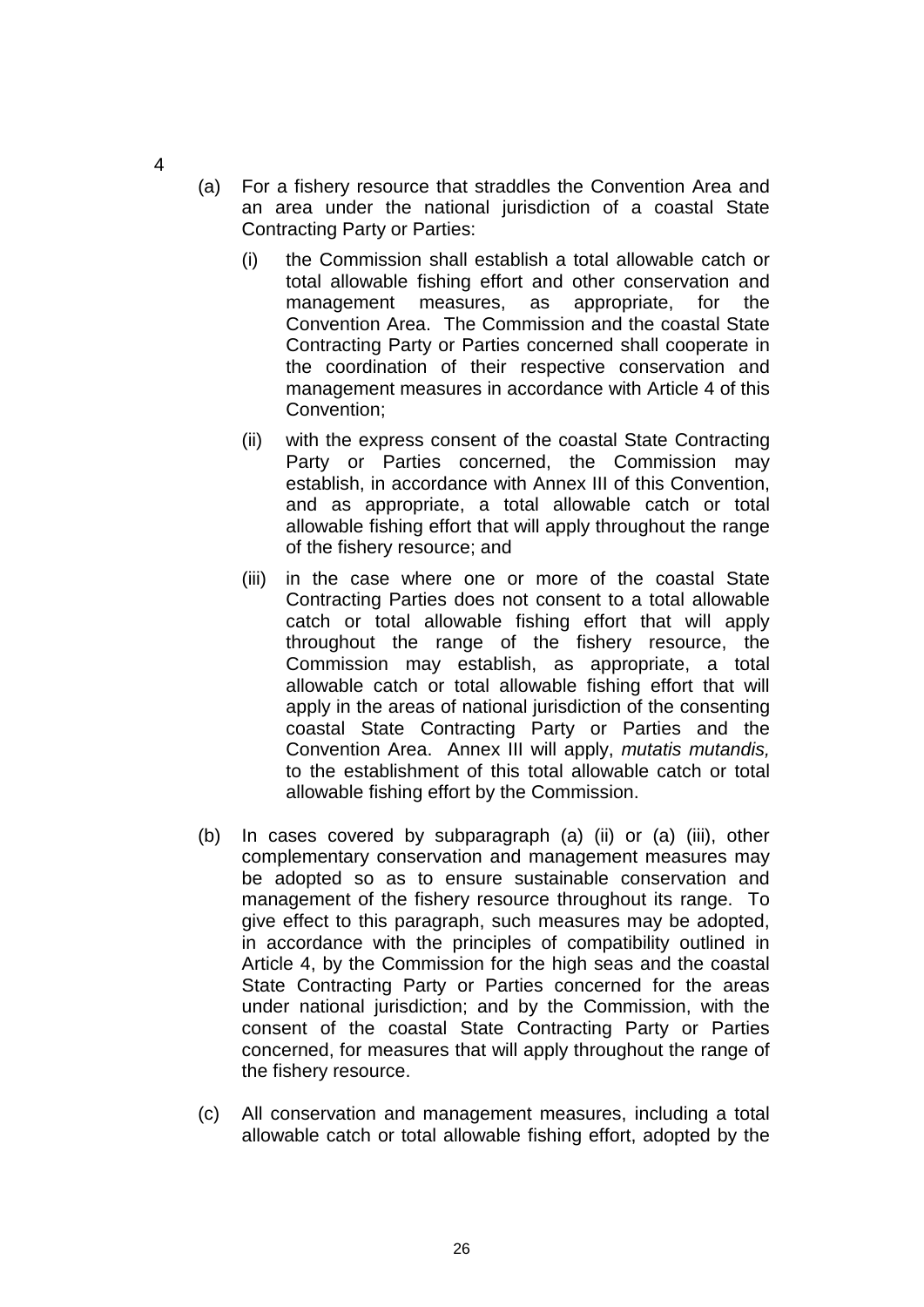- (a) For a fishery resource that straddles the Convention Area and an area under the national jurisdiction of a coastal State Contracting Party or Parties:
	- (i) the Commission shall establish a total allowable catch or total allowable fishing effort and other conservation and management measures, as appropriate, for the Convention Area. The Commission and the coastal State Contracting Party or Parties concerned shall cooperate in the coordination of their respective conservation and management measures in accordance with Article 4 of this Convention;
	- (ii) with the express consent of the coastal State Contracting Party or Parties concerned, the Commission may establish, in accordance with Annex III of this Convention, and as appropriate, a total allowable catch or total allowable fishing effort that will apply throughout the range of the fishery resource; and
	- (iii) in the case where one or more of the coastal State Contracting Parties does not consent to a total allowable catch or total allowable fishing effort that will apply throughout the range of the fishery resource, the Commission may establish, as appropriate, a total allowable catch or total allowable fishing effort that will apply in the areas of national jurisdiction of the consenting coastal State Contracting Party or Parties and the Convention Area. Annex III will apply, *mutatis mutandis,* to the establishment of this total allowable catch or total allowable fishing effort by the Commission.
- (b) In cases covered by subparagraph (a) (ii) or (a) (iii), other complementary conservation and management measures may be adopted so as to ensure sustainable conservation and management of the fishery resource throughout its range. To give effect to this paragraph, such measures may be adopted, in accordance with the principles of compatibility outlined in Article 4, by the Commission for the high seas and the coastal State Contracting Party or Parties concerned for the areas under national jurisdiction; and by the Commission, with the consent of the coastal State Contracting Party or Parties concerned, for measures that will apply throughout the range of the fishery resource.
- (c) All conservation and management measures, including a total allowable catch or total allowable fishing effort, adopted by the

4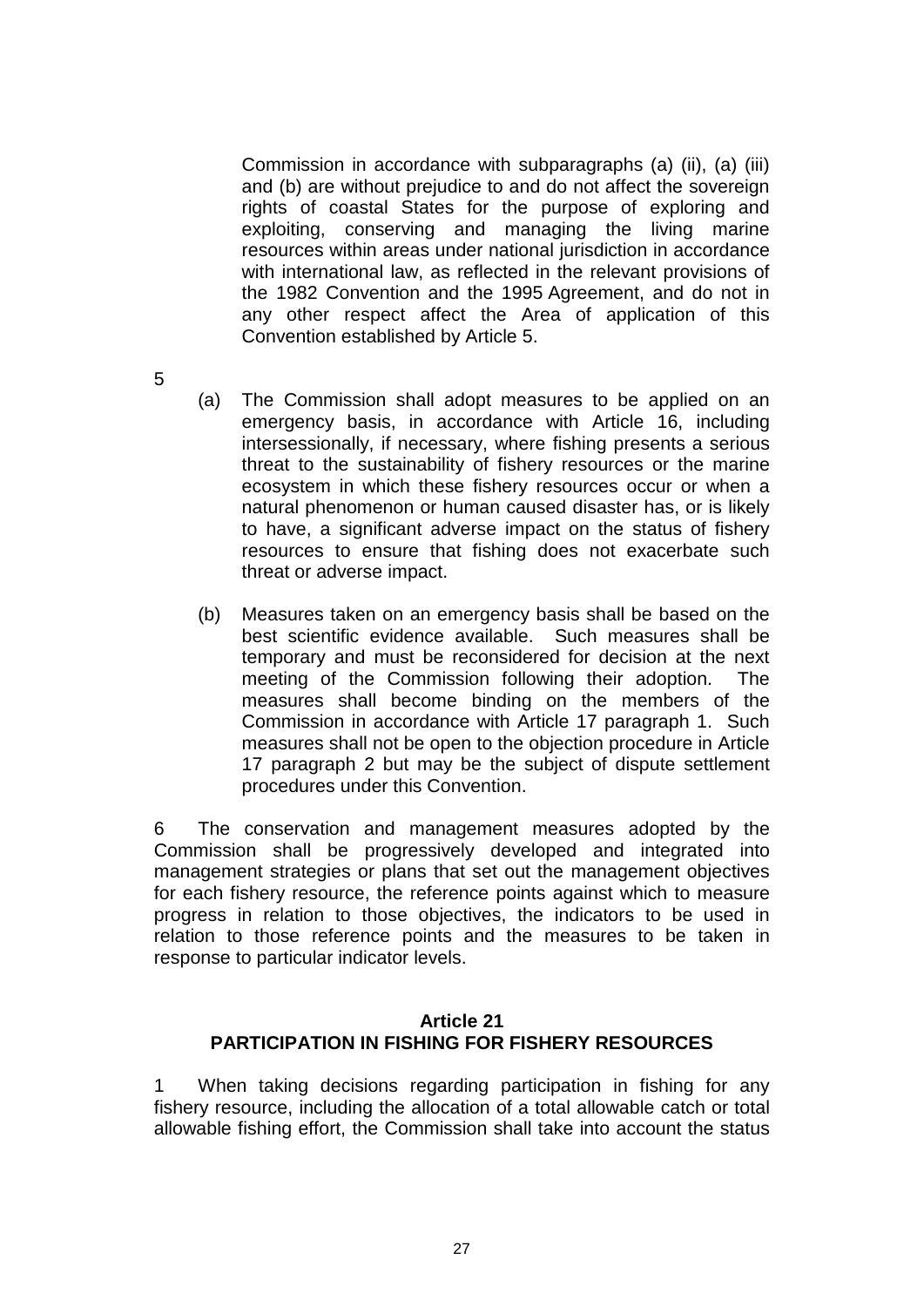Commission in accordance with subparagraphs (a) (ii), (a) (iii) and (b) are without prejudice to and do not affect the sovereign rights of coastal States for the purpose of exploring and exploiting, conserving and managing the living marine resources within areas under national jurisdiction in accordance with international law, as reflected in the relevant provisions of the 1982 Convention and the 1995 Agreement, and do not in any other respect affect the Area of application of this Convention established by Article 5.

- 5
- (a) The Commission shall adopt measures to be applied on an emergency basis, in accordance with Article 16, including intersessionally, if necessary, where fishing presents a serious threat to the sustainability of fishery resources or the marine ecosystem in which these fishery resources occur or when a natural phenomenon or human caused disaster has, or is likely to have, a significant adverse impact on the status of fishery resources to ensure that fishing does not exacerbate such threat or adverse impact.
- (b) Measures taken on an emergency basis shall be based on the best scientific evidence available. Such measures shall be temporary and must be reconsidered for decision at the next meeting of the Commission following their adoption. The measures shall become binding on the members of the Commission in accordance with Article 17 paragraph 1. Such measures shall not be open to the objection procedure in Article 17 paragraph 2 but may be the subject of dispute settlement procedures under this Convention.

6 The conservation and management measures adopted by the Commission shall be progressively developed and integrated into management strategies or plans that set out the management objectives for each fishery resource, the reference points against which to measure progress in relation to those objectives, the indicators to be used in relation to those reference points and the measures to be taken in response to particular indicator levels.

# **Article 21 PARTICIPATION IN FISHING FOR FISHERY RESOURCES**

When taking decisions regarding participation in fishing for any fishery resource, including the allocation of a total allowable catch or total allowable fishing effort, the Commission shall take into account the status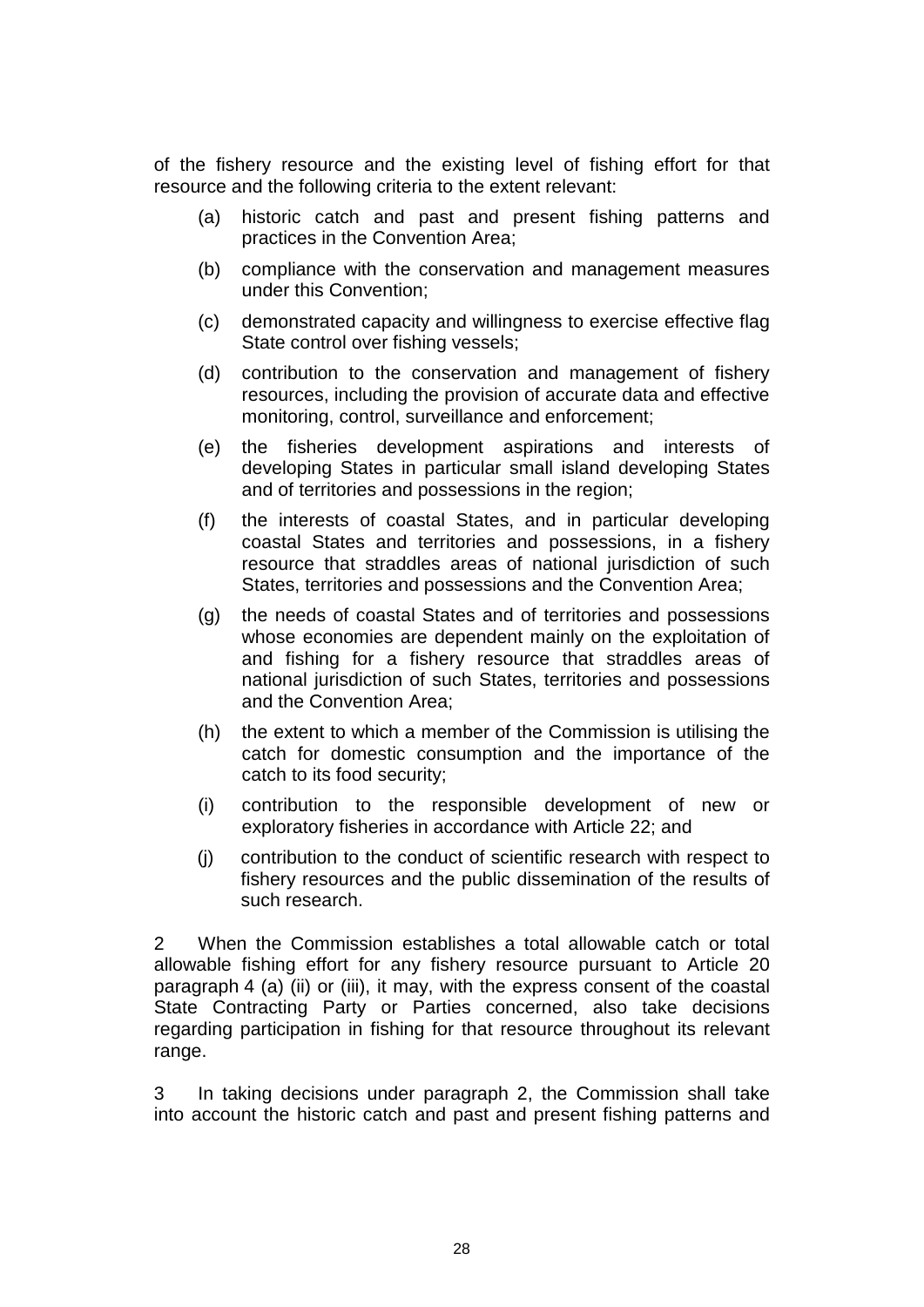of the fishery resource and the existing level of fishing effort for that resource and the following criteria to the extent relevant:

- (a) historic catch and past and present fishing patterns and practices in the Convention Area;
- (b) compliance with the conservation and management measures under this Convention;
- (c) demonstrated capacity and willingness to exercise effective flag State control over fishing vessels;
- (d) contribution to the conservation and management of fishery resources, including the provision of accurate data and effective monitoring, control, surveillance and enforcement;
- (e) the fisheries development aspirations and interests of developing States in particular small island developing States and of territories and possessions in the region;
- (f) the interests of coastal States, and in particular developing coastal States and territories and possessions, in a fishery resource that straddles areas of national jurisdiction of such States, territories and possessions and the Convention Area;
- (g) the needs of coastal States and of territories and possessions whose economies are dependent mainly on the exploitation of and fishing for a fishery resource that straddles areas of national jurisdiction of such States, territories and possessions and the Convention Area;
- (h) the extent to which a member of the Commission is utilising the catch for domestic consumption and the importance of the catch to its food security;
- (i) contribution to the responsible development of new or exploratory fisheries in accordance with Article 22; and
- (j) contribution to the conduct of scientific research with respect to fishery resources and the public dissemination of the results of such research.

2 When the Commission establishes a total allowable catch or total allowable fishing effort for any fishery resource pursuant to Article 20 paragraph 4 (a) (ii) or (iii), it may, with the express consent of the coastal State Contracting Party or Parties concerned, also take decisions regarding participation in fishing for that resource throughout its relevant range.

3 In taking decisions under paragraph 2, the Commission shall take into account the historic catch and past and present fishing patterns and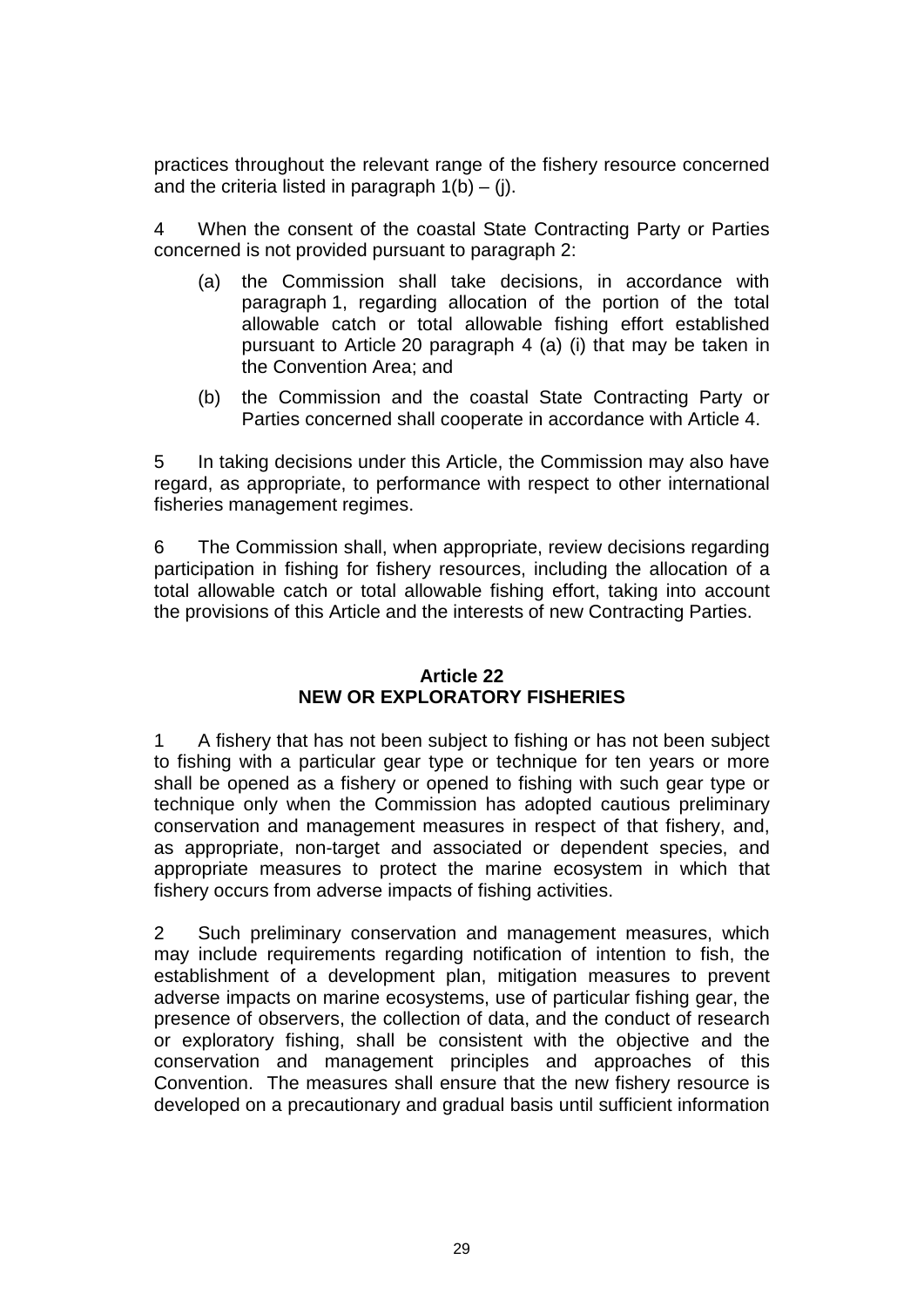practices throughout the relevant range of the fishery resource concerned and the criteria listed in paragraph  $1(b) - (i)$ .

4 When the consent of the coastal State Contracting Party or Parties concerned is not provided pursuant to paragraph 2:

- (a) the Commission shall take decisions, in accordance with paragraph 1, regarding allocation of the portion of the total allowable catch or total allowable fishing effort established pursuant to Article 20 paragraph 4 (a) (i) that may be taken in the Convention Area; and
- (b) the Commission and the coastal State Contracting Party or Parties concerned shall cooperate in accordance with Article 4.

5 In taking decisions under this Article, the Commission may also have regard, as appropriate, to performance with respect to other international fisheries management regimes.

6 The Commission shall, when appropriate, review decisions regarding participation in fishing for fishery resources, including the allocation of a total allowable catch or total allowable fishing effort, taking into account the provisions of this Article and the interests of new Contracting Parties.

# **Article 22 NEW OR EXPLORATORY FISHERIES**

1 A fishery that has not been subject to fishing or has not been subject to fishing with a particular gear type or technique for ten years or more shall be opened as a fishery or opened to fishing with such gear type or technique only when the Commission has adopted cautious preliminary conservation and management measures in respect of that fishery, and, as appropriate, non-target and associated or dependent species, and appropriate measures to protect the marine ecosystem in which that fishery occurs from adverse impacts of fishing activities.

2 Such preliminary conservation and management measures, which may include requirements regarding notification of intention to fish, the establishment of a development plan, mitigation measures to prevent adverse impacts on marine ecosystems, use of particular fishing gear, the presence of observers, the collection of data, and the conduct of research or exploratory fishing, shall be consistent with the objective and the conservation and management principles and approaches of this Convention. The measures shall ensure that the new fishery resource is developed on a precautionary and gradual basis until sufficient information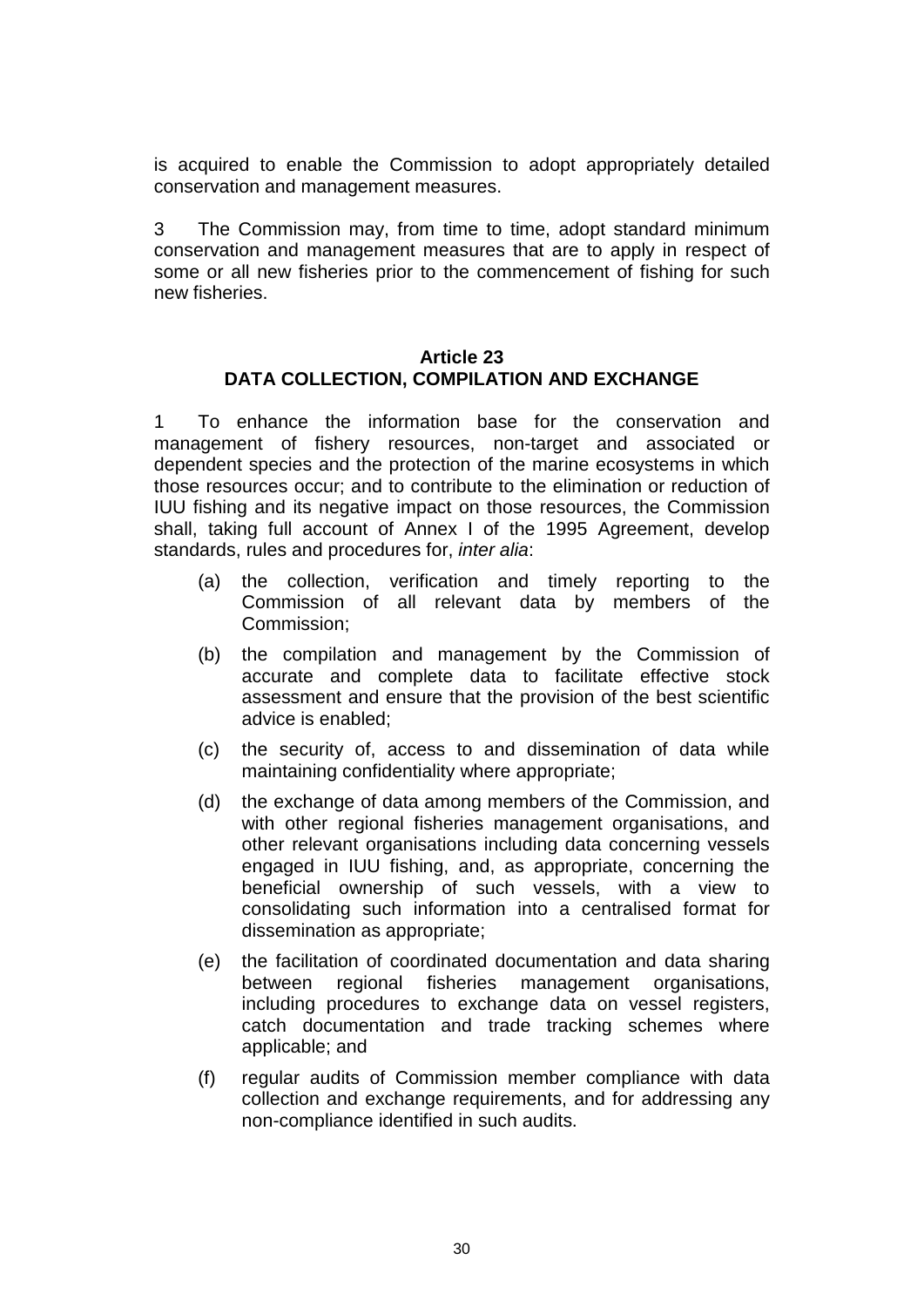is acquired to enable the Commission to adopt appropriately detailed conservation and management measures.

3 The Commission may, from time to time, adopt standard minimum conservation and management measures that are to apply in respect of some or all new fisheries prior to the commencement of fishing for such new fisheries.

#### **Article 23 DATA COLLECTION, COMPILATION AND EXCHANGE**

1 To enhance the information base for the conservation and management of fishery resources, non-target and associated or dependent species and the protection of the marine ecosystems in which those resources occur; and to contribute to the elimination or reduction of IUU fishing and its negative impact on those resources, the Commission shall, taking full account of Annex I of the 1995 Agreement, develop standards, rules and procedures for, *inter alia*:

- (a) the collection, verification and timely reporting to the Commission of all relevant data by members of the Commission;
- (b) the compilation and management by the Commission of accurate and complete data to facilitate effective stock assessment and ensure that the provision of the best scientific advice is enabled;
- (c) the security of, access to and dissemination of data while maintaining confidentiality where appropriate;
- (d) the exchange of data among members of the Commission, and with other regional fisheries management organisations, and other relevant organisations including data concerning vessels engaged in IUU fishing, and, as appropriate, concerning the beneficial ownership of such vessels, with a view to consolidating such information into a centralised format for dissemination as appropriate;
- (e) the facilitation of coordinated documentation and data sharing between regional fisheries management organisations, including procedures to exchange data on vessel registers, catch documentation and trade tracking schemes where applicable; and
- (f) regular audits of Commission member compliance with data collection and exchange requirements, and for addressing any non-compliance identified in such audits.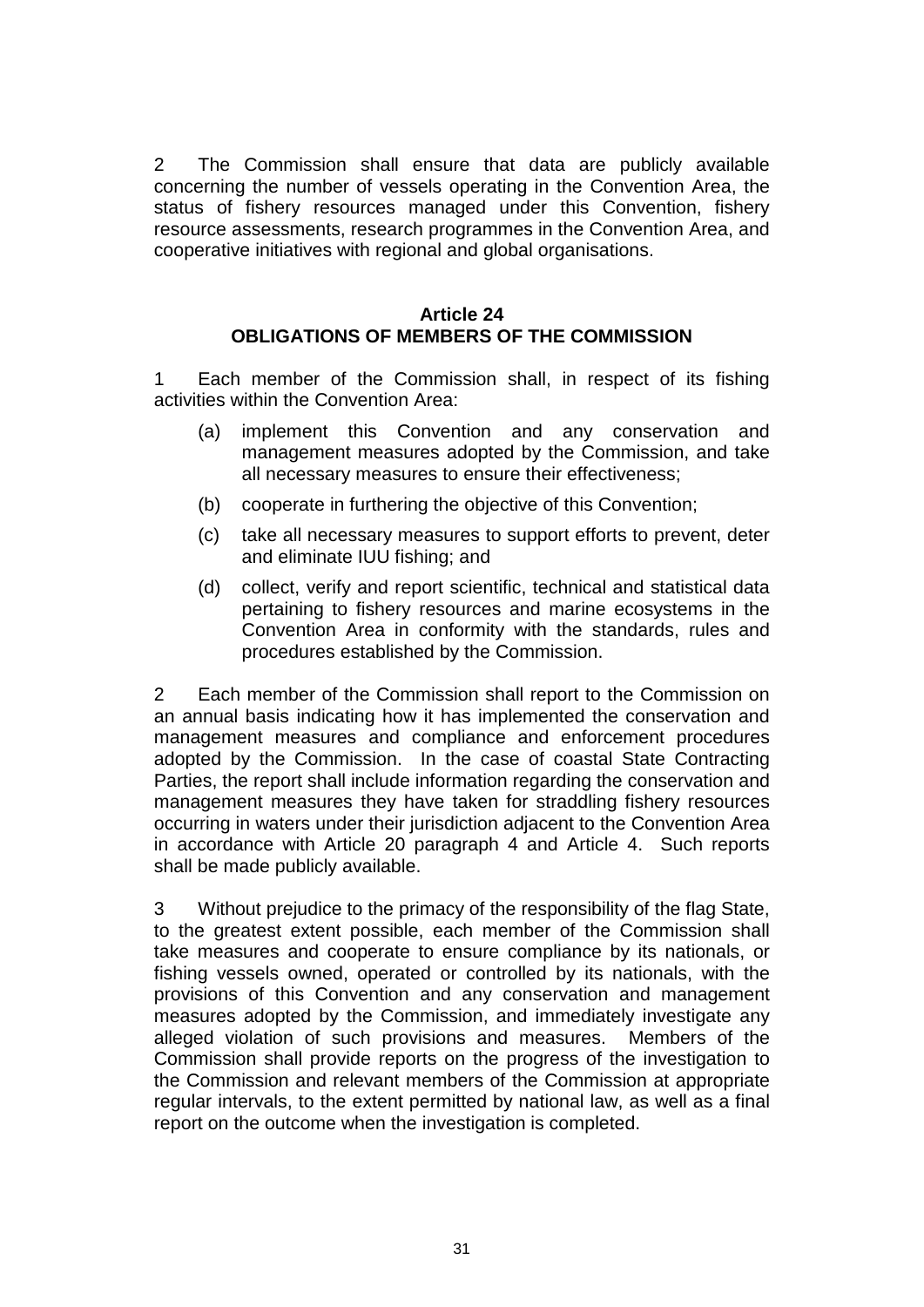2 The Commission shall ensure that data are publicly available concerning the number of vessels operating in the Convention Area, the status of fishery resources managed under this Convention, fishery resource assessments, research programmes in the Convention Area, and cooperative initiatives with regional and global organisations.

## **Article 24 OBLIGATIONS OF MEMBERS OF THE COMMISSION**

Each member of the Commission shall, in respect of its fishing activities within the Convention Area:

- (a) implement this Convention and any conservation and management measures adopted by the Commission, and take all necessary measures to ensure their effectiveness;
- (b) cooperate in furthering the objective of this Convention;
- (c) take all necessary measures to support efforts to prevent, deter and eliminate IUU fishing; and
- (d) collect, verify and report scientific, technical and statistical data pertaining to fishery resources and marine ecosystems in the Convention Area in conformity with the standards, rules and procedures established by the Commission.

2 Each member of the Commission shall report to the Commission on an annual basis indicating how it has implemented the conservation and management measures and compliance and enforcement procedures adopted by the Commission. In the case of coastal State Contracting Parties, the report shall include information regarding the conservation and management measures they have taken for straddling fishery resources occurring in waters under their jurisdiction adjacent to the Convention Area in accordance with Article 20 paragraph 4 and Article 4. Such reports shall be made publicly available.

3 Without prejudice to the primacy of the responsibility of the flag State, to the greatest extent possible, each member of the Commission shall take measures and cooperate to ensure compliance by its nationals, or fishing vessels owned, operated or controlled by its nationals, with the provisions of this Convention and any conservation and management measures adopted by the Commission, and immediately investigate any alleged violation of such provisions and measures. Members of the Commission shall provide reports on the progress of the investigation to the Commission and relevant members of the Commission at appropriate regular intervals, to the extent permitted by national law, as well as a final report on the outcome when the investigation is completed.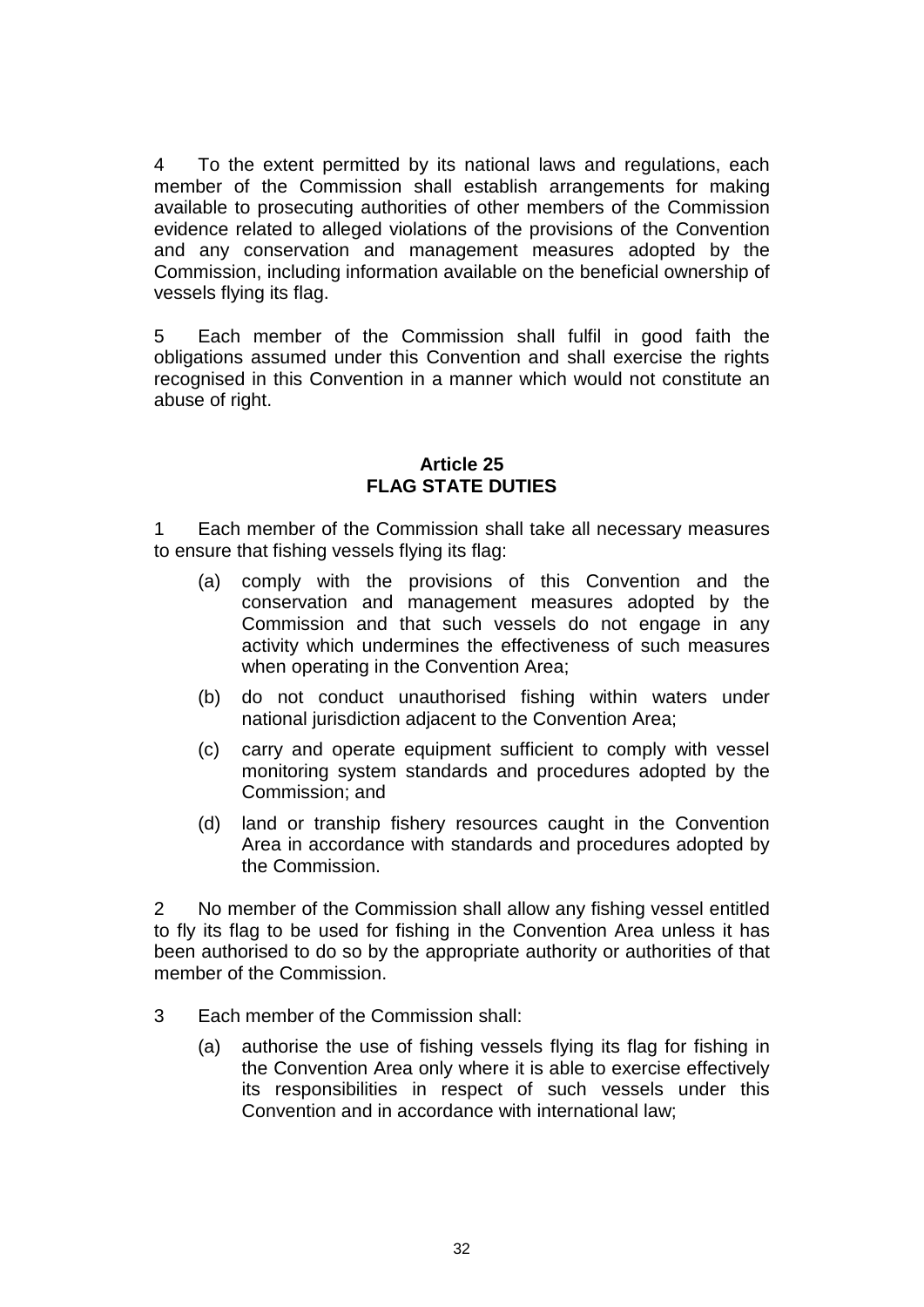4 To the extent permitted by its national laws and regulations, each member of the Commission shall establish arrangements for making available to prosecuting authorities of other members of the Commission evidence related to alleged violations of the provisions of the Convention and any conservation and management measures adopted by the Commission, including information available on the beneficial ownership of vessels flying its flag.

5 Each member of the Commission shall fulfil in good faith the obligations assumed under this Convention and shall exercise the rights recognised in this Convention in a manner which would not constitute an abuse of right.

# **Article 25 FLAG STATE DUTIES**

1 Each member of the Commission shall take all necessary measures to ensure that fishing vessels flying its flag:

- (a) comply with the provisions of this Convention and the conservation and management measures adopted by the Commission and that such vessels do not engage in any activity which undermines the effectiveness of such measures when operating in the Convention Area;
- (b) do not conduct unauthorised fishing within waters under national jurisdiction adjacent to the Convention Area;
- (c) carry and operate equipment sufficient to comply with vessel monitoring system standards and procedures adopted by the Commission; and
- (d) land or tranship fishery resources caught in the Convention Area in accordance with standards and procedures adopted by the Commission.

2 No member of the Commission shall allow any fishing vessel entitled to fly its flag to be used for fishing in the Convention Area unless it has been authorised to do so by the appropriate authority or authorities of that member of the Commission.

- 3 Each member of the Commission shall:
	- (a) authorise the use of fishing vessels flying its flag for fishing in the Convention Area only where it is able to exercise effectively its responsibilities in respect of such vessels under this Convention and in accordance with international law;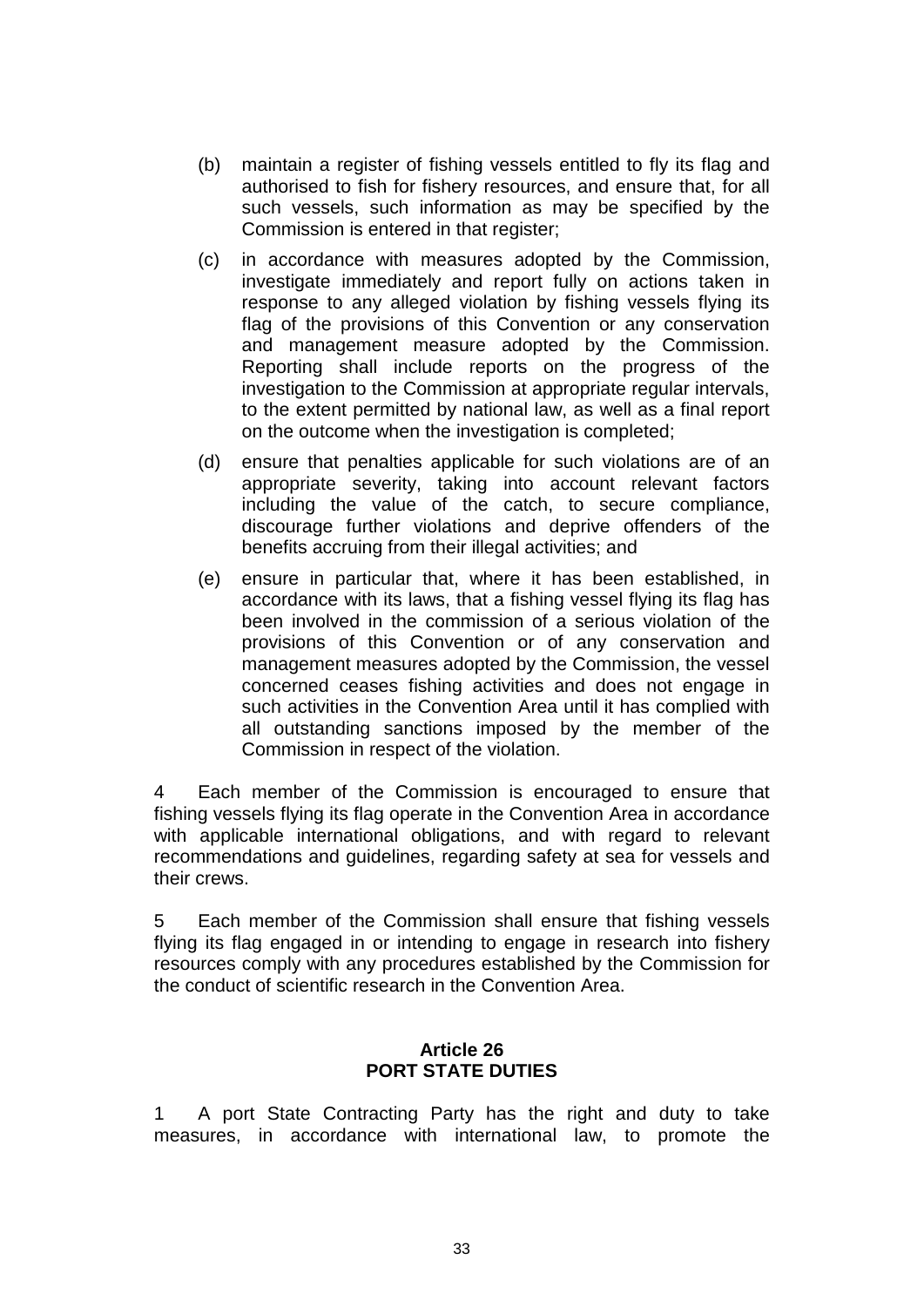- (b) maintain a register of fishing vessels entitled to fly its flag and authorised to fish for fishery resources, and ensure that, for all such vessels, such information as may be specified by the Commission is entered in that register;
- (c) in accordance with measures adopted by the Commission, investigate immediately and report fully on actions taken in response to any alleged violation by fishing vessels flying its flag of the provisions of this Convention or any conservation and management measure adopted by the Commission. Reporting shall include reports on the progress of the investigation to the Commission at appropriate regular intervals, to the extent permitted by national law, as well as a final report on the outcome when the investigation is completed;
- (d) ensure that penalties applicable for such violations are of an appropriate severity, taking into account relevant factors including the value of the catch, to secure compliance, discourage further violations and deprive offenders of the benefits accruing from their illegal activities; and
- (e) ensure in particular that, where it has been established, in accordance with its laws, that a fishing vessel flying its flag has been involved in the commission of a serious violation of the provisions of this Convention or of any conservation and management measures adopted by the Commission, the vessel concerned ceases fishing activities and does not engage in such activities in the Convention Area until it has complied with all outstanding sanctions imposed by the member of the Commission in respect of the violation.

4 Each member of the Commission is encouraged to ensure that fishing vessels flying its flag operate in the Convention Area in accordance with applicable international obligations, and with regard to relevant recommendations and guidelines, regarding safety at sea for vessels and their crews.

5 Each member of the Commission shall ensure that fishing vessels flying its flag engaged in or intending to engage in research into fishery resources comply with any procedures established by the Commission for the conduct of scientific research in the Convention Area.

# **Article 26 PORT STATE DUTIES**

1 A port State Contracting Party has the right and duty to take measures, in accordance with international law, to promote the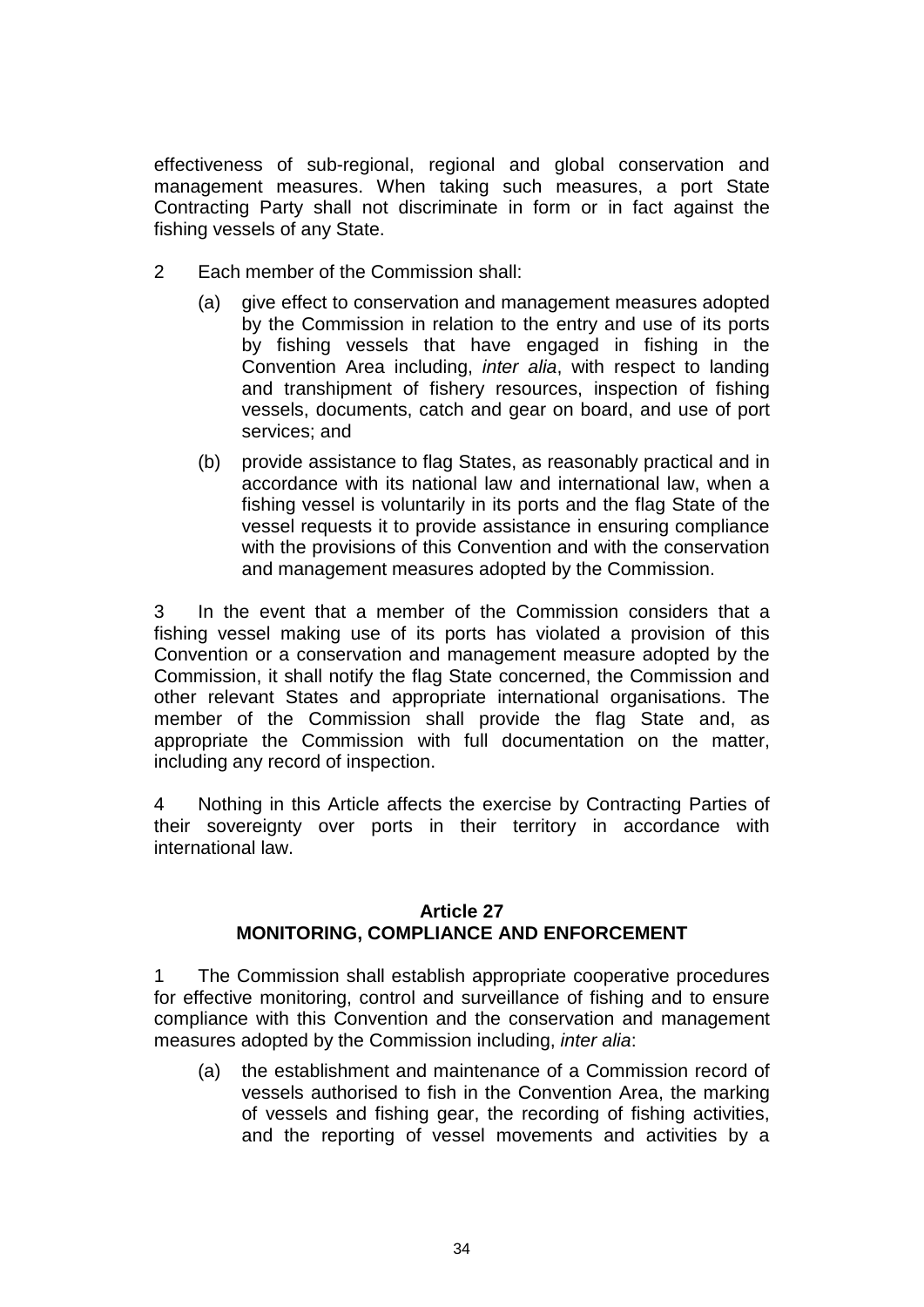effectiveness of sub-regional, regional and global conservation and management measures. When taking such measures, a port State Contracting Party shall not discriminate in form or in fact against the fishing vessels of any State.

- 2 Each member of the Commission shall:
	- (a) give effect to conservation and management measures adopted by the Commission in relation to the entry and use of its ports by fishing vessels that have engaged in fishing in the Convention Area including, *inter alia*, with respect to landing and transhipment of fishery resources, inspection of fishing vessels, documents, catch and gear on board, and use of port services; and
	- (b) provide assistance to flag States, as reasonably practical and in accordance with its national law and international law, when a fishing vessel is voluntarily in its ports and the flag State of the vessel requests it to provide assistance in ensuring compliance with the provisions of this Convention and with the conservation and management measures adopted by the Commission.

3 In the event that a member of the Commission considers that a fishing vessel making use of its ports has violated a provision of this Convention or a conservation and management measure adopted by the Commission, it shall notify the flag State concerned, the Commission and other relevant States and appropriate international organisations. The member of the Commission shall provide the flag State and, as appropriate the Commission with full documentation on the matter, including any record of inspection.

4 Nothing in this Article affects the exercise by Contracting Parties of their sovereignty over ports in their territory in accordance with international law.

## **Article 27 MONITORING, COMPLIANCE AND ENFORCEMENT**

The Commission shall establish appropriate cooperative procedures for effective monitoring, control and surveillance of fishing and to ensure compliance with this Convention and the conservation and management measures adopted by the Commission including, *inter alia*:

(a) the establishment and maintenance of a Commission record of vessels authorised to fish in the Convention Area, the marking of vessels and fishing gear, the recording of fishing activities, and the reporting of vessel movements and activities by a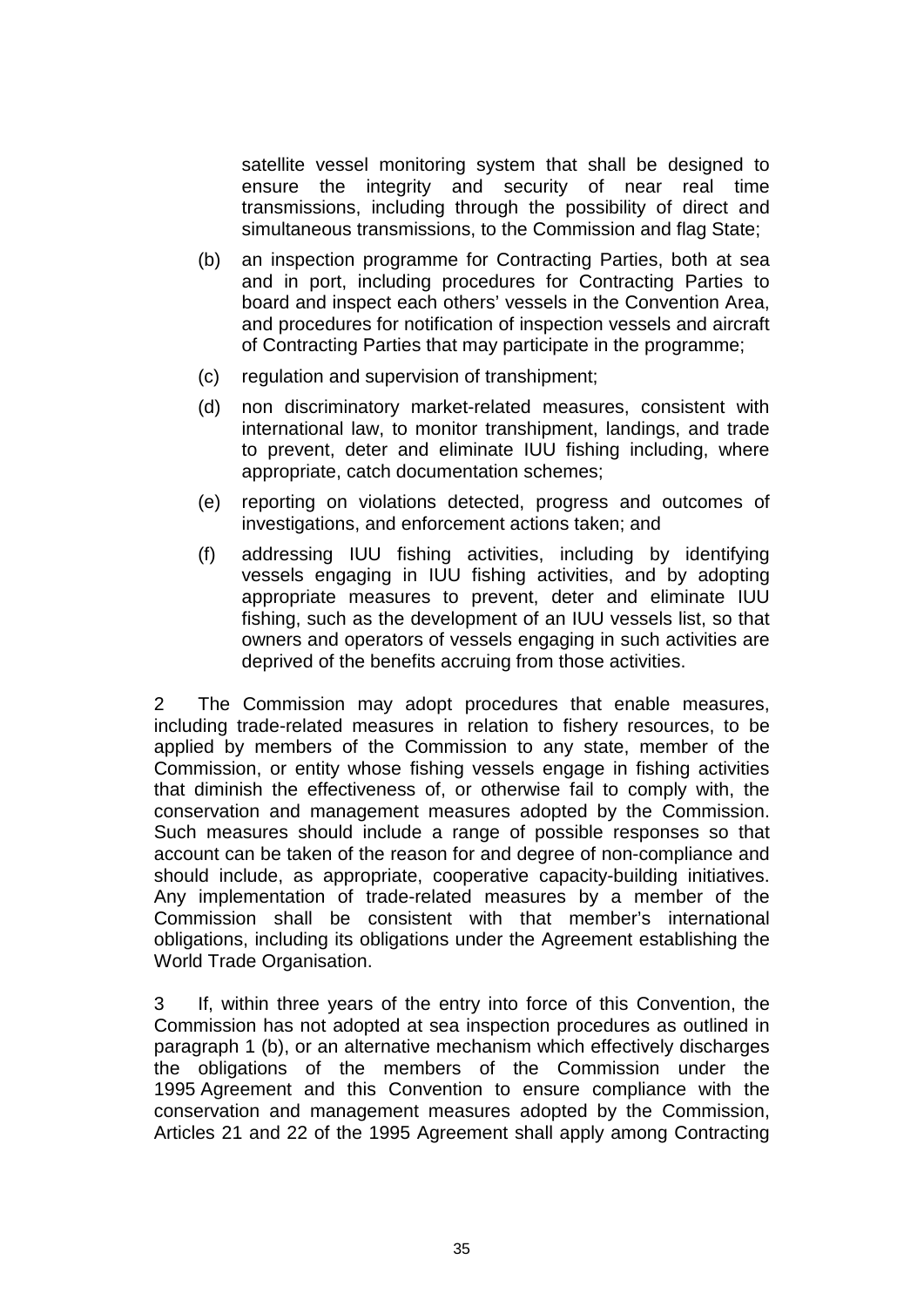satellite vessel monitoring system that shall be designed to ensure the integrity and security of near real time transmissions, including through the possibility of direct and simultaneous transmissions, to the Commission and flag State;

- (b) an inspection programme for Contracting Parties, both at sea and in port, including procedures for Contracting Parties to board and inspect each others' vessels in the Convention Area, and procedures for notification of inspection vessels and aircraft of Contracting Parties that may participate in the programme;
- (c) regulation and supervision of transhipment;
- (d) non discriminatory market-related measures, consistent with international law, to monitor transhipment, landings, and trade to prevent, deter and eliminate IUU fishing including, where appropriate, catch documentation schemes;
- (e) reporting on violations detected, progress and outcomes of investigations, and enforcement actions taken; and
- (f) addressing IUU fishing activities, including by identifying vessels engaging in IUU fishing activities, and by adopting appropriate measures to prevent, deter and eliminate IUU fishing, such as the development of an IUU vessels list, so that owners and operators of vessels engaging in such activities are deprived of the benefits accruing from those activities.

2 The Commission may adopt procedures that enable measures, including trade-related measures in relation to fishery resources, to be applied by members of the Commission to any state, member of the Commission, or entity whose fishing vessels engage in fishing activities that diminish the effectiveness of, or otherwise fail to comply with, the conservation and management measures adopted by the Commission. Such measures should include a range of possible responses so that account can be taken of the reason for and degree of non-compliance and should include, as appropriate, cooperative capacity-building initiatives. Any implementation of trade-related measures by a member of the Commission shall be consistent with that member's international obligations, including its obligations under the Agreement establishing the World Trade Organisation.

3 If, within three years of the entry into force of this Convention, the Commission has not adopted at sea inspection procedures as outlined in paragraph 1 (b), or an alternative mechanism which effectively discharges the obligations of the members of the Commission under the 1995 Agreement and this Convention to ensure compliance with the conservation and management measures adopted by the Commission, Articles 21 and 22 of the 1995 Agreement shall apply among Contracting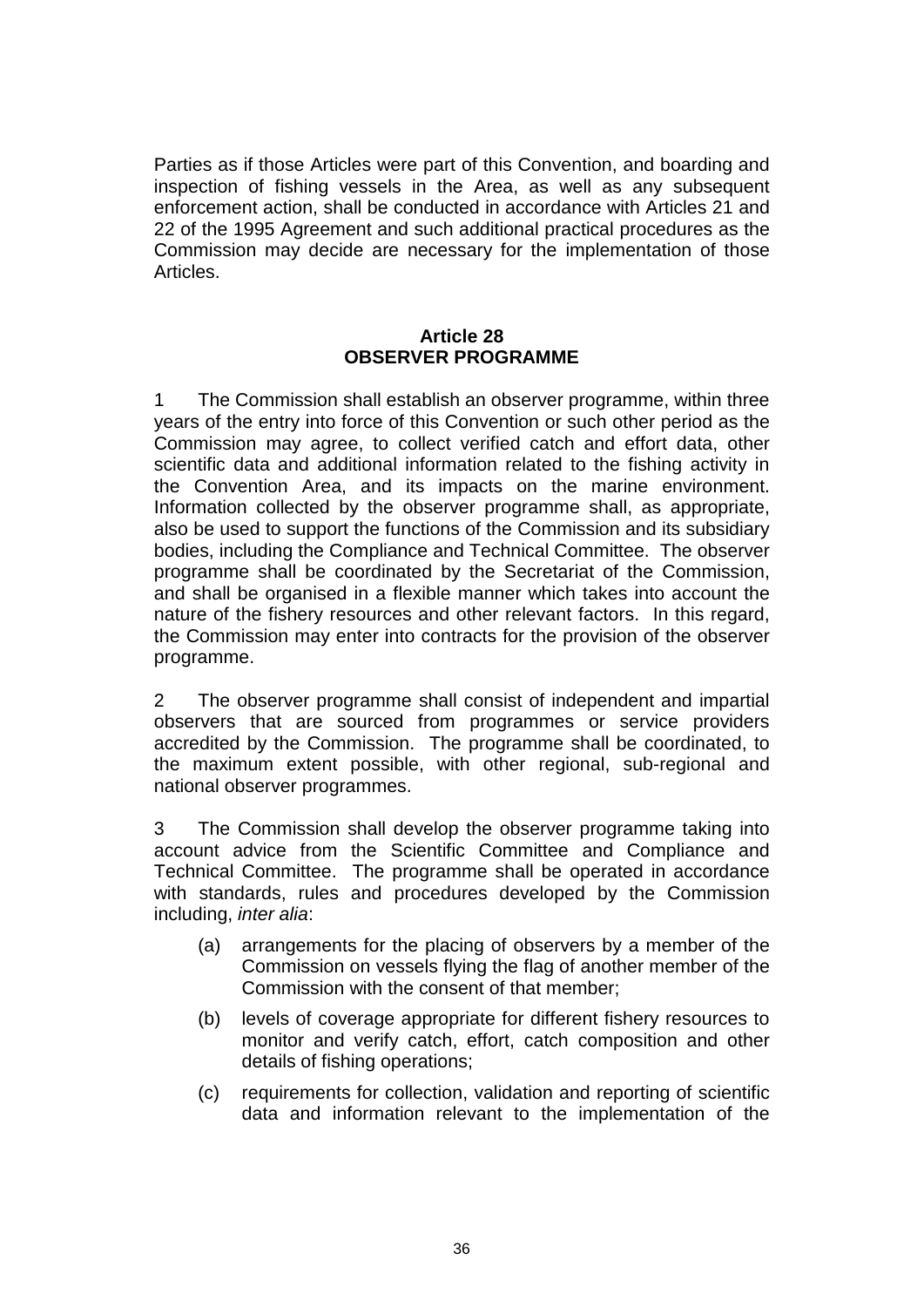Parties as if those Articles were part of this Convention, and boarding and inspection of fishing vessels in the Area, as well as any subsequent enforcement action, shall be conducted in accordance with Articles 21 and 22 of the 1995 Agreement and such additional practical procedures as the Commission may decide are necessary for the implementation of those Articles.

# **Article 28 OBSERVER PROGRAMME**

1 The Commission shall establish an observer programme, within three years of the entry into force of this Convention or such other period as the Commission may agree, to collect verified catch and effort data, other scientific data and additional information related to the fishing activity in the Convention Area, and its impacts on the marine environment. Information collected by the observer programme shall, as appropriate, also be used to support the functions of the Commission and its subsidiary bodies, including the Compliance and Technical Committee. The observer programme shall be coordinated by the Secretariat of the Commission, and shall be organised in a flexible manner which takes into account the nature of the fishery resources and other relevant factors. In this regard, the Commission may enter into contracts for the provision of the observer programme.

2 The observer programme shall consist of independent and impartial observers that are sourced from programmes or service providers accredited by the Commission. The programme shall be coordinated, to the maximum extent possible, with other regional, sub-regional and national observer programmes.

3 The Commission shall develop the observer programme taking into account advice from the Scientific Committee and Compliance and Technical Committee. The programme shall be operated in accordance with standards, rules and procedures developed by the Commission including, *inter alia*:

- (a) arrangements for the placing of observers by a member of the Commission on vessels flying the flag of another member of the Commission with the consent of that member;
- (b) levels of coverage appropriate for different fishery resources to monitor and verify catch, effort, catch composition and other details of fishing operations;
- (c) requirements for collection, validation and reporting of scientific data and information relevant to the implementation of the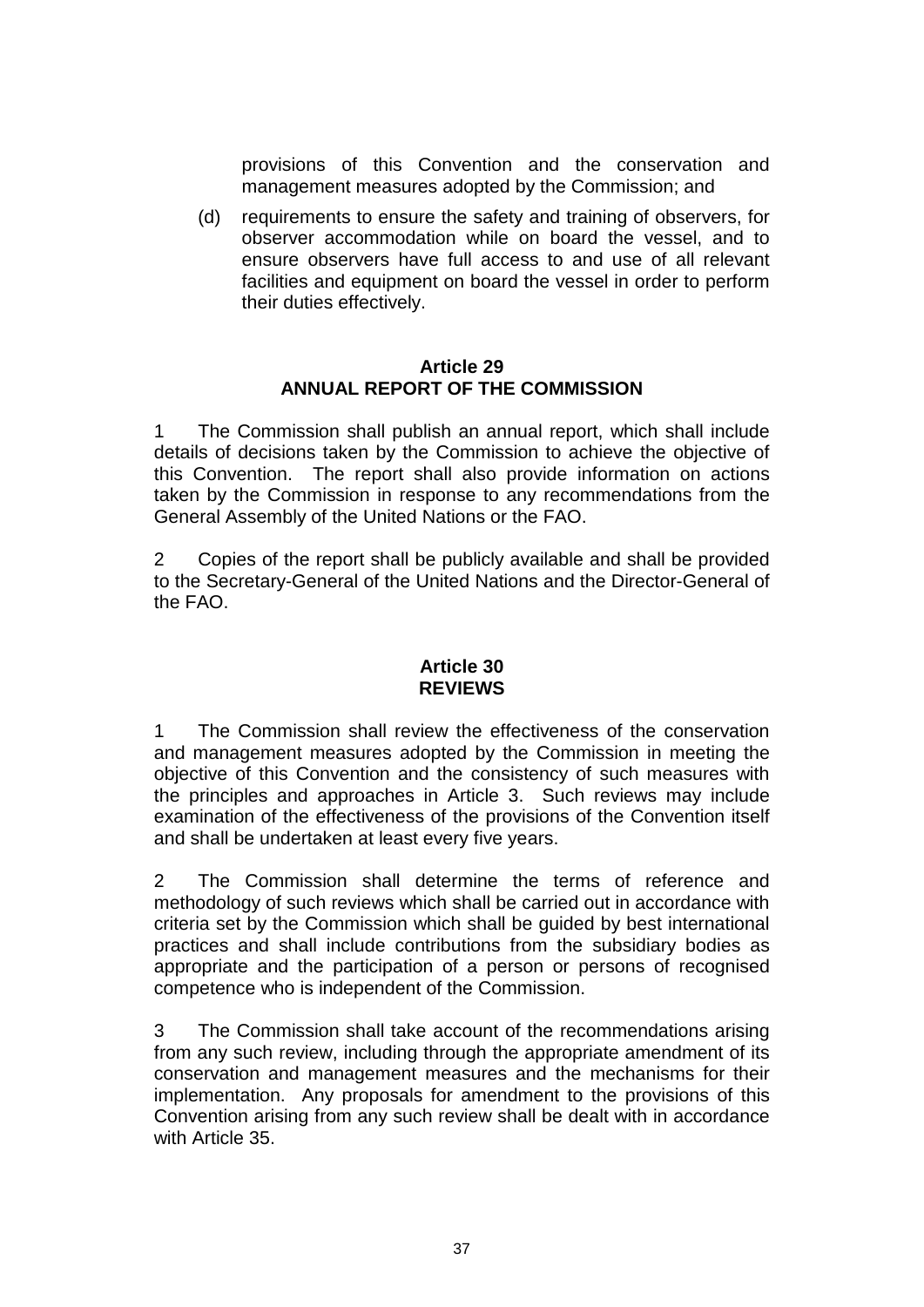provisions of this Convention and the conservation and management measures adopted by the Commission; and

(d) requirements to ensure the safety and training of observers, for observer accommodation while on board the vessel, and to ensure observers have full access to and use of all relevant facilities and equipment on board the vessel in order to perform their duties effectively.

## **Article 29 ANNUAL REPORT OF THE COMMISSION**

The Commission shall publish an annual report, which shall include details of decisions taken by the Commission to achieve the objective of this Convention. The report shall also provide information on actions taken by the Commission in response to any recommendations from the General Assembly of the United Nations or the FAO.

2 Copies of the report shall be publicly available and shall be provided to the Secretary-General of the United Nations and the Director-General of the FAO.

# **Article 30 REVIEWS**

1 The Commission shall review the effectiveness of the conservation and management measures adopted by the Commission in meeting the objective of this Convention and the consistency of such measures with the principles and approaches in Article 3. Such reviews may include examination of the effectiveness of the provisions of the Convention itself and shall be undertaken at least every five years.

2 The Commission shall determine the terms of reference and methodology of such reviews which shall be carried out in accordance with criteria set by the Commission which shall be guided by best international practices and shall include contributions from the subsidiary bodies as appropriate and the participation of a person or persons of recognised competence who is independent of the Commission.

3 The Commission shall take account of the recommendations arising from any such review, including through the appropriate amendment of its conservation and management measures and the mechanisms for their implementation. Any proposals for amendment to the provisions of this Convention arising from any such review shall be dealt with in accordance with Article 35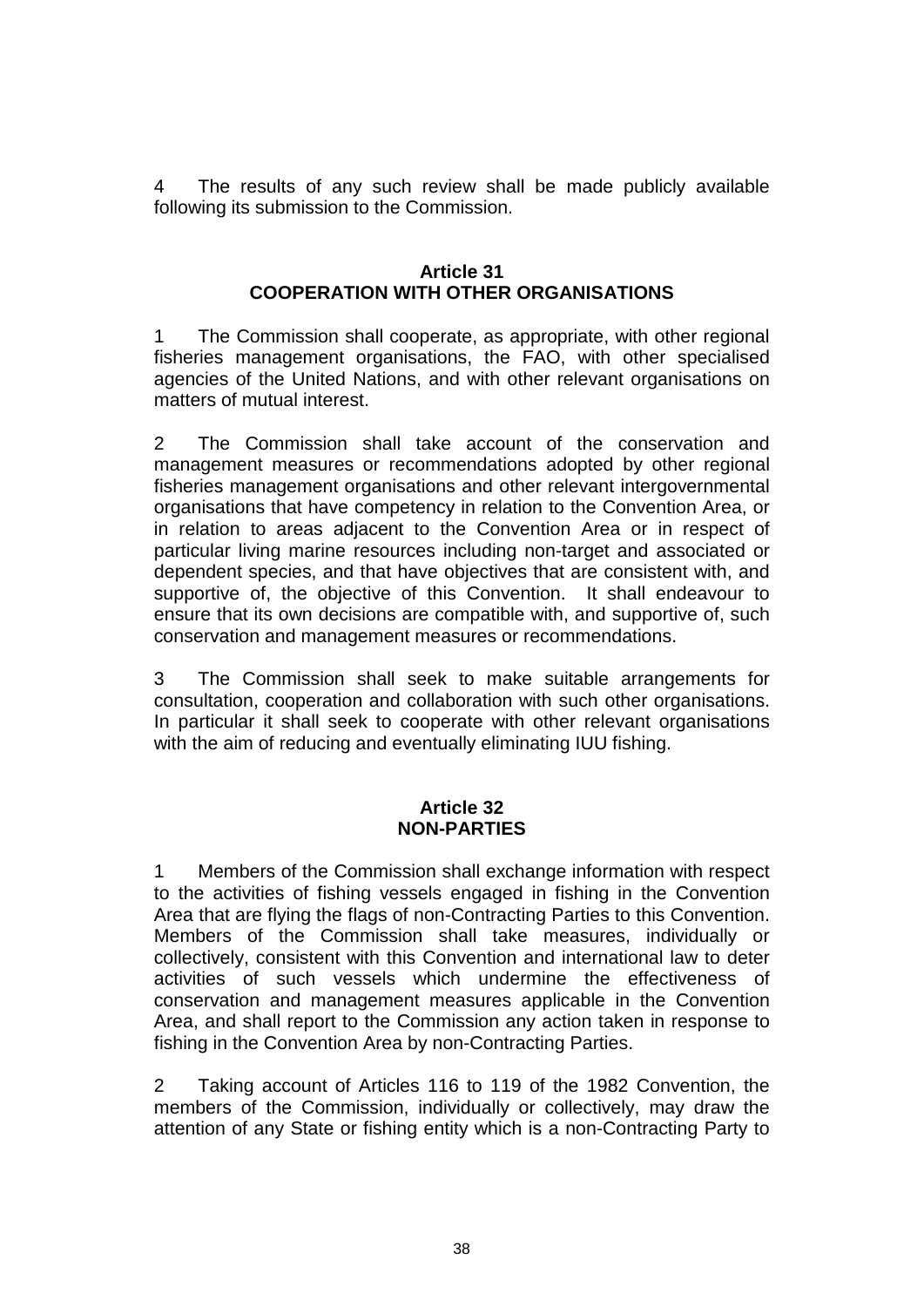4 The results of any such review shall be made publicly available following its submission to the Commission.

# **Article 31 COOPERATION WITH OTHER ORGANISATIONS**

The Commission shall cooperate, as appropriate, with other regional fisheries management organisations, the FAO, with other specialised agencies of the United Nations, and with other relevant organisations on matters of mutual interest.

2 The Commission shall take account of the conservation and management measures or recommendations adopted by other regional fisheries management organisations and other relevant intergovernmental organisations that have competency in relation to the Convention Area, or in relation to areas adjacent to the Convention Area or in respect of particular living marine resources including non-target and associated or dependent species, and that have objectives that are consistent with, and supportive of, the objective of this Convention. It shall endeavour to ensure that its own decisions are compatible with, and supportive of, such conservation and management measures or recommendations.

3 The Commission shall seek to make suitable arrangements for consultation, cooperation and collaboration with such other organisations. In particular it shall seek to cooperate with other relevant organisations with the aim of reducing and eventually eliminating IUU fishing.

#### **Article 32 NON-PARTIES**

1 Members of the Commission shall exchange information with respect to the activities of fishing vessels engaged in fishing in the Convention Area that are flying the flags of non-Contracting Parties to this Convention. Members of the Commission shall take measures, individually or collectively, consistent with this Convention and international law to deter activities of such vessels which undermine the effectiveness of conservation and management measures applicable in the Convention Area, and shall report to the Commission any action taken in response to fishing in the Convention Area by non-Contracting Parties.

2 Taking account of Articles 116 to 119 of the 1982 Convention, the members of the Commission, individually or collectively, may draw the attention of any State or fishing entity which is a non-Contracting Party to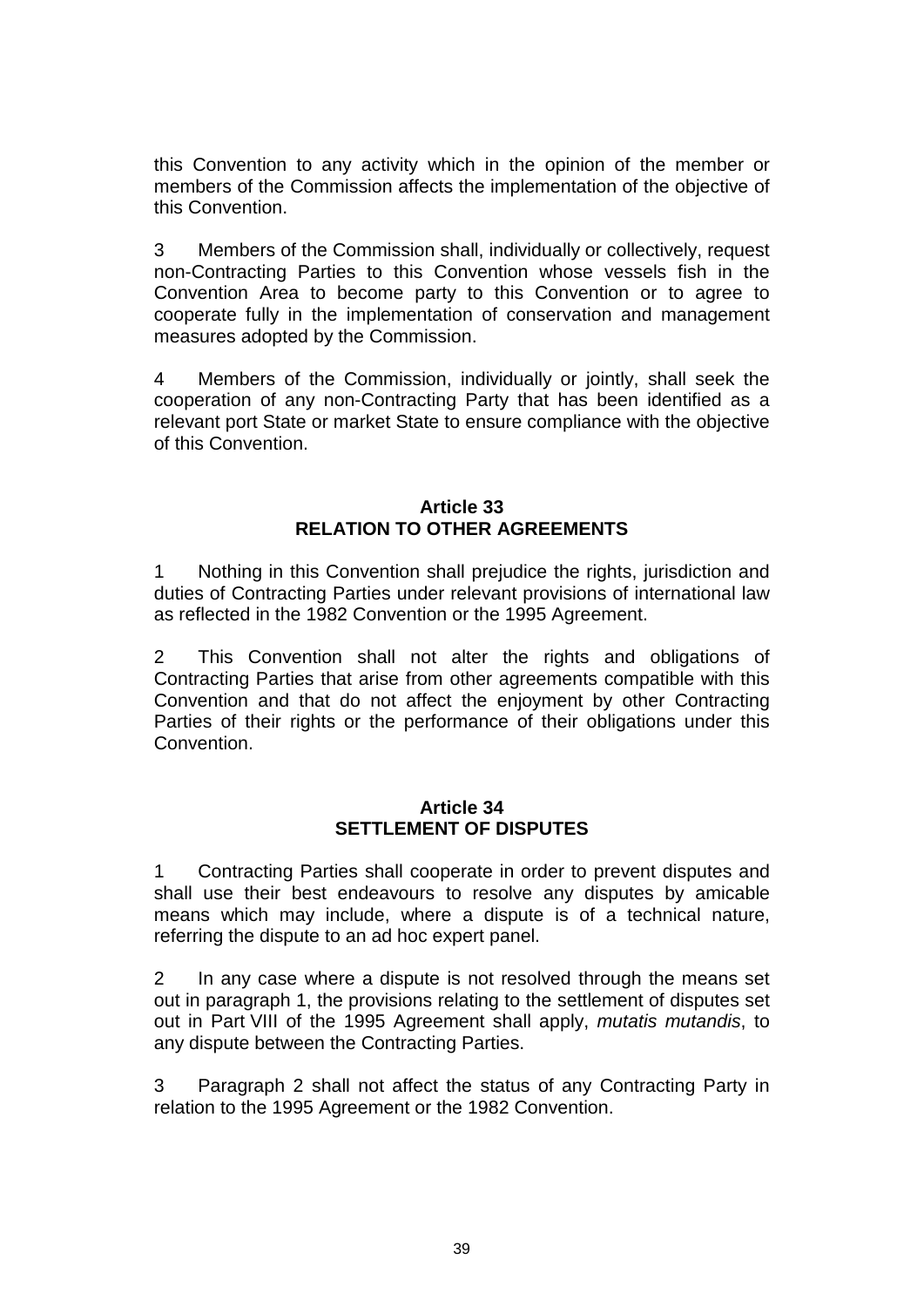this Convention to any activity which in the opinion of the member or members of the Commission affects the implementation of the objective of this Convention.

3 Members of the Commission shall, individually or collectively, request non-Contracting Parties to this Convention whose vessels fish in the Convention Area to become party to this Convention or to agree to cooperate fully in the implementation of conservation and management measures adopted by the Commission.

4 Members of the Commission, individually or jointly, shall seek the cooperation of any non-Contracting Party that has been identified as a relevant port State or market State to ensure compliance with the objective of this Convention.

# **Article 33 RELATION TO OTHER AGREEMENTS**

1 Nothing in this Convention shall prejudice the rights, jurisdiction and duties of Contracting Parties under relevant provisions of international law as reflected in the 1982 Convention or the 1995 Agreement.

2 This Convention shall not alter the rights and obligations of Contracting Parties that arise from other agreements compatible with this Convention and that do not affect the enjoyment by other Contracting Parties of their rights or the performance of their obligations under this Convention.

## **Article 34 SETTLEMENT OF DISPUTES**

1 Contracting Parties shall cooperate in order to prevent disputes and shall use their best endeavours to resolve any disputes by amicable means which may include, where a dispute is of a technical nature, referring the dispute to an ad hoc expert panel.

2 In any case where a dispute is not resolved through the means set out in paragraph 1, the provisions relating to the settlement of disputes set out in Part VIII of the 1995 Agreement shall apply, *mutatis mutandis*, to any dispute between the Contracting Parties.

3 Paragraph 2 shall not affect the status of any Contracting Party in relation to the 1995 Agreement or the 1982 Convention.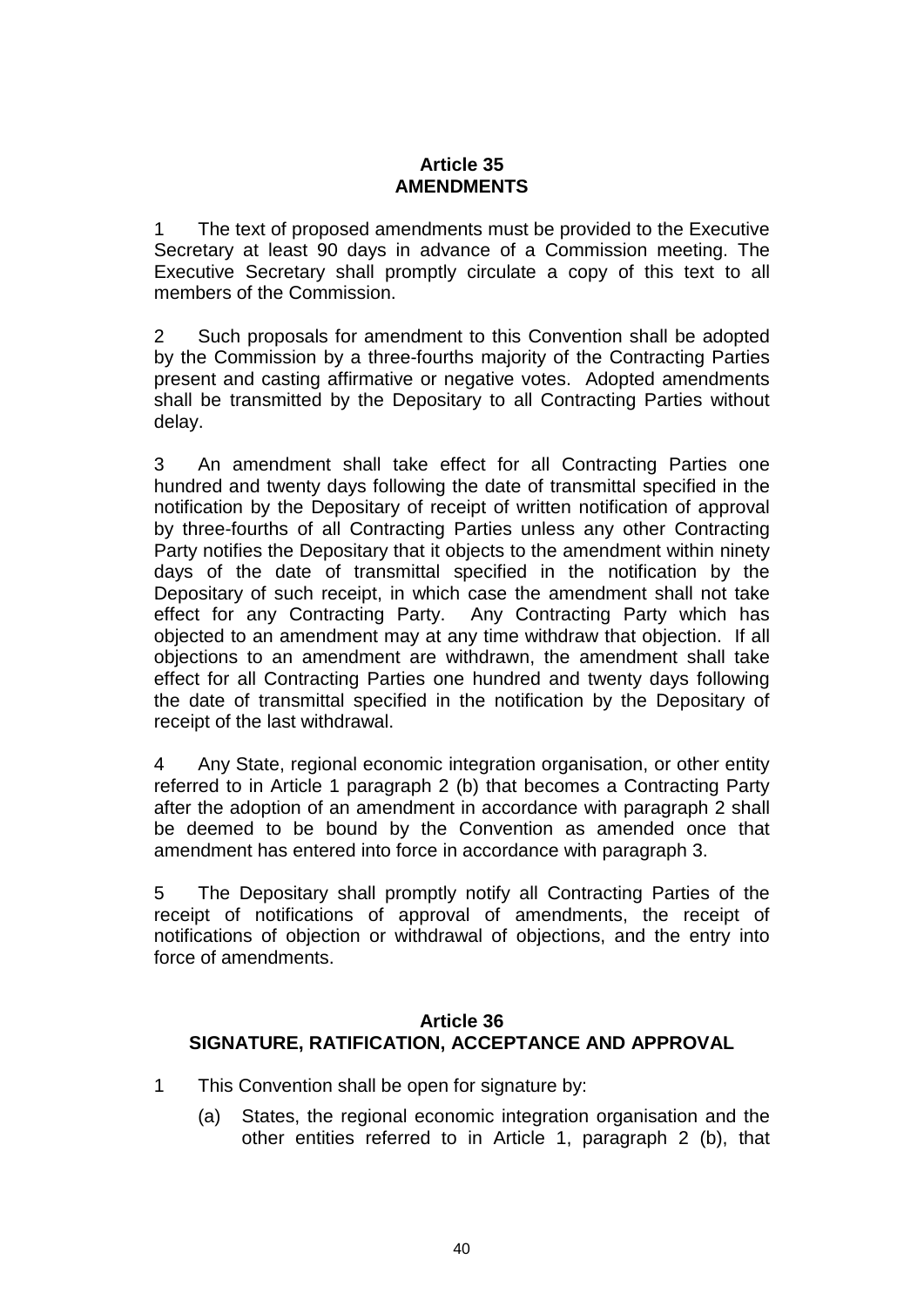# **Article 35 AMENDMENTS**

1 The text of proposed amendments must be provided to the Executive Secretary at least 90 days in advance of a Commission meeting. The Executive Secretary shall promptly circulate a copy of this text to all members of the Commission.

2 Such proposals for amendment to this Convention shall be adopted by the Commission by a three-fourths majority of the Contracting Parties present and casting affirmative or negative votes. Adopted amendments shall be transmitted by the Depositary to all Contracting Parties without delay.

3 An amendment shall take effect for all Contracting Parties one hundred and twenty days following the date of transmittal specified in the notification by the Depositary of receipt of written notification of approval by three-fourths of all Contracting Parties unless any other Contracting Party notifies the Depositary that it objects to the amendment within ninety days of the date of transmittal specified in the notification by the Depositary of such receipt, in which case the amendment shall not take effect for any Contracting Party. Any Contracting Party which has objected to an amendment may at any time withdraw that objection. If all objections to an amendment are withdrawn, the amendment shall take effect for all Contracting Parties one hundred and twenty days following the date of transmittal specified in the notification by the Depositary of receipt of the last withdrawal.

4 Any State, regional economic integration organisation, or other entity referred to in Article 1 paragraph 2 (b) that becomes a Contracting Party after the adoption of an amendment in accordance with paragraph 2 shall be deemed to be bound by the Convention as amended once that amendment has entered into force in accordance with paragraph 3.

5 The Depositary shall promptly notify all Contracting Parties of the receipt of notifications of approval of amendments, the receipt of notifications of objection or withdrawal of objections, and the entry into force of amendments.

# **Article 36 SIGNATURE, RATIFICATION, ACCEPTANCE AND APPROVAL**

- 1 This Convention shall be open for signature by:
	- (a) States, the regional economic integration organisation and the other entities referred to in Article 1, paragraph 2 (b), that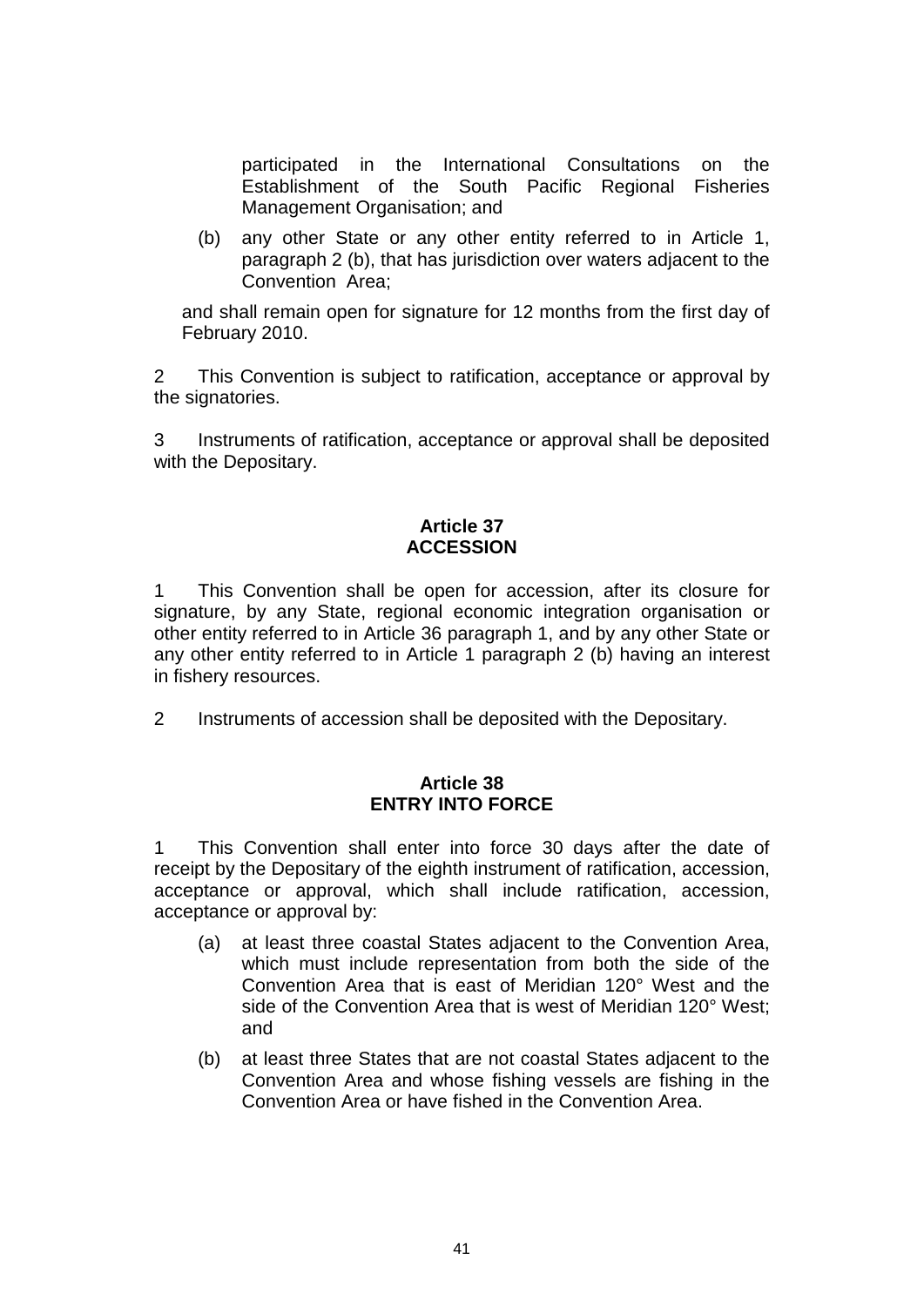participated in the International Consultations on the Establishment of the South Pacific Regional Fisheries Management Organisation; and

(b) any other State or any other entity referred to in Article 1, paragraph 2 (b), that has jurisdiction over waters adjacent to the Convention Area;

and shall remain open for signature for 12 months from the first day of February 2010.

2 This Convention is subject to ratification, acceptance or approval by the signatories.

3 Instruments of ratification, acceptance or approval shall be deposited with the Depositary.

# **Article 37 ACCESSION**

1 This Convention shall be open for accession, after its closure for signature, by any State, regional economic integration organisation or other entity referred to in Article 36 paragraph 1, and by any other State or any other entity referred to in Article 1 paragraph 2 (b) having an interest in fishery resources.

2 Instruments of accession shall be deposited with the Depositary.

## **Article 38 ENTRY INTO FORCE**

1 This Convention shall enter into force 30 days after the date of receipt by the Depositary of the eighth instrument of ratification, accession, acceptance or approval, which shall include ratification, accession, acceptance or approval by:

- (a) at least three coastal States adjacent to the Convention Area, which must include representation from both the side of the Convention Area that is east of Meridian 120° West and the side of the Convention Area that is west of Meridian 120° West; and
- (b) at least three States that are not coastal States adjacent to the Convention Area and whose fishing vessels are fishing in the Convention Area or have fished in the Convention Area.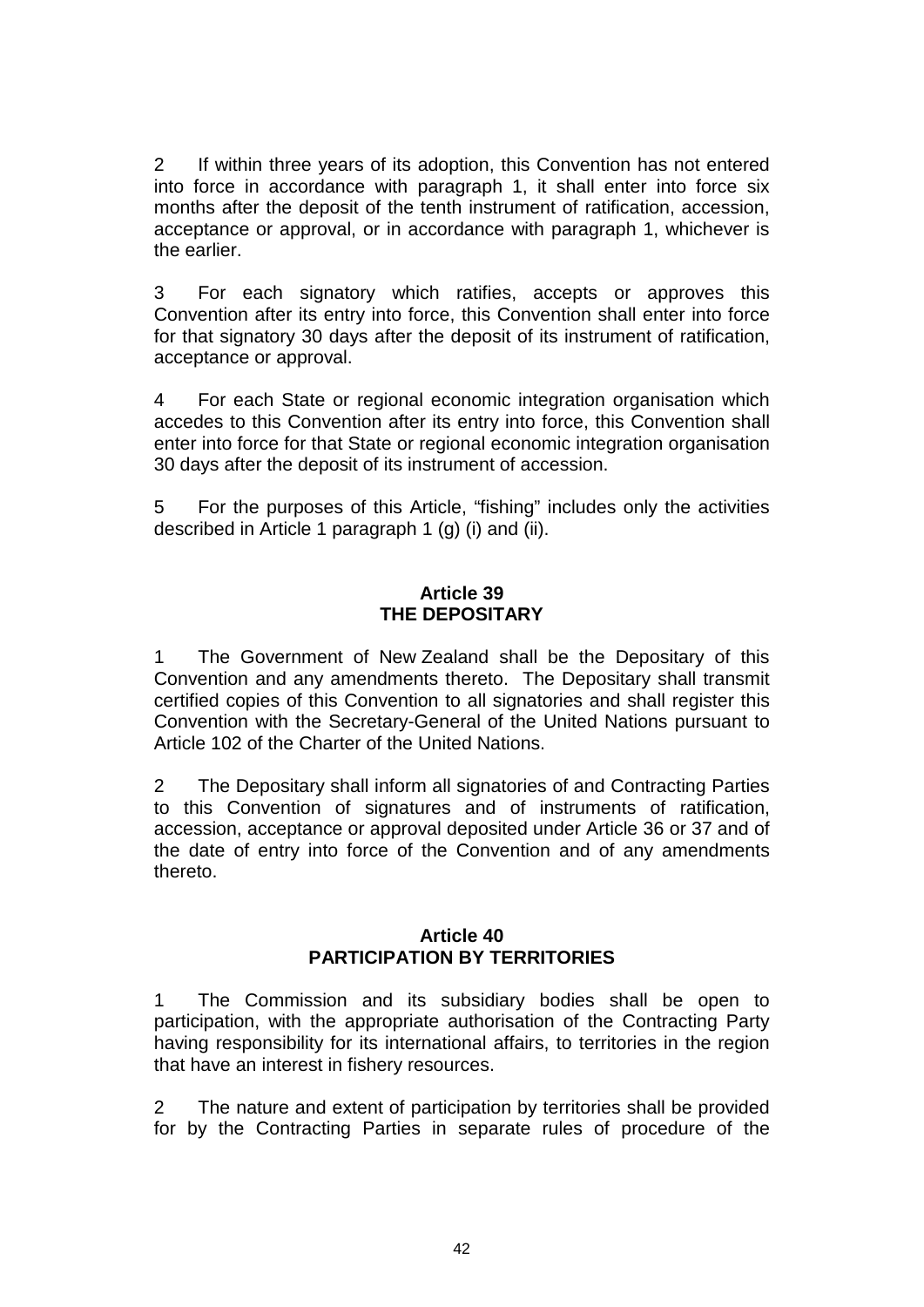2 If within three years of its adoption, this Convention has not entered into force in accordance with paragraph 1, it shall enter into force six months after the deposit of the tenth instrument of ratification, accession, acceptance or approval, or in accordance with paragraph 1, whichever is the earlier.

3 For each signatory which ratifies, accepts or approves this Convention after its entry into force, this Convention shall enter into force for that signatory 30 days after the deposit of its instrument of ratification, acceptance or approval.

4 For each State or regional economic integration organisation which accedes to this Convention after its entry into force, this Convention shall enter into force for that State or regional economic integration organisation 30 days after the deposit of its instrument of accession.

5 For the purposes of this Article, "fishing" includes only the activities described in Article 1 paragraph 1 (g) (i) and (ii).

# **Article 39 THE DEPOSITARY**

1 The Government of New Zealand shall be the Depositary of this Convention and any amendments thereto. The Depositary shall transmit certified copies of this Convention to all signatories and shall register this Convention with the Secretary-General of the United Nations pursuant to Article 102 of the Charter of the United Nations.

2 The Depositary shall inform all signatories of and Contracting Parties to this Convention of signatures and of instruments of ratification, accession, acceptance or approval deposited under Article 36 or 37 and of the date of entry into force of the Convention and of any amendments thereto.

## **Article 40 PARTICIPATION BY TERRITORIES**

The Commission and its subsidiary bodies shall be open to participation, with the appropriate authorisation of the Contracting Party having responsibility for its international affairs, to territories in the region that have an interest in fishery resources.

2 The nature and extent of participation by territories shall be provided for by the Contracting Parties in separate rules of procedure of the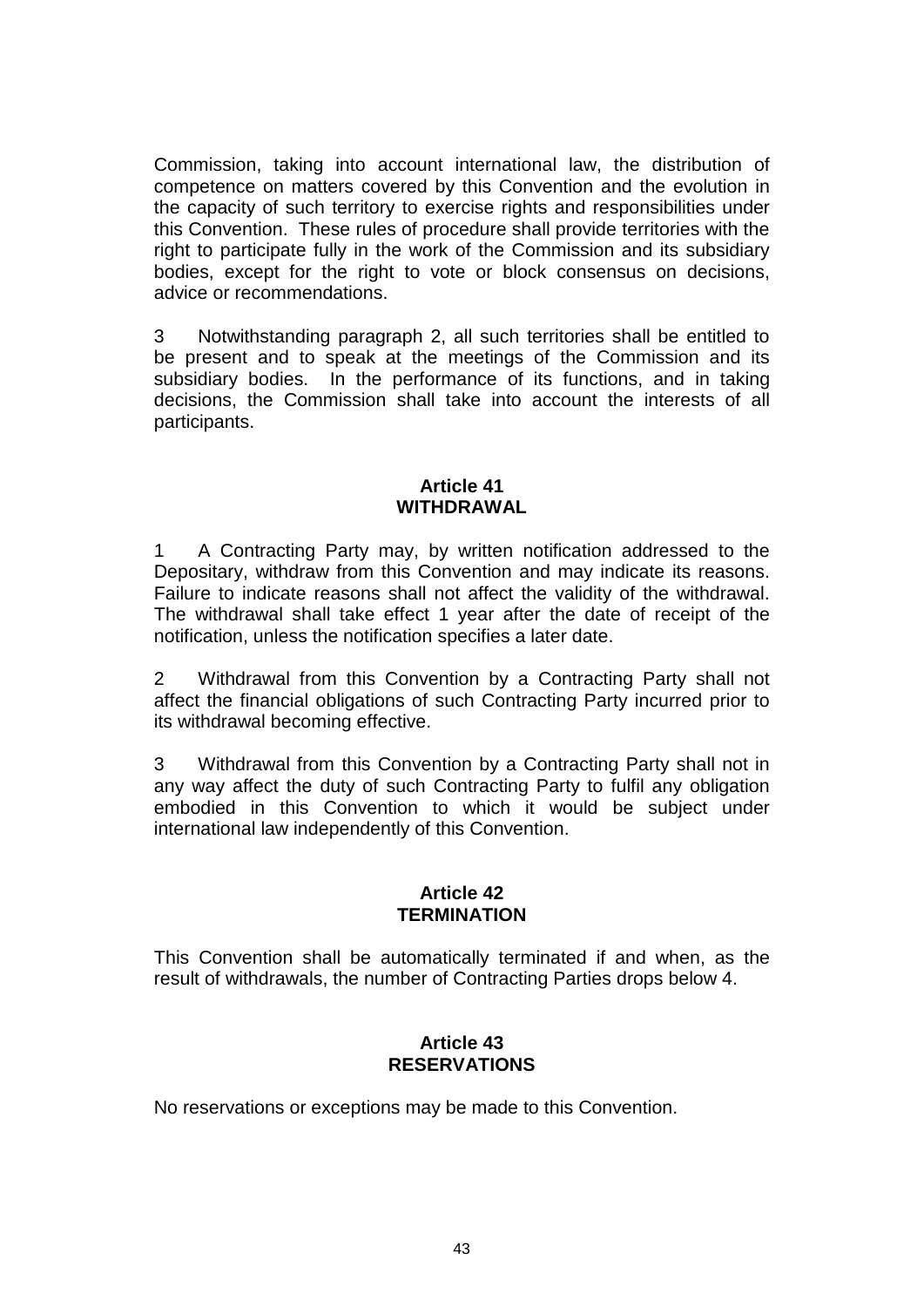Commission, taking into account international law, the distribution of competence on matters covered by this Convention and the evolution in the capacity of such territory to exercise rights and responsibilities under this Convention. These rules of procedure shall provide territories with the right to participate fully in the work of the Commission and its subsidiary bodies, except for the right to vote or block consensus on decisions, advice or recommendations.

3 Notwithstanding paragraph 2, all such territories shall be entitled to be present and to speak at the meetings of the Commission and its subsidiary bodies. In the performance of its functions, and in taking decisions, the Commission shall take into account the interests of all participants.

## **Article 41 WITHDRAWAL**

1 A Contracting Party may, by written notification addressed to the Depositary, withdraw from this Convention and may indicate its reasons. Failure to indicate reasons shall not affect the validity of the withdrawal. The withdrawal shall take effect 1 year after the date of receipt of the notification, unless the notification specifies a later date.

2 Withdrawal from this Convention by a Contracting Party shall not affect the financial obligations of such Contracting Party incurred prior to its withdrawal becoming effective.

3 Withdrawal from this Convention by a Contracting Party shall not in any way affect the duty of such Contracting Party to fulfil any obligation embodied in this Convention to which it would be subject under international law independently of this Convention.

## **Article 42 TERMINATION**

This Convention shall be automatically terminated if and when, as the result of withdrawals, the number of Contracting Parties drops below 4.

# **Article 43 RESERVATIONS**

No reservations or exceptions may be made to this Convention.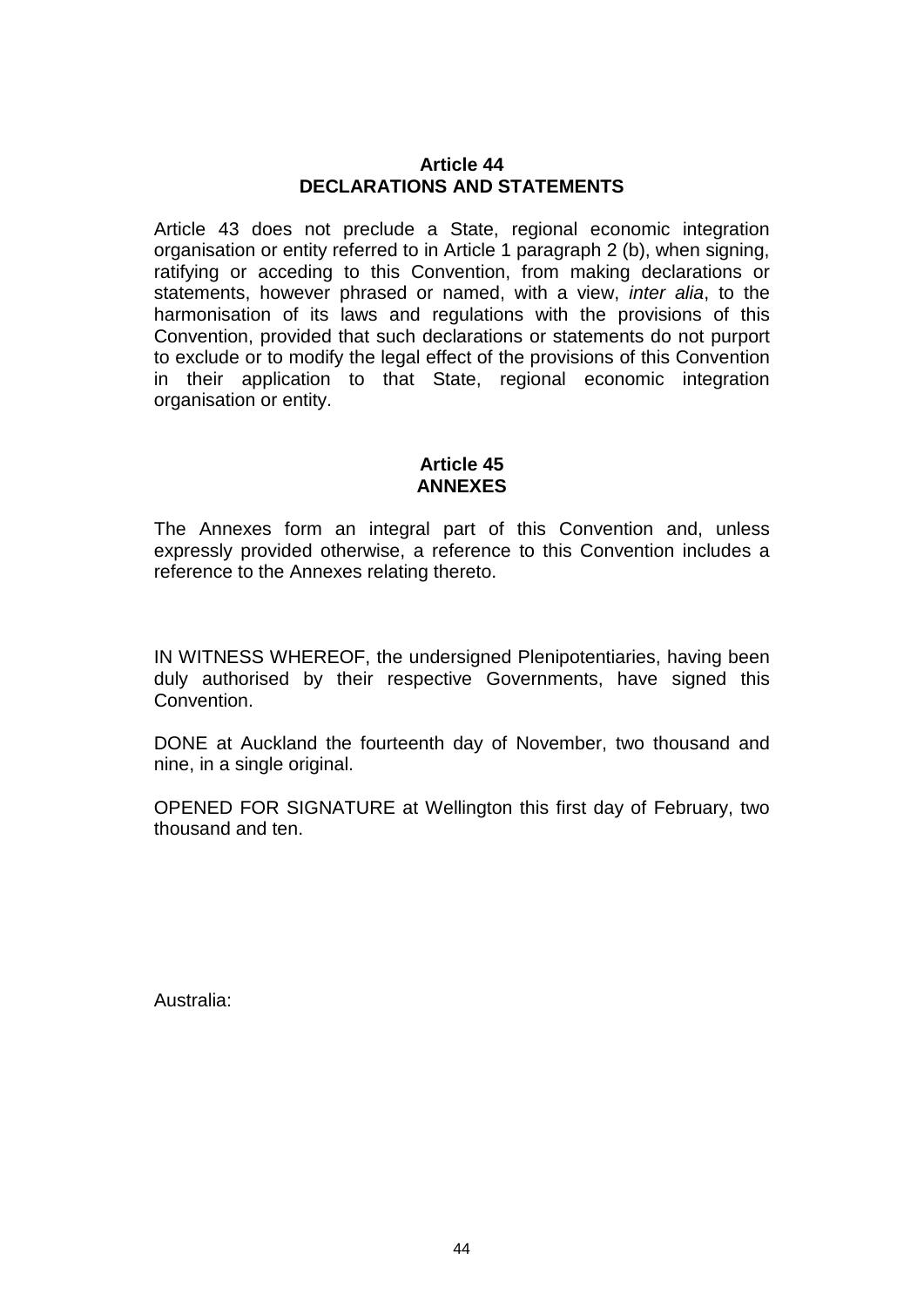# **Article 44 DECLARATIONS AND STATEMENTS**

Article 43 does not preclude a State, regional economic integration organisation or entity referred to in Article 1 paragraph 2 (b), when signing, ratifying or acceding to this Convention, from making declarations or statements, however phrased or named, with a view, *inter alia*, to the harmonisation of its laws and regulations with the provisions of this Convention, provided that such declarations or statements do not purport to exclude or to modify the legal effect of the provisions of this Convention in their application to that State, regional economic integration organisation or entity.

## **Article 45 ANNEXES**

The Annexes form an integral part of this Convention and, unless expressly provided otherwise, a reference to this Convention includes a reference to the Annexes relating thereto.

IN WITNESS WHEREOF, the undersigned Plenipotentiaries, having been duly authorised by their respective Governments, have signed this Convention.

DONE at Auckland the fourteenth day of November, two thousand and nine, in a single original.

OPENED FOR SIGNATURE at Wellington this first day of February, two thousand and ten.

Australia: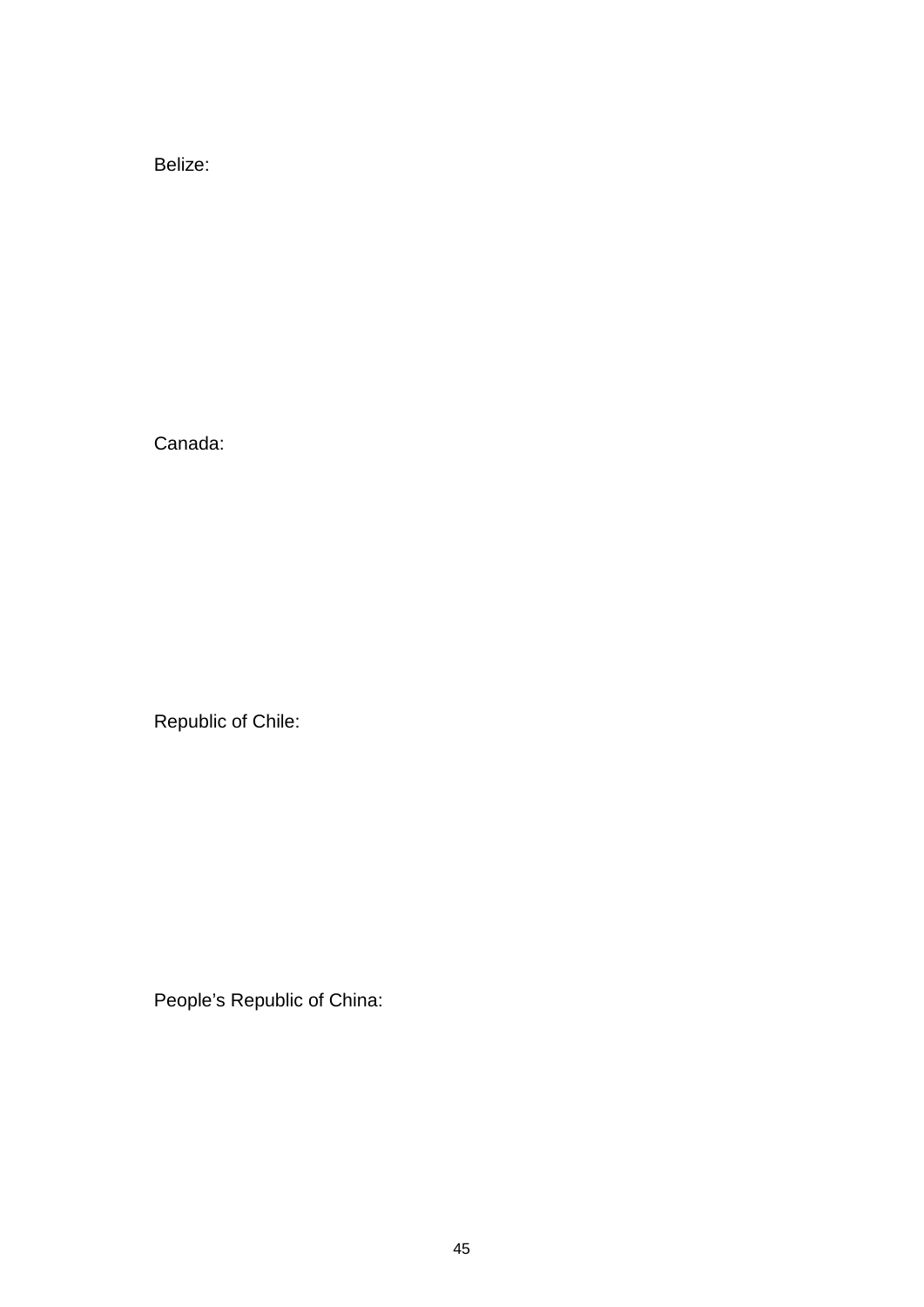Belize:

Canada:

Republic of Chile:

People's Republic of China: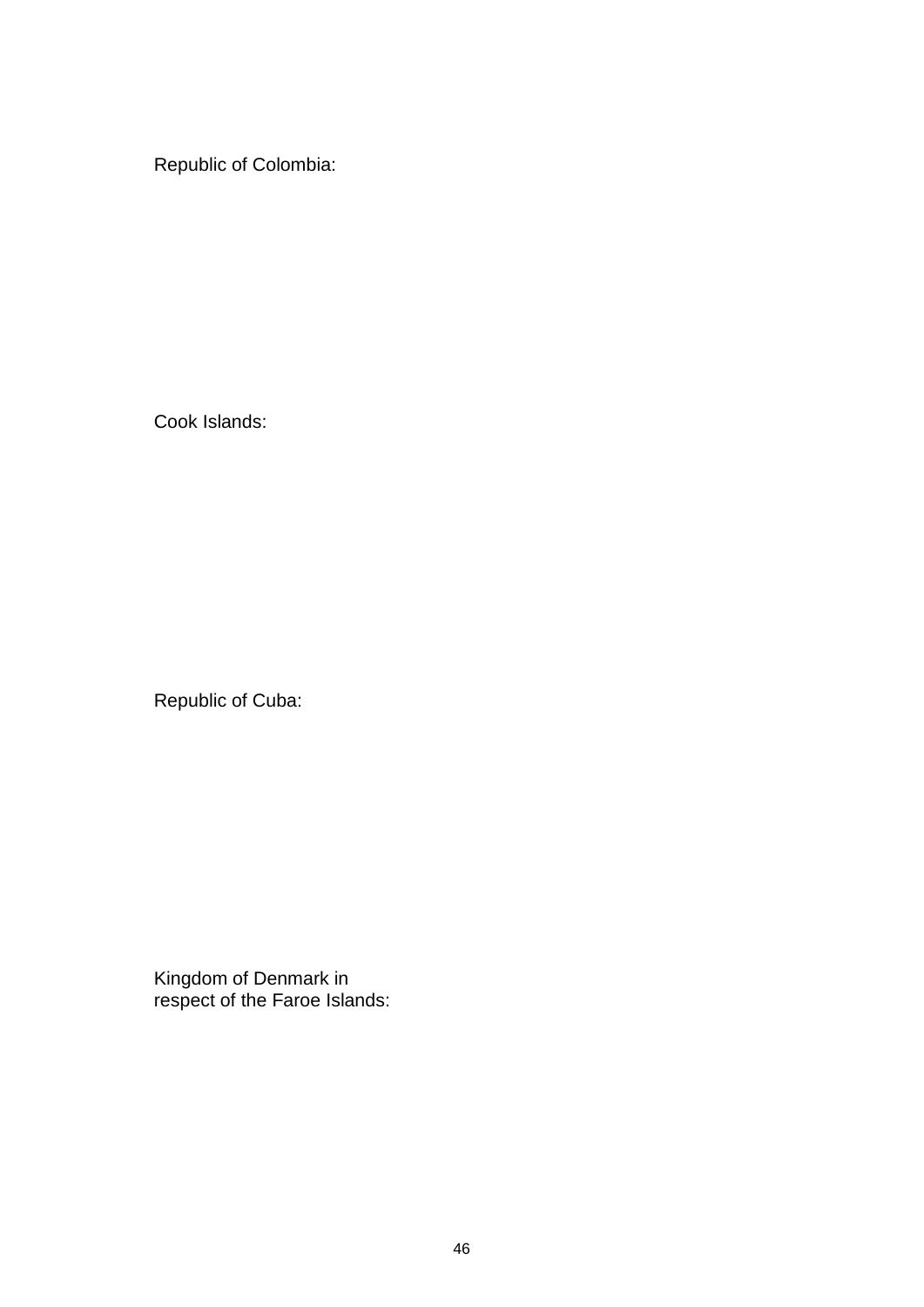Republic of Colombia:

Cook Islands:

Republic of Cuba:

Kingdom of Denmark in respect of the Faroe Islands: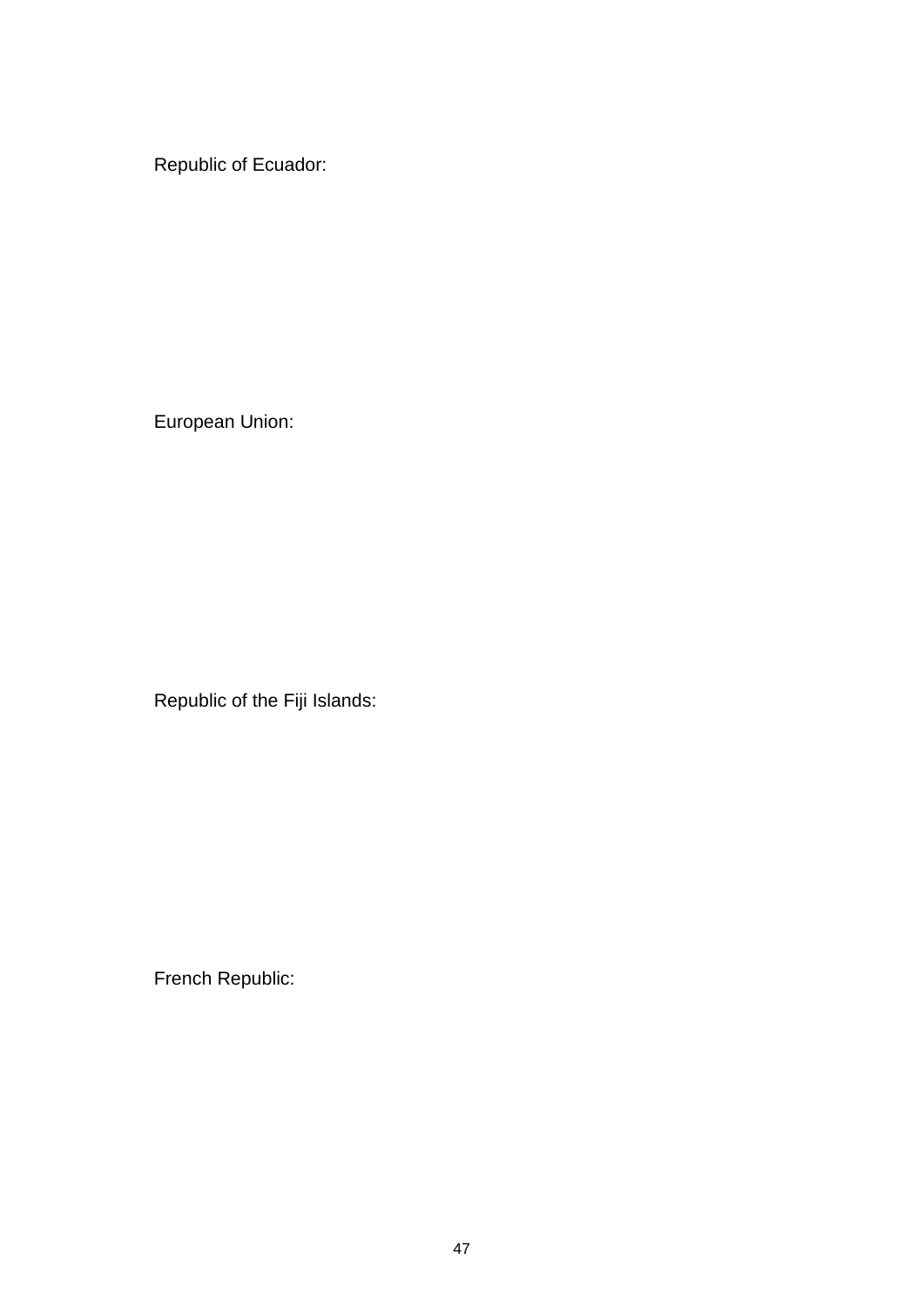Republic of Ecuador:

European Union:

Republic of the Fiji Islands:

French Republic: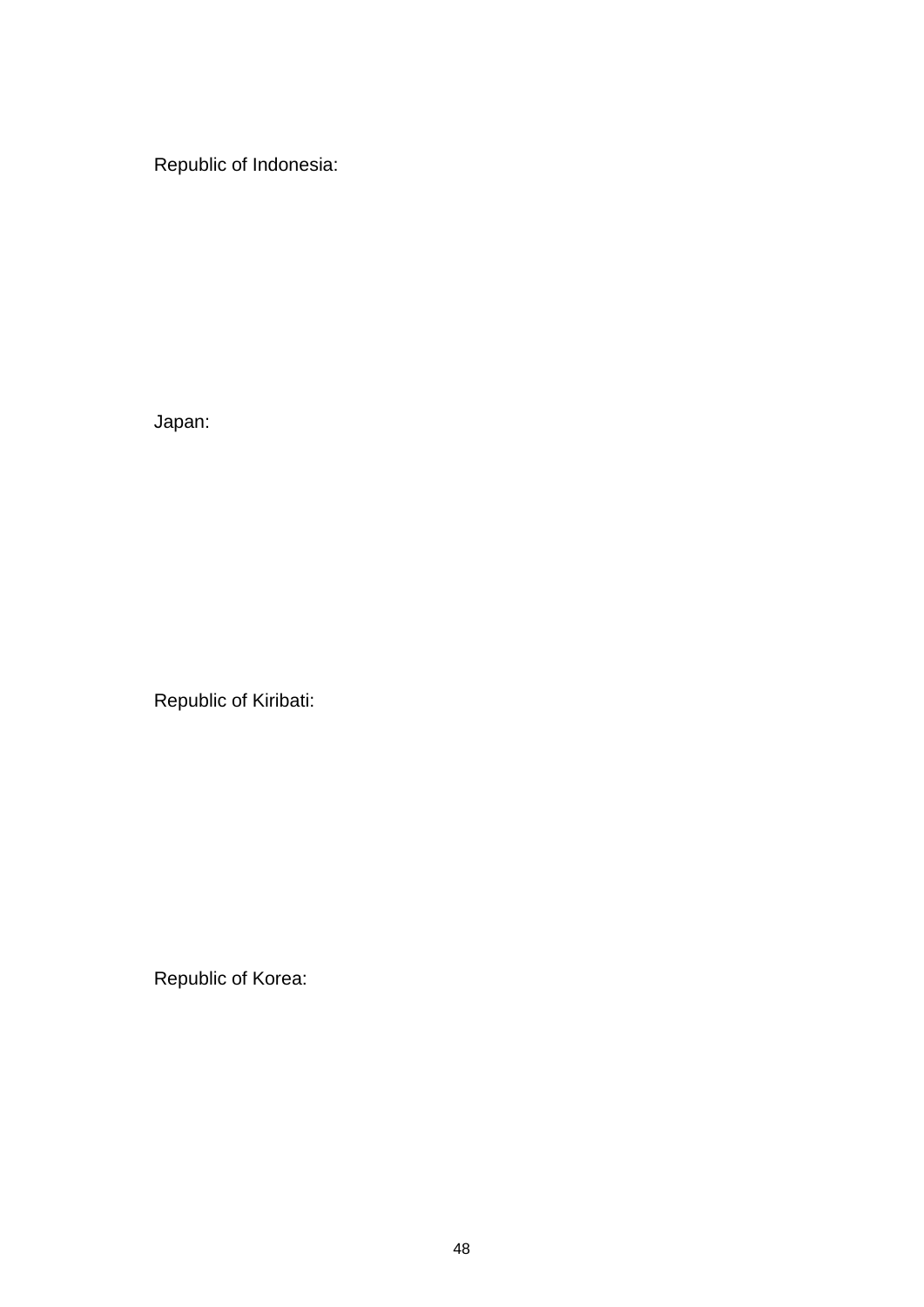Republic of Indonesia:

Japan:

Republic of Kiribati:

Republic of Korea: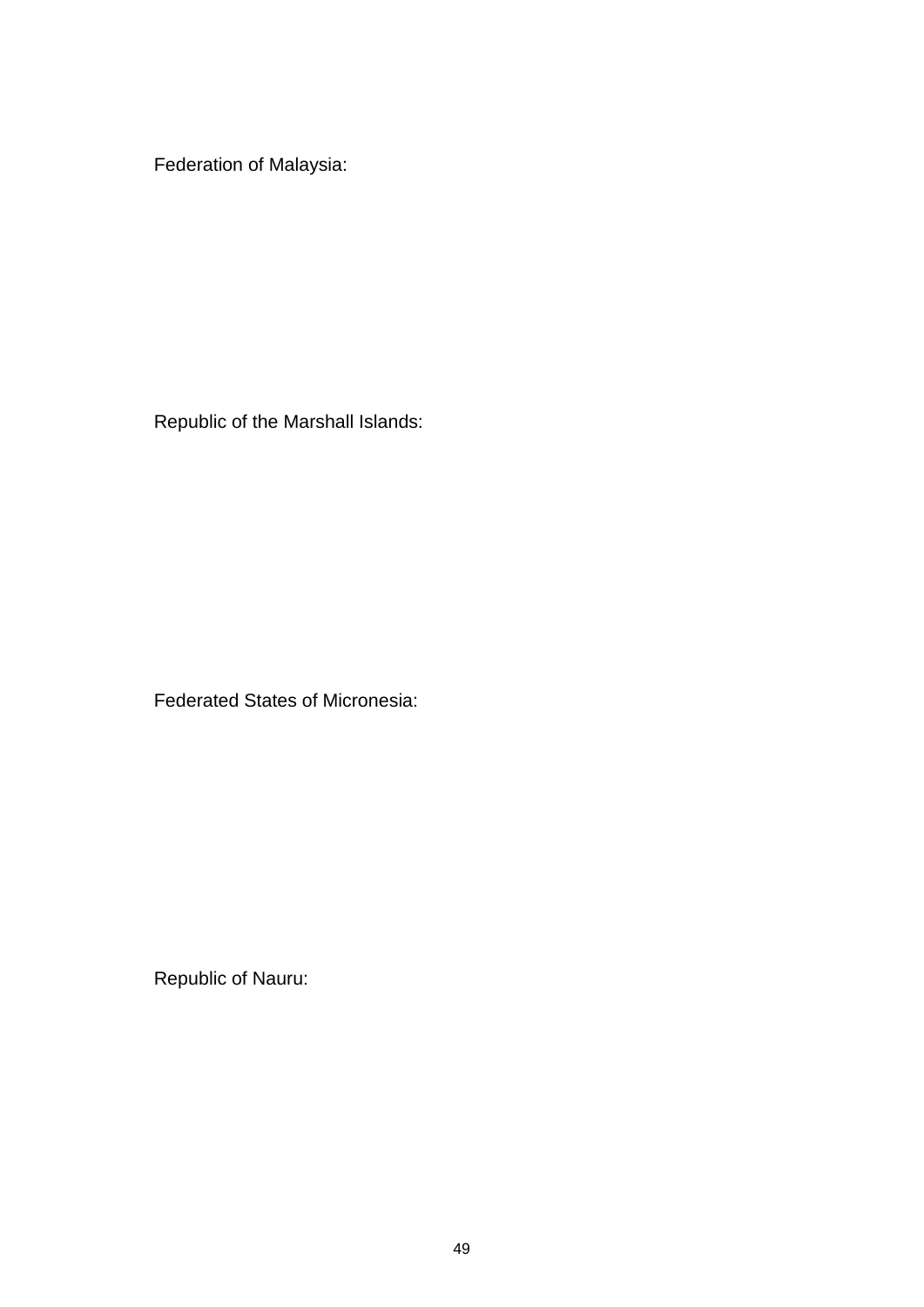Federation of Malaysia:

Republic of the Marshall Islands:

Federated States of Micronesia:

Republic of Nauru: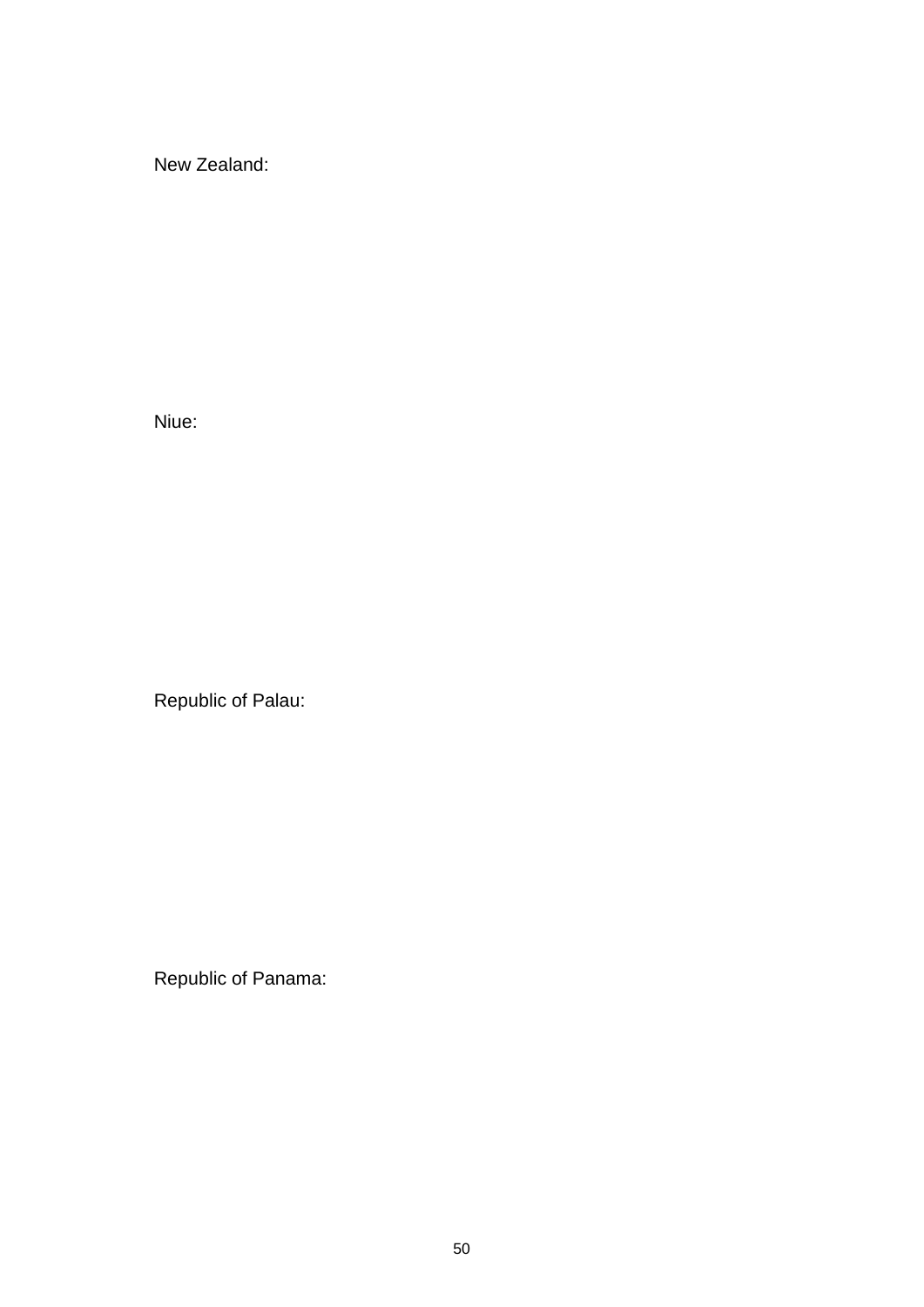New Zealand:

Niue:

Republic of Palau:

Republic of Panama: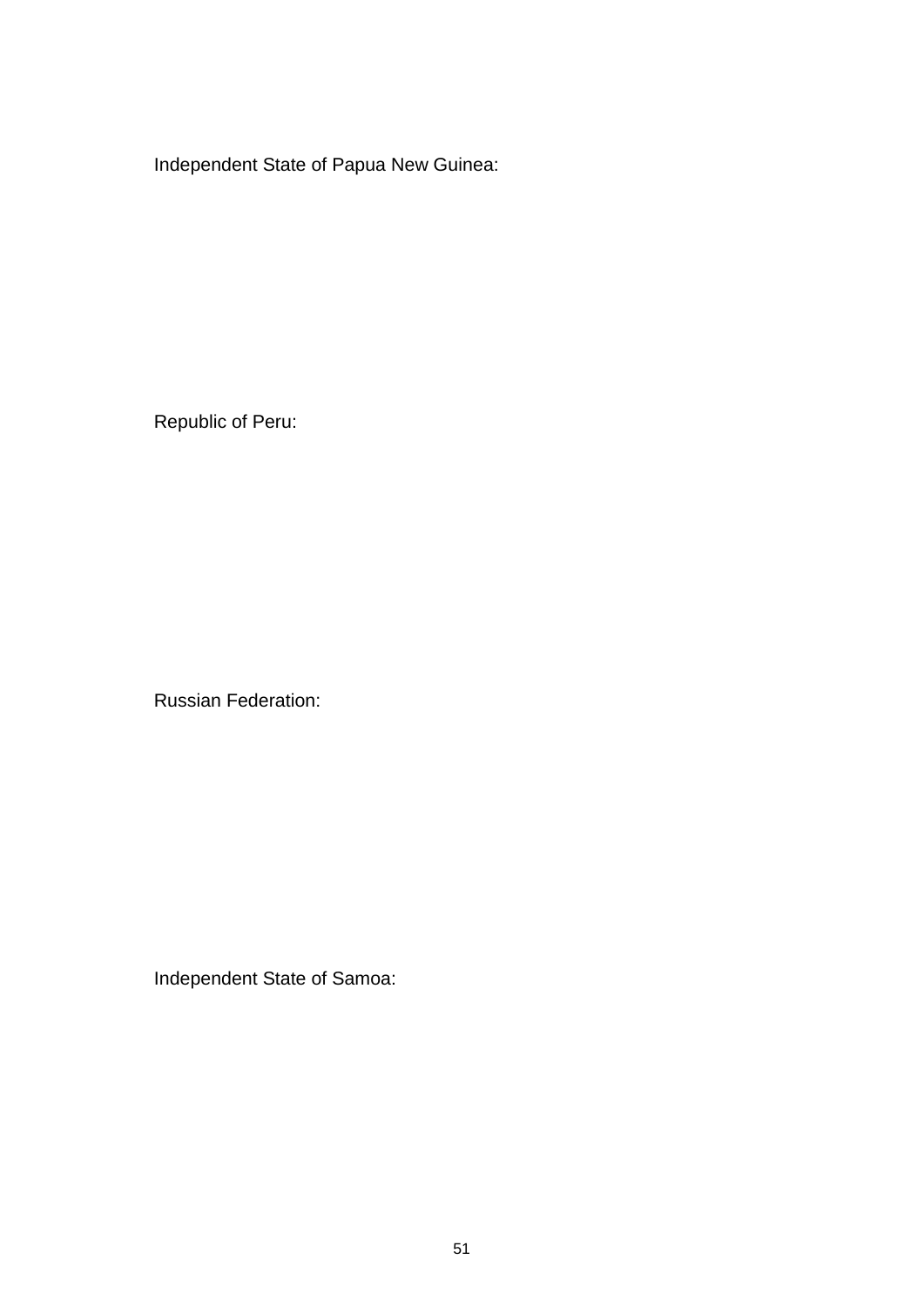Independent State of Papua New Guinea:

Republic of Peru:

Russian Federation:

Independent State of Samoa: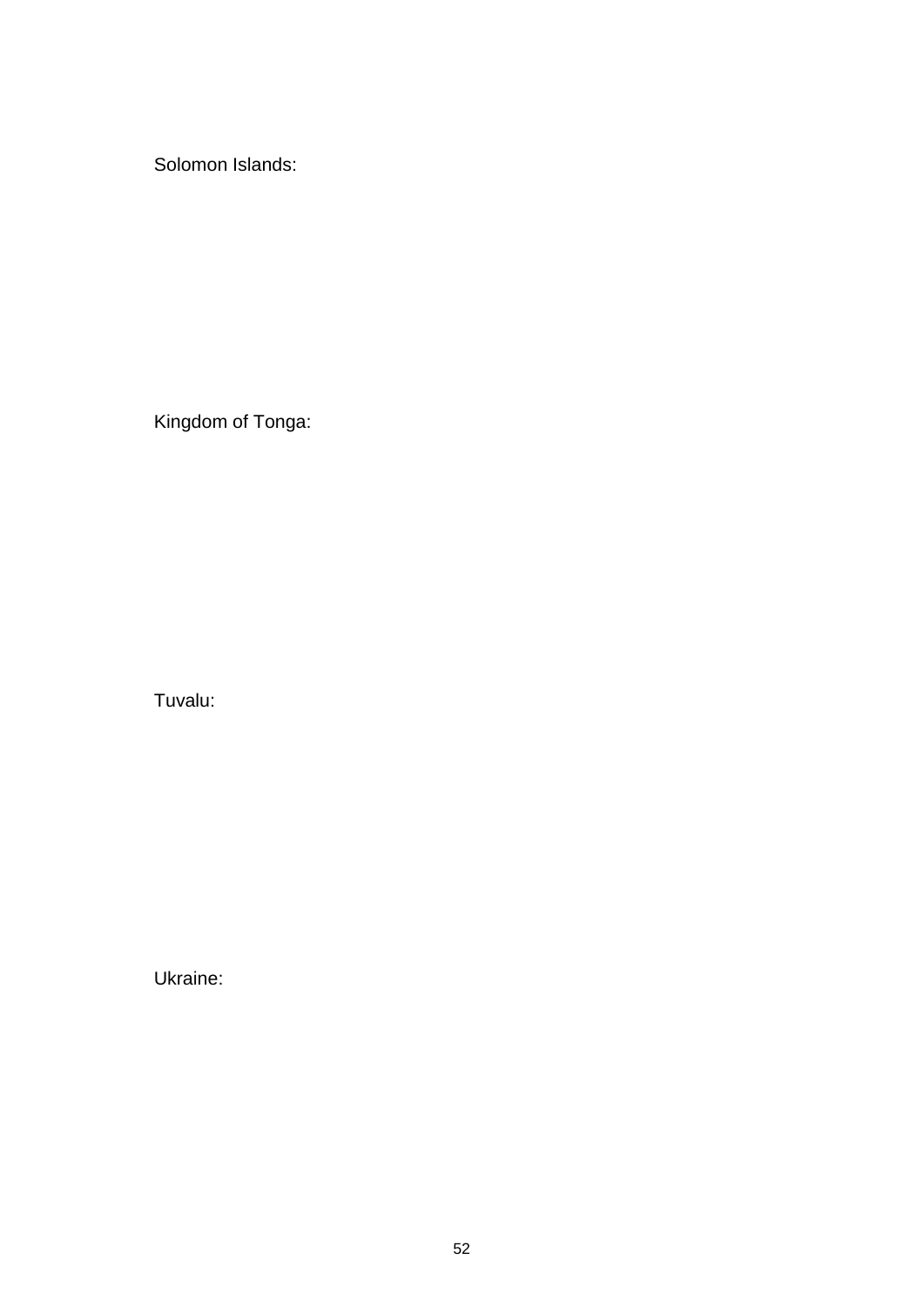Solomon Islands:

Kingdom of Tonga:

Tuvalu:

Ukraine: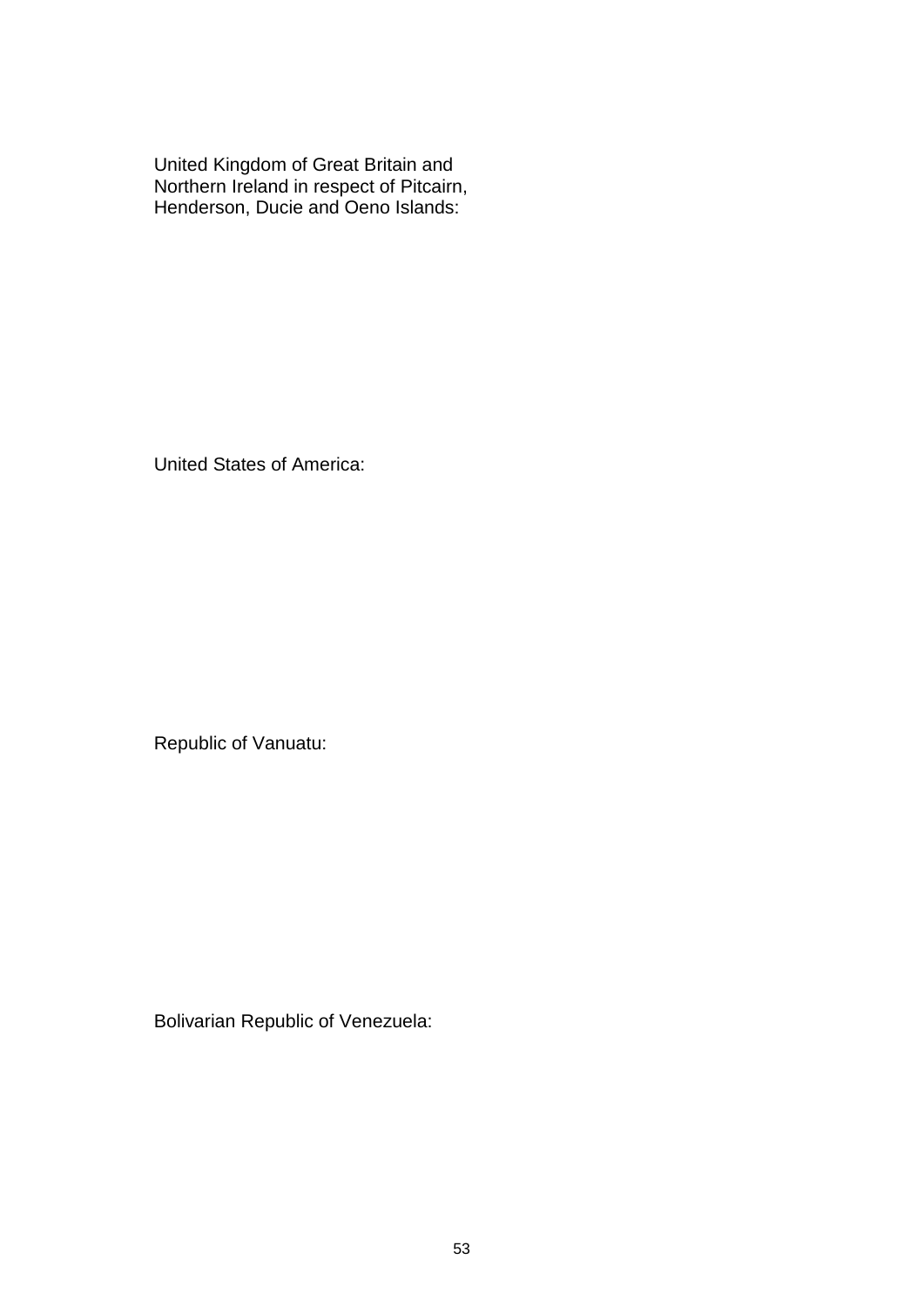United Kingdom of Great Britain and Northern Ireland in respect of Pitcairn, Henderson, Ducie and Oeno Islands:

United States of America:

Republic of Vanuatu:

Bolivarian Republic of Venezuela: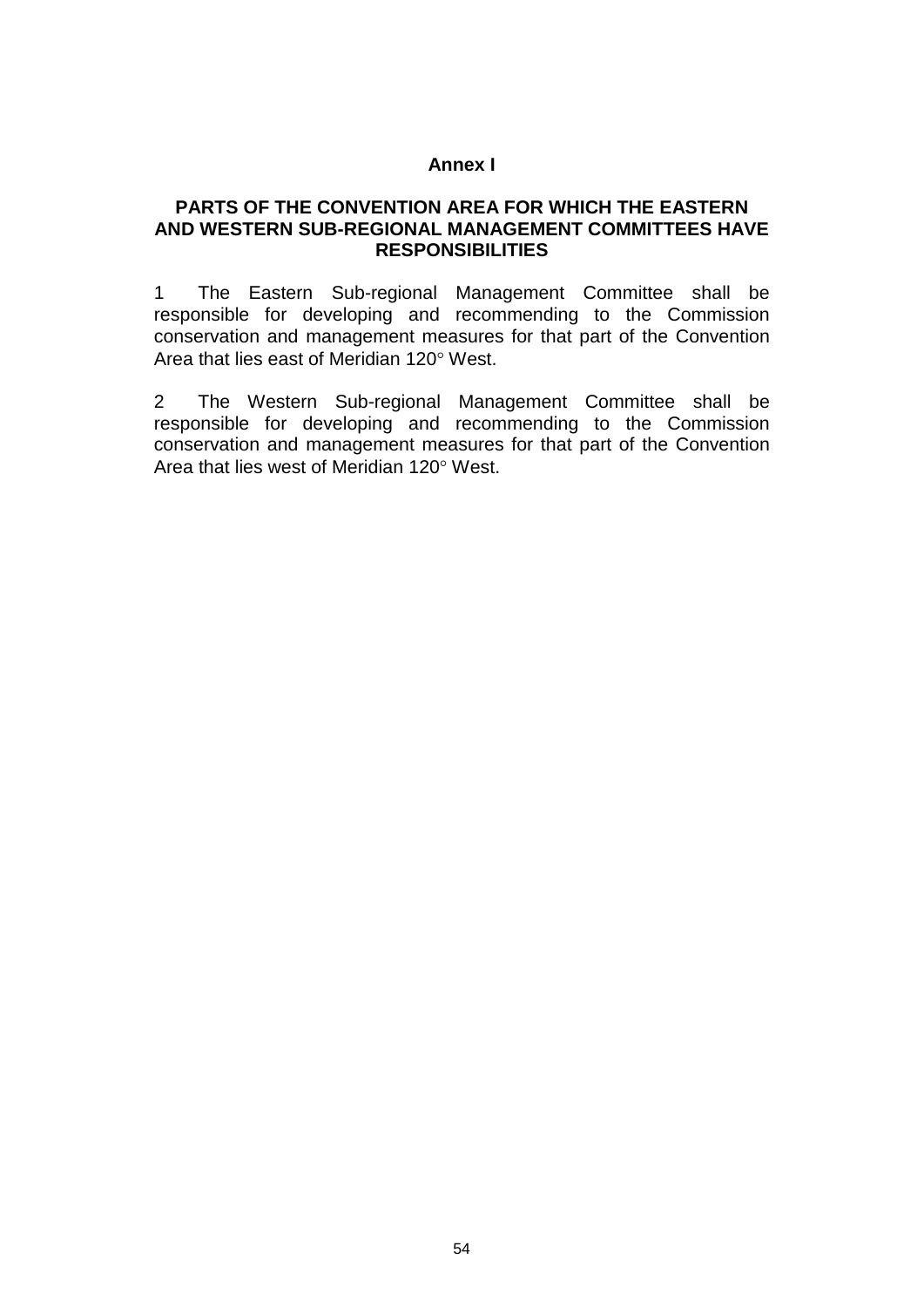#### **Annex I**

## **PARTS OF THE CONVENTION AREA FOR WHICH THE EASTERN AND WESTERN SUB-REGIONAL MANAGEMENT COMMITTEES HAVE RESPONSIBILITIES**

1 The Eastern Sub-regional Management Committee shall be responsible for developing and recommending to the Commission conservation and management measures for that part of the Convention Area that lies east of Meridian 120° West.

2 The Western Sub-regional Management Committee shall be responsible for developing and recommending to the Commission conservation and management measures for that part of the Convention Area that lies west of Meridian 120° West.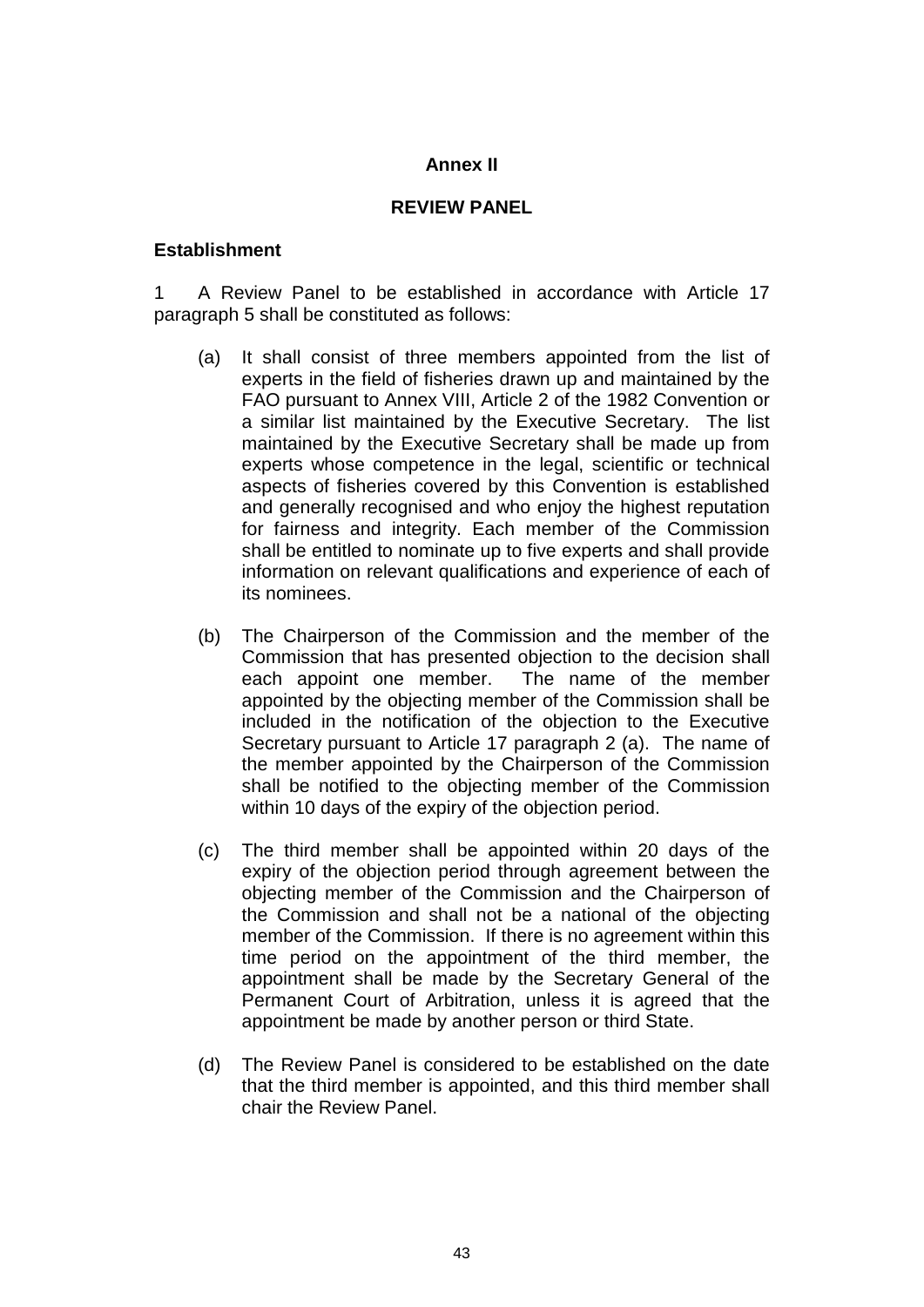## **Annex II**

#### **REVIEW PANEL**

#### **Establishment**

1 A Review Panel to be established in accordance with Article 17 paragraph 5 shall be constituted as follows:

- (a) It shall consist of three members appointed from the list of experts in the field of fisheries drawn up and maintained by the FAO pursuant to Annex VIII, Article 2 of the 1982 Convention or a similar list maintained by the Executive Secretary. The list maintained by the Executive Secretary shall be made up from experts whose competence in the legal, scientific or technical aspects of fisheries covered by this Convention is established and generally recognised and who enjoy the highest reputation for fairness and integrity. Each member of the Commission shall be entitled to nominate up to five experts and shall provide information on relevant qualifications and experience of each of its nominees.
- (b) The Chairperson of the Commission and the member of the Commission that has presented objection to the decision shall each appoint one member. The name of the member appointed by the objecting member of the Commission shall be included in the notification of the objection to the Executive Secretary pursuant to Article 17 paragraph 2 (a). The name of the member appointed by the Chairperson of the Commission shall be notified to the objecting member of the Commission within 10 days of the expiry of the objection period.
- (c) The third member shall be appointed within 20 days of the expiry of the objection period through agreement between the objecting member of the Commission and the Chairperson of the Commission and shall not be a national of the objecting member of the Commission. If there is no agreement within this time period on the appointment of the third member, the appointment shall be made by the Secretary General of the Permanent Court of Arbitration, unless it is agreed that the appointment be made by another person or third State.
- (d) The Review Panel is considered to be established on the date that the third member is appointed, and this third member shall chair the Review Panel.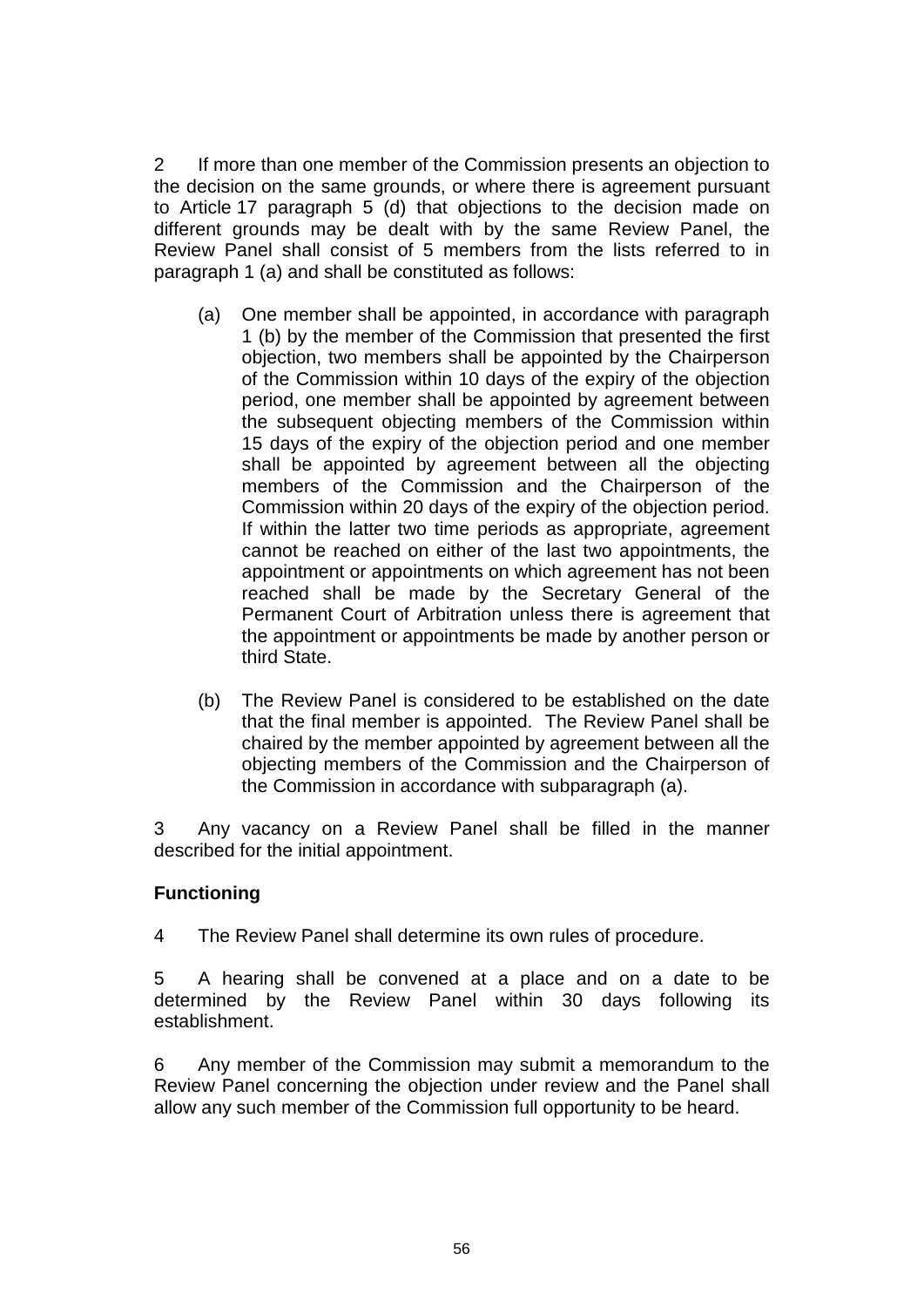2 If more than one member of the Commission presents an objection to the decision on the same grounds, or where there is agreement pursuant to Article 17 paragraph 5 (d) that objections to the decision made on different grounds may be dealt with by the same Review Panel, the Review Panel shall consist of 5 members from the lists referred to in paragraph 1 (a) and shall be constituted as follows:

- (a) One member shall be appointed, in accordance with paragraph 1 (b) by the member of the Commission that presented the first objection, two members shall be appointed by the Chairperson of the Commission within 10 days of the expiry of the objection period, one member shall be appointed by agreement between the subsequent objecting members of the Commission within 15 days of the expiry of the objection period and one member shall be appointed by agreement between all the objecting members of the Commission and the Chairperson of the Commission within 20 days of the expiry of the objection period. If within the latter two time periods as appropriate, agreement cannot be reached on either of the last two appointments, the appointment or appointments on which agreement has not been reached shall be made by the Secretary General of the Permanent Court of Arbitration unless there is agreement that the appointment or appointments be made by another person or third State.
- (b) The Review Panel is considered to be established on the date that the final member is appointed. The Review Panel shall be chaired by the member appointed by agreement between all the objecting members of the Commission and the Chairperson of the Commission in accordance with subparagraph (a).

3 Any vacancy on a Review Panel shall be filled in the manner described for the initial appointment.

# **Functioning**

4 The Review Panel shall determine its own rules of procedure.

5 A hearing shall be convened at a place and on a date to be determined by the Review Panel within 30 days following its establishment.

6 Any member of the Commission may submit a memorandum to the Review Panel concerning the objection under review and the Panel shall allow any such member of the Commission full opportunity to be heard.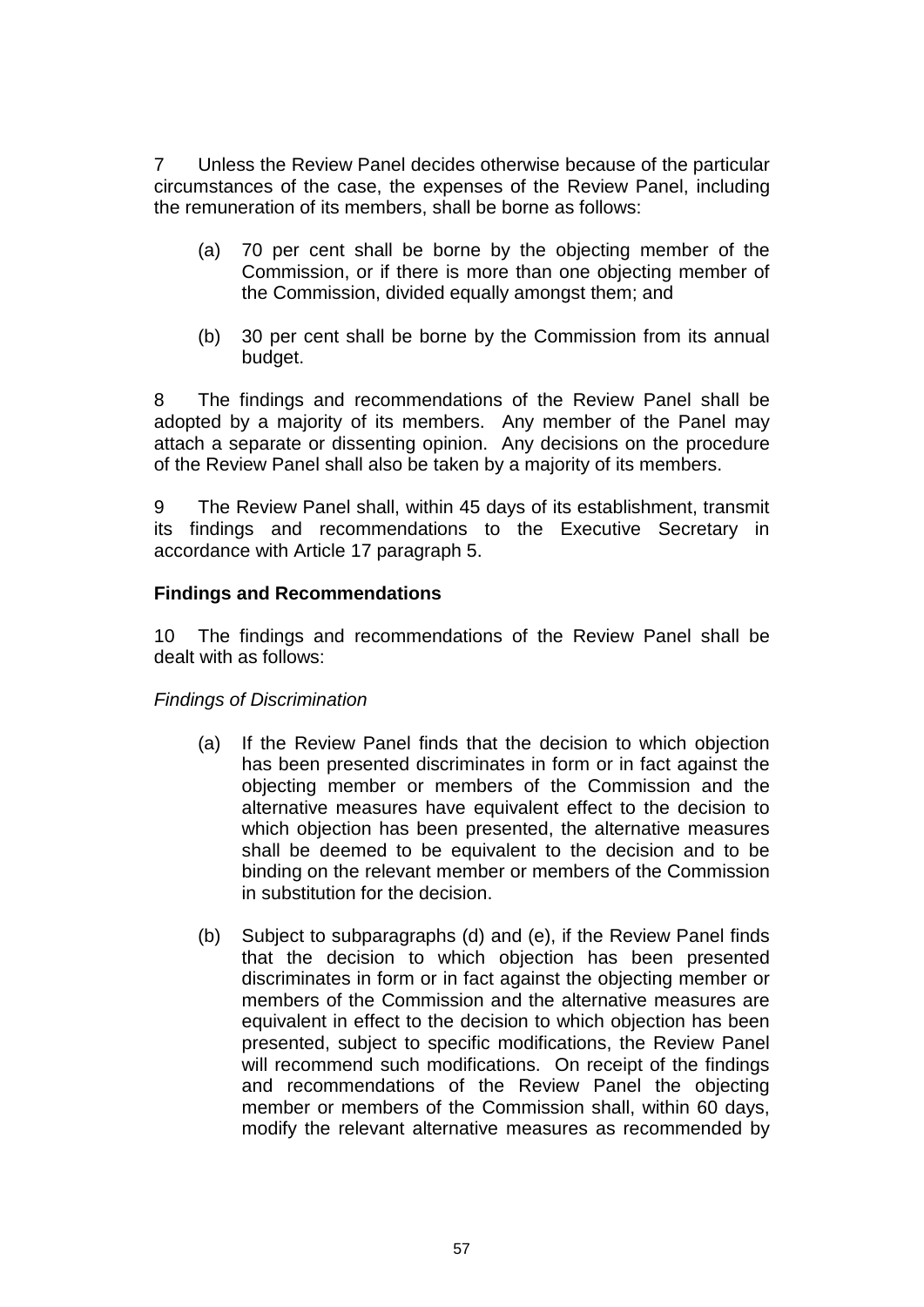7 Unless the Review Panel decides otherwise because of the particular circumstances of the case, the expenses of the Review Panel, including the remuneration of its members, shall be borne as follows:

- (a) 70 per cent shall be borne by the objecting member of the Commission, or if there is more than one objecting member of the Commission, divided equally amongst them; and
- (b) 30 per cent shall be borne by the Commission from its annual budget.

8 The findings and recommendations of the Review Panel shall be adopted by a majority of its members. Any member of the Panel may attach a separate or dissenting opinion. Any decisions on the procedure of the Review Panel shall also be taken by a majority of its members.

9 The Review Panel shall, within 45 days of its establishment, transmit its findings and recommendations to the Executive Secretary in accordance with Article 17 paragraph 5.

# **Findings and Recommendations**

10 The findings and recommendations of the Review Panel shall be dealt with as follows:

# *Findings of Discrimination*

- (a) If the Review Panel finds that the decision to which objection has been presented discriminates in form or in fact against the objecting member or members of the Commission and the alternative measures have equivalent effect to the decision to which objection has been presented, the alternative measures shall be deemed to be equivalent to the decision and to be binding on the relevant member or members of the Commission in substitution for the decision.
- (b) Subject to subparagraphs (d) and (e), if the Review Panel finds that the decision to which objection has been presented discriminates in form or in fact against the objecting member or members of the Commission and the alternative measures are equivalent in effect to the decision to which objection has been presented, subject to specific modifications, the Review Panel will recommend such modifications. On receipt of the findings and recommendations of the Review Panel the objecting member or members of the Commission shall, within 60 days, modify the relevant alternative measures as recommended by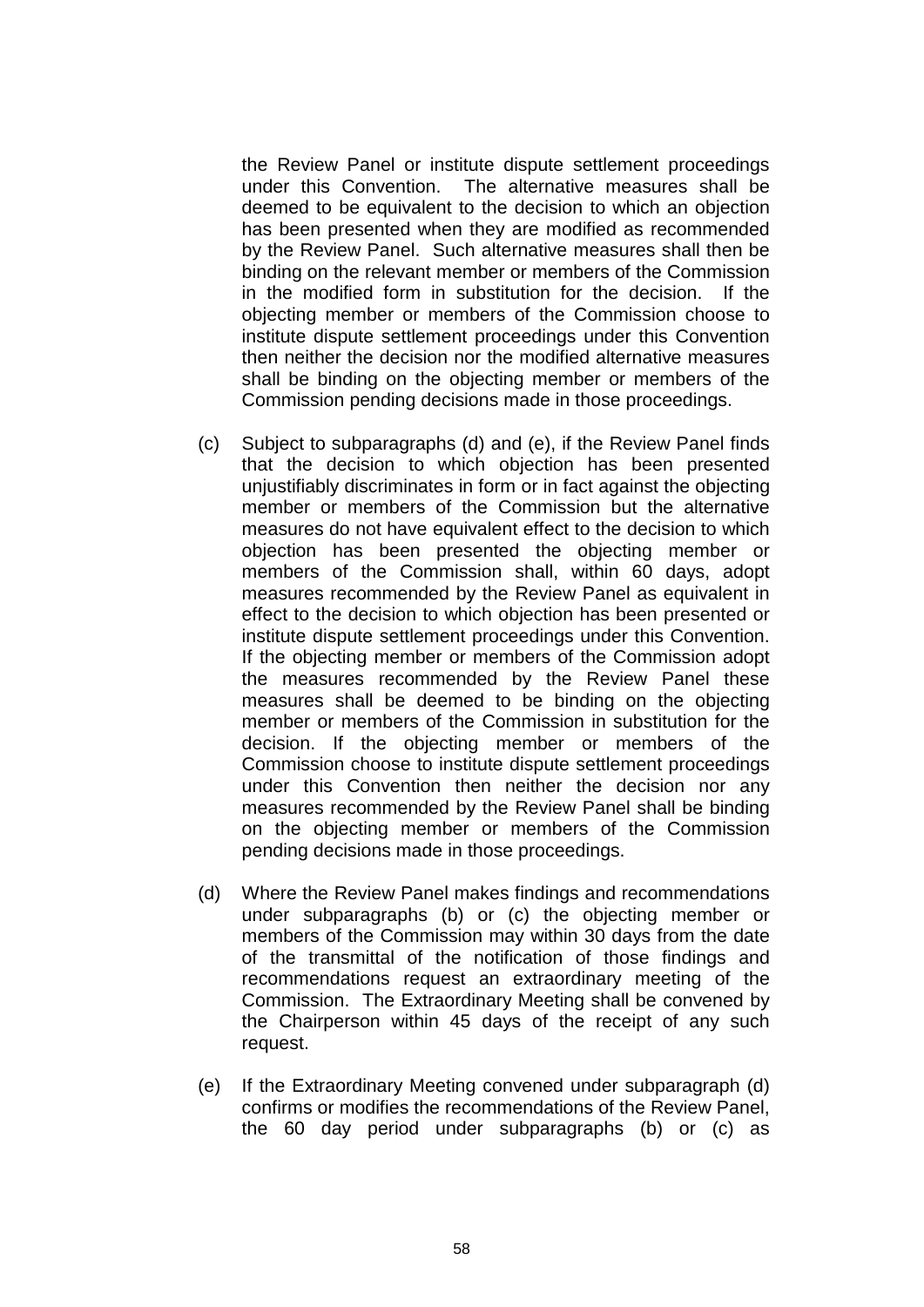the Review Panel or institute dispute settlement proceedings under this Convention. The alternative measures shall be deemed to be equivalent to the decision to which an objection has been presented when they are modified as recommended by the Review Panel. Such alternative measures shall then be binding on the relevant member or members of the Commission in the modified form in substitution for the decision. If the objecting member or members of the Commission choose to institute dispute settlement proceedings under this Convention then neither the decision nor the modified alternative measures shall be binding on the objecting member or members of the Commission pending decisions made in those proceedings.

- (c) Subject to subparagraphs (d) and (e), if the Review Panel finds that the decision to which objection has been presented unjustifiably discriminates in form or in fact against the objecting member or members of the Commission but the alternative measures do not have equivalent effect to the decision to which objection has been presented the objecting member or members of the Commission shall, within 60 days, adopt measures recommended by the Review Panel as equivalent in effect to the decision to which objection has been presented or institute dispute settlement proceedings under this Convention. If the objecting member or members of the Commission adopt the measures recommended by the Review Panel these measures shall be deemed to be binding on the objecting member or members of the Commission in substitution for the decision. If the objecting member or members of the Commission choose to institute dispute settlement proceedings under this Convention then neither the decision nor any measures recommended by the Review Panel shall be binding on the objecting member or members of the Commission pending decisions made in those proceedings.
- (d) Where the Review Panel makes findings and recommendations under subparagraphs (b) or (c) the objecting member or members of the Commission may within 30 days from the date of the transmittal of the notification of those findings and recommendations request an extraordinary meeting of the Commission. The Extraordinary Meeting shall be convened by the Chairperson within 45 days of the receipt of any such request.
- (e) If the Extraordinary Meeting convened under subparagraph (d) confirms or modifies the recommendations of the Review Panel, the 60 day period under subparagraphs (b) or (c) as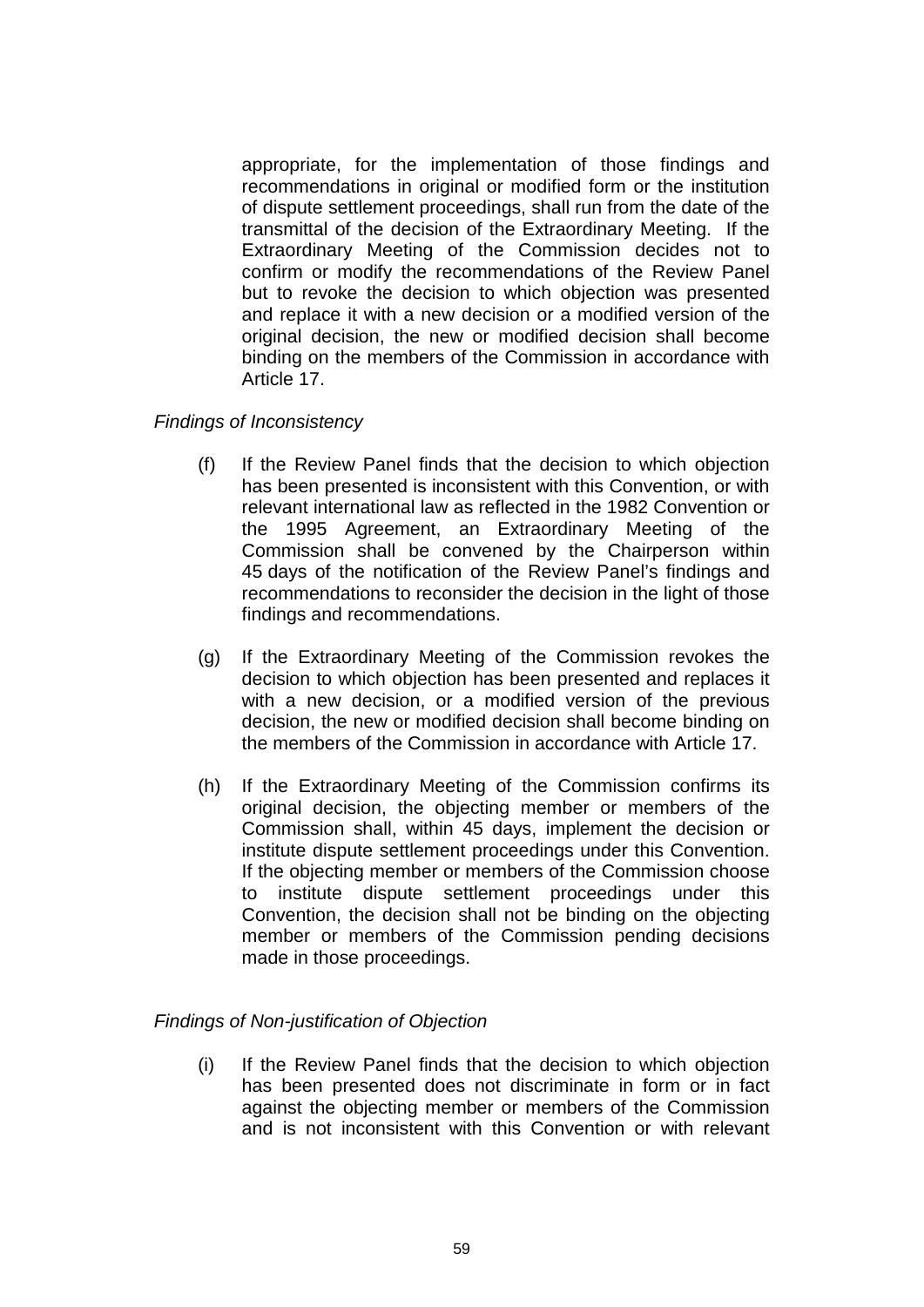appropriate, for the implementation of those findings and recommendations in original or modified form or the institution of dispute settlement proceedings, shall run from the date of the transmittal of the decision of the Extraordinary Meeting. If the Extraordinary Meeting of the Commission decides not to confirm or modify the recommendations of the Review Panel but to revoke the decision to which objection was presented and replace it with a new decision or a modified version of the original decision, the new or modified decision shall become binding on the members of the Commission in accordance with Article 17.

# *Findings of Inconsistency*

- (f) If the Review Panel finds that the decision to which objection has been presented is inconsistent with this Convention, or with relevant international law as reflected in the 1982 Convention or the 1995 Agreement, an Extraordinary Meeting of the Commission shall be convened by the Chairperson within 45 days of the notification of the Review Panel's findings and recommendations to reconsider the decision in the light of those findings and recommendations.
- (g) If the Extraordinary Meeting of the Commission revokes the decision to which objection has been presented and replaces it with a new decision, or a modified version of the previous decision, the new or modified decision shall become binding on the members of the Commission in accordance with Article 17.
- (h) If the Extraordinary Meeting of the Commission confirms its original decision, the objecting member or members of the Commission shall, within 45 days, implement the decision or institute dispute settlement proceedings under this Convention. If the objecting member or members of the Commission choose to institute dispute settlement proceedings under this Convention, the decision shall not be binding on the objecting member or members of the Commission pending decisions made in those proceedings.

# *Findings of Non-justification of Objection*

(i) If the Review Panel finds that the decision to which objection has been presented does not discriminate in form or in fact against the objecting member or members of the Commission and is not inconsistent with this Convention or with relevant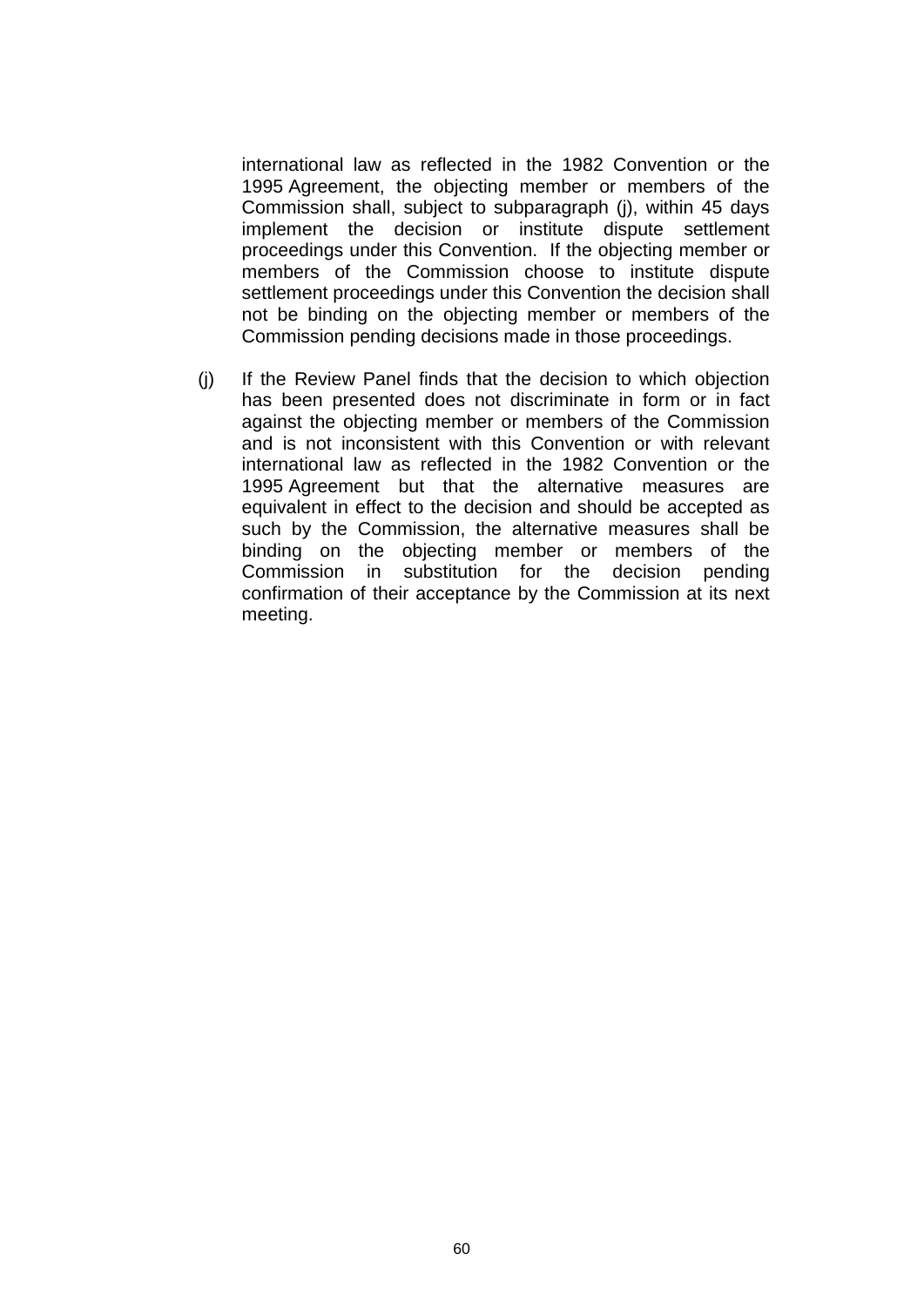international law as reflected in the 1982 Convention or the 1995 Agreement, the objecting member or members of the Commission shall, subject to subparagraph (j), within 45 days implement the decision or institute dispute settlement proceedings under this Convention. If the objecting member or members of the Commission choose to institute dispute settlement proceedings under this Convention the decision shall not be binding on the objecting member or members of the Commission pending decisions made in those proceedings.

(j) If the Review Panel finds that the decision to which objection has been presented does not discriminate in form or in fact against the objecting member or members of the Commission and is not inconsistent with this Convention or with relevant international law as reflected in the 1982 Convention or the 1995 Agreement but that the alternative measures are equivalent in effect to the decision and should be accepted as such by the Commission, the alternative measures shall be binding on the objecting member or members of the Commission in substitution for the decision pending confirmation of their acceptance by the Commission at its next meeting.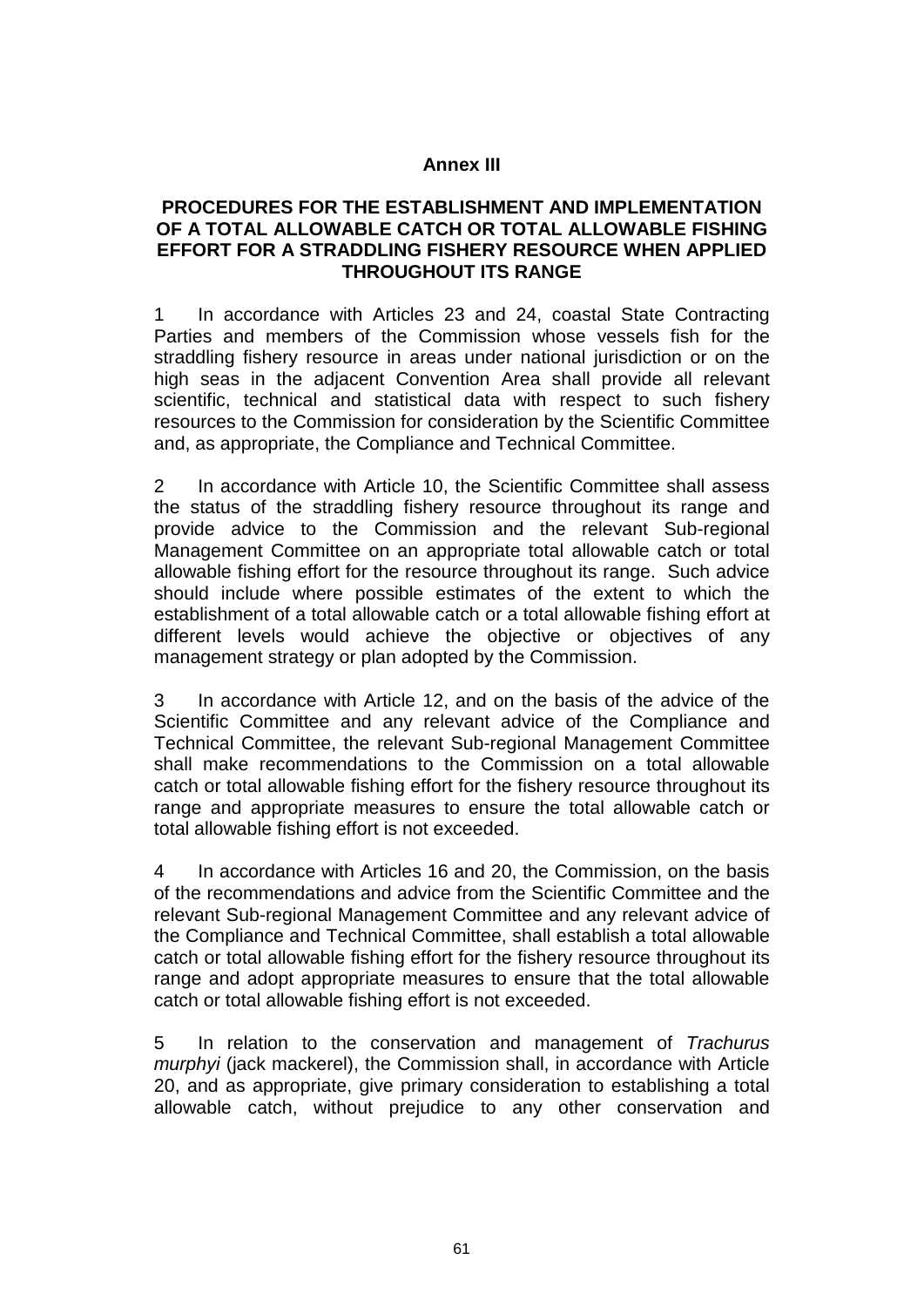## **Annex III**

## **PROCEDURES FOR THE ESTABLISHMENT AND IMPLEMENTATION OF A TOTAL ALLOWABLE CATCH OR TOTAL ALLOWABLE FISHING EFFORT FOR A STRADDLING FISHERY RESOURCE WHEN APPLIED THROUGHOUT ITS RANGE**

1 In accordance with Articles 23 and 24, coastal State Contracting Parties and members of the Commission whose vessels fish for the straddling fishery resource in areas under national jurisdiction or on the high seas in the adjacent Convention Area shall provide all relevant scientific, technical and statistical data with respect to such fishery resources to the Commission for consideration by the Scientific Committee and, as appropriate, the Compliance and Technical Committee.

2 In accordance with Article 10, the Scientific Committee shall assess the status of the straddling fishery resource throughout its range and provide advice to the Commission and the relevant Sub-regional Management Committee on an appropriate total allowable catch or total allowable fishing effort for the resource throughout its range. Such advice should include where possible estimates of the extent to which the establishment of a total allowable catch or a total allowable fishing effort at different levels would achieve the objective or objectives of any management strategy or plan adopted by the Commission.

3 In accordance with Article 12, and on the basis of the advice of the Scientific Committee and any relevant advice of the Compliance and Technical Committee, the relevant Sub-regional Management Committee shall make recommendations to the Commission on a total allowable catch or total allowable fishing effort for the fishery resource throughout its range and appropriate measures to ensure the total allowable catch or total allowable fishing effort is not exceeded.

4 In accordance with Articles 16 and 20, the Commission, on the basis of the recommendations and advice from the Scientific Committee and the relevant Sub-regional Management Committee and any relevant advice of the Compliance and Technical Committee, shall establish a total allowable catch or total allowable fishing effort for the fishery resource throughout its range and adopt appropriate measures to ensure that the total allowable catch or total allowable fishing effort is not exceeded.

5 In relation to the conservation and management of *Trachurus murphyi* (jack mackerel), the Commission shall, in accordance with Article 20, and as appropriate, give primary consideration to establishing a total allowable catch, without prejudice to any other conservation and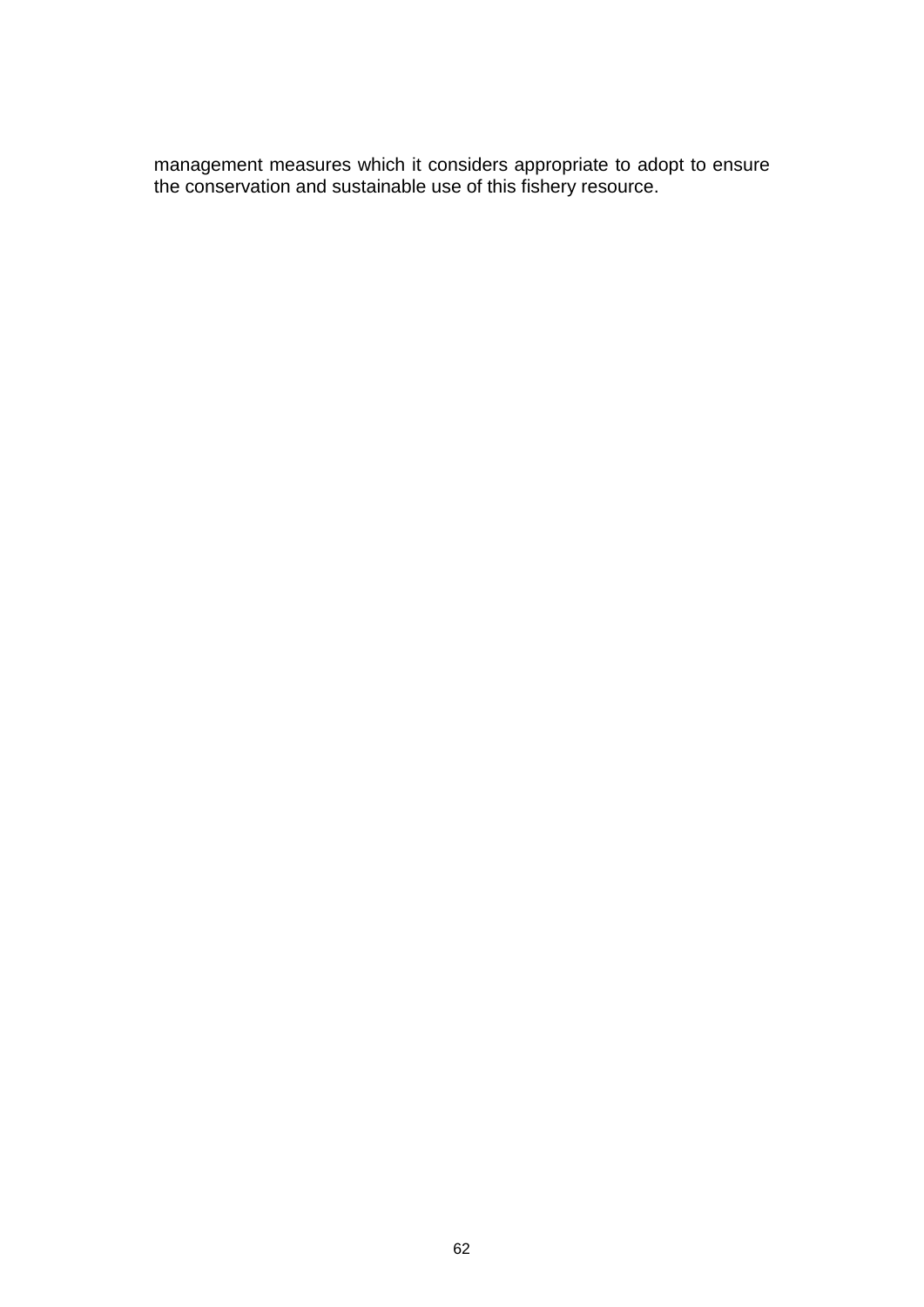management measures which it considers appropriate to adopt to ensure the conservation and sustainable use of this fishery resource.